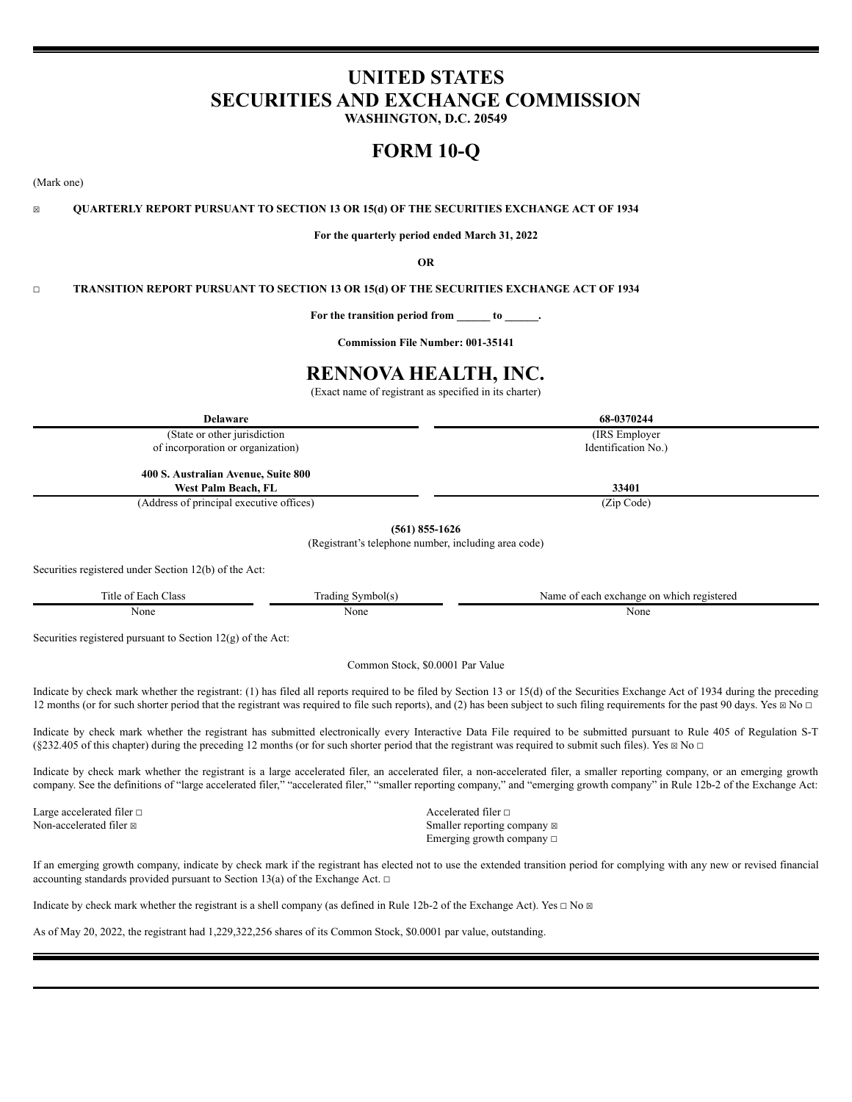# **UNITED STATES SECURITIES AND EXCHANGE COMMISSION**

**WASHINGTON, D.C. 20549**

# **FORM 10-Q**

(Mark one)

# ☒ **QUARTERLY REPORT PURSUANT TO SECTION 13 OR 15(d) OF THE SECURITIES EXCHANGE ACT OF 1934**

**For the quarterly period ended March 31, 2022**

**OR**

☐ **TRANSITION REPORT PURSUANT TO SECTION 13 OR 15(d) OF THE SECURITIES EXCHANGE ACT OF 1934**

**For the transition period from \_\_\_\_\_\_ to \_\_\_\_\_\_.**

**Commission File Number: 001-35141**

# **RENNOVA HEALTH, INC.**

(Exact name of registrant as specified in its charter)

| <b>Delaware</b>                                                                                                                                                                                                                                                                                                                               | 68-0370244          |  |  |  |  |
|-----------------------------------------------------------------------------------------------------------------------------------------------------------------------------------------------------------------------------------------------------------------------------------------------------------------------------------------------|---------------------|--|--|--|--|
| (State or other jurisdiction)                                                                                                                                                                                                                                                                                                                 | (IRS Employer)      |  |  |  |  |
| of incorporation or organization)                                                                                                                                                                                                                                                                                                             | Identification No.) |  |  |  |  |
| 400 S. Australian Avenue, Suite 800<br>West Palm Beach, FL                                                                                                                                                                                                                                                                                    | 33401               |  |  |  |  |
| (Address of principal executive offices)                                                                                                                                                                                                                                                                                                      | (Zip Code)          |  |  |  |  |
| $(561)$ 855-1626<br>$\sqrt{12}$ $\sqrt{12}$ $\sqrt{12}$ $\sqrt{12}$ $\sqrt{12}$ $\sqrt{12}$ $\sqrt{12}$ $\sqrt{12}$ $\sqrt{12}$ $\sqrt{12}$ $\sqrt{12}$ $\sqrt{12}$ $\sqrt{12}$ $\sqrt{12}$ $\sqrt{12}$ $\sqrt{12}$ $\sqrt{12}$ $\sqrt{12}$ $\sqrt{12}$ $\sqrt{12}$ $\sqrt{12}$ $\sqrt{12}$ $\sqrt{12}$ $\sqrt{12}$ $\sqrt{1$<br>$\mathbf{1}$ |                     |  |  |  |  |

(Registrant's telephone number, including area code)

Securities registered under Section 12(b) of the Act:

Title of Each Class Trading Symbol(s) Name of each exchange on which registered None None None

Securities registered pursuant to Section 12(g) of the Act:

Common Stock, \$0.0001 Par Value

Indicate by check mark whether the registrant: (1) has filed all reports required to be filed by Section 13 or 15(d) of the Securities Exchange Act of 1934 during the preceding 12 months (or for such shorter period that the registrant was required to file such reports), and (2) has been subject to such filing requirements for the past 90 days. Yes ⊠ No □

Indicate by check mark whether the registrant has submitted electronically every Interactive Data File required to be submitted pursuant to Rule 405 of Regulation S-T (§232.405 of this chapter) during the preceding 12 months (or for such shorter period that the registrant was required to submit such files). Yes  $\boxtimes$  No  $\Box$ 

Indicate by check mark whether the registrant is a large accelerated filer, an accelerated filer, a non-accelerated filer, a smaller reporting company, or an emerging growth company. See the definitions of "large accelerated filer," "accelerated filer," "smaller reporting company," and "emerging growth company" in Rule 12b-2 of the Exchange Act:

Large accelerated filer □<br>
Non-accelerated filer □<br>
Non-accelerated filer □<br>
Smaller reporting c

Smaller reporting company  $\boxtimes$ Emerging growth company ☐

If an emerging growth company, indicate by check mark if the registrant has elected not to use the extended transition period for complying with any new or revised financial accounting standards provided pursuant to Section 13(a) of the Exchange Act.  $□$ 

Indicate by check mark whether the registrant is a shell company (as defined in Rule 12b-2 of the Exchange Act). Yes  $\Box$  No  $\Box$ 

As of May 20, 2022, the registrant had 1,229,322,256 shares of its Common Stock, \$0.0001 par value, outstanding.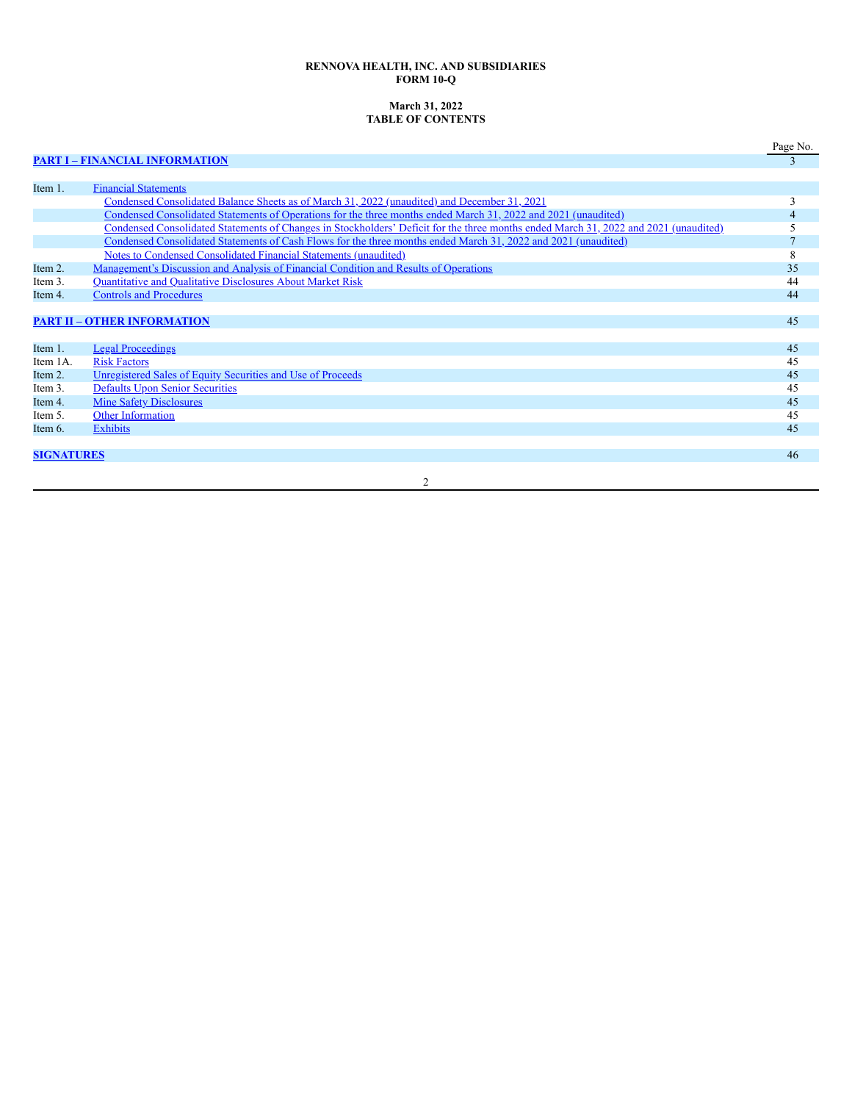# **RENNOVA HEALTH, INC. AND SUBSIDIARIES FORM 10-Q**

# **March 31, 2022 TABLE OF CONTENTS**

|                   |                                                                                                                                      | Page No.      |
|-------------------|--------------------------------------------------------------------------------------------------------------------------------------|---------------|
|                   | <b>PART I - FINANCIAL INFORMATION</b>                                                                                                |               |
|                   |                                                                                                                                      |               |
| Item 1.           | <b>Financial Statements</b>                                                                                                          |               |
|                   | Condensed Consolidated Balance Sheets as of March 31, 2022 (unaudited) and December 31, 2021                                         | 3             |
|                   | Condensed Consolidated Statements of Operations for the three months ended March 31, 2022 and 2021 (unaudited)                       | 4             |
|                   | Condensed Consolidated Statements of Changes in Stockholders' Deficit for the three months ended March 31, 2022 and 2021 (unaudited) | 5             |
|                   | Condensed Consolidated Statements of Cash Flows for the three months ended March 31, 2022 and 2021 (unaudited)                       | $\mathcal{I}$ |
|                   | Notes to Condensed Consolidated Financial Statements (unaudited)                                                                     | 8             |
| Item 2.           | Management's Discussion and Analysis of Financial Condition and Results of Operations                                                | 35            |
| Item 3.           | Quantitative and Qualitative Disclosures About Market Risk                                                                           | 44            |
| Item 4.           | <b>Controls and Procedures</b>                                                                                                       | 44            |
|                   |                                                                                                                                      |               |
|                   | <b>PART II - OTHER INFORMATION</b>                                                                                                   | 45            |
|                   |                                                                                                                                      |               |
| Item 1.           | <b>Legal Proceedings</b>                                                                                                             | 45            |
| Item 1A.          | <b>Risk Factors</b>                                                                                                                  | 45            |
| Item 2.           | Unregistered Sales of Equity Securities and Use of Proceeds                                                                          | 45            |
| Item 3.           | <b>Defaults Upon Senior Securities</b>                                                                                               | 45            |
| Item 4.           | <b>Mine Safety Disclosures</b>                                                                                                       | 45            |
| Item 5.           | <b>Other Information</b>                                                                                                             | 45            |
| Item 6.           | <b>Exhibits</b>                                                                                                                      | 45            |
|                   |                                                                                                                                      |               |
| <b>SIGNATURES</b> |                                                                                                                                      | 46            |
|                   |                                                                                                                                      |               |
|                   | $\overline{2}$                                                                                                                       |               |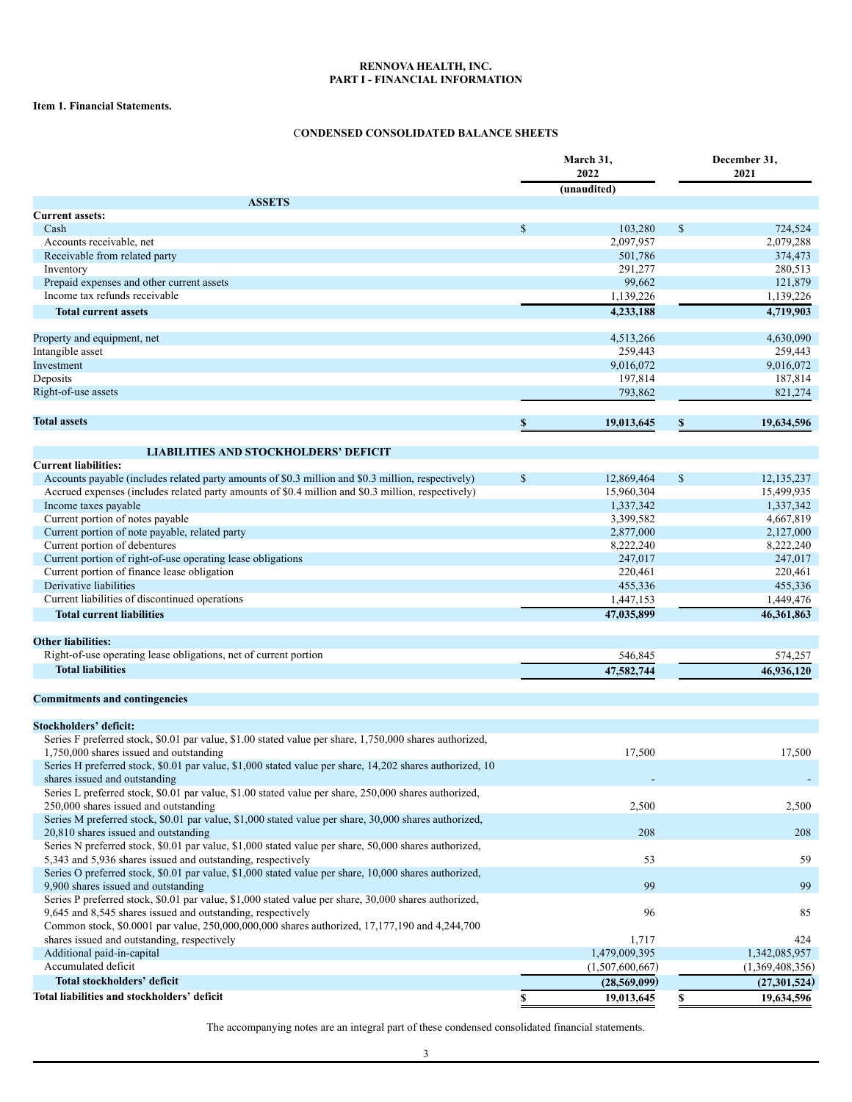# **RENNOVA HEALTH, INC. PART I - FINANCIAL INFORMATION**

# <span id="page-2-1"></span><span id="page-2-0"></span>**Item 1. Financial Statements.**

# <span id="page-2-2"></span>C**ONDENSED CONSOLIDATED BALANCE SHEETS**

|                                                                                                                                                                      |               | March 31,<br>2022 | December 31,<br>2021 |                 |  |
|----------------------------------------------------------------------------------------------------------------------------------------------------------------------|---------------|-------------------|----------------------|-----------------|--|
|                                                                                                                                                                      |               | (unaudited)       |                      |                 |  |
| <b>ASSETS</b>                                                                                                                                                        |               |                   |                      |                 |  |
| <b>Current assets:</b>                                                                                                                                               |               |                   |                      |                 |  |
| Cash                                                                                                                                                                 | $\mathbf{s}$  | 103,280           | $\mathbb{S}$         | 724,524         |  |
| Accounts receivable, net                                                                                                                                             |               | 2,097,957         |                      | 2,079,288       |  |
| Receivable from related party                                                                                                                                        |               | 501,786           |                      | 374,473         |  |
| Inventory                                                                                                                                                            |               | 291,277           |                      | 280,513         |  |
| Prepaid expenses and other current assets                                                                                                                            |               | 99,662            |                      | 121,879         |  |
| Income tax refunds receivable                                                                                                                                        |               | 1,139,226         |                      | 1,139,226       |  |
| <b>Total current assets</b>                                                                                                                                          |               | 4,233,188         |                      | 4,719,903       |  |
| Property and equipment, net                                                                                                                                          |               | 4,513,266         |                      | 4,630,090       |  |
| Intangible asset                                                                                                                                                     |               | 259,443           |                      | 259,443         |  |
| Investment                                                                                                                                                           |               | 9,016,072         |                      | 9,016,072       |  |
| Deposits                                                                                                                                                             |               | 197,814           |                      | 187,814         |  |
| Right-of-use assets                                                                                                                                                  |               | 793,862           |                      | 821,274         |  |
|                                                                                                                                                                      |               |                   |                      |                 |  |
| <b>Total assets</b>                                                                                                                                                  | \$            | 19,013,645        | \$                   | 19,634,596      |  |
| <b>LIABILITIES AND STOCKHOLDERS' DEFICIT</b>                                                                                                                         |               |                   |                      |                 |  |
| <b>Current liabilities:</b>                                                                                                                                          |               |                   |                      |                 |  |
| Accounts payable (includes related party amounts of \$0.3 million and \$0.3 million, respectively)                                                                   | $\mathcal{S}$ | 12,869,464        | $\$$                 | 12.135.237      |  |
| Accrued expenses (includes related party amounts of \$0.4 million and \$0.3 million, respectively)                                                                   |               | 15,960,304        |                      | 15,499,935      |  |
| Income taxes payable                                                                                                                                                 |               | 1,337,342         |                      | 1,337,342       |  |
| Current portion of notes payable                                                                                                                                     |               | 3,399,582         |                      | 4,667,819       |  |
| Current portion of note payable, related party                                                                                                                       |               | 2,877,000         |                      | 2,127,000       |  |
| Current portion of debentures                                                                                                                                        |               | 8,222,240         |                      | 8,222,240       |  |
| Current portion of right-of-use operating lease obligations                                                                                                          |               | 247,017           |                      | 247,017         |  |
|                                                                                                                                                                      |               |                   |                      |                 |  |
| Current portion of finance lease obligation                                                                                                                          |               | 220,461           |                      | 220,461         |  |
| Derivative liabilities                                                                                                                                               |               | 455,336           |                      | 455,336         |  |
| Current liabilities of discontinued operations                                                                                                                       |               | 1,447,153         |                      | 1,449,476       |  |
| <b>Total current liabilities</b>                                                                                                                                     |               | 47,035,899        |                      | 46,361,863      |  |
| <b>Other liabilities:</b>                                                                                                                                            |               |                   |                      |                 |  |
| Right-of-use operating lease obligations, net of current portion                                                                                                     |               | 546,845           |                      | 574,257         |  |
| <b>Total liabilities</b>                                                                                                                                             |               | 47,582,744        |                      | 46,936,120      |  |
|                                                                                                                                                                      |               |                   |                      |                 |  |
| <b>Commitments and contingencies</b>                                                                                                                                 |               |                   |                      |                 |  |
| Stockholders' deficit:                                                                                                                                               |               |                   |                      |                 |  |
| Series F preferred stock, \$0.01 par value, \$1.00 stated value per share, 1,750,000 shares authorized,                                                              |               |                   |                      |                 |  |
| 1,750,000 shares issued and outstanding                                                                                                                              |               | 17,500            |                      | 17,500          |  |
| Series H preferred stock, \$0.01 par value, \$1,000 stated value per share, 14,202 shares authorized, 10                                                             |               |                   |                      |                 |  |
| shares issued and outstanding                                                                                                                                        |               |                   |                      |                 |  |
| Series L preferred stock, \$0.01 par value, \$1.00 stated value per share, 250,000 shares authorized,                                                                |               |                   |                      |                 |  |
| 250,000 shares issued and outstanding                                                                                                                                |               | 2,500             |                      | 2,500           |  |
| Series M preferred stock, \$0.01 par value, \$1,000 stated value per share, 30,000 shares authorized,                                                                |               |                   |                      |                 |  |
| 20,810 shares issued and outstanding<br>Series N preferred stock, \$0.01 par value, \$1,000 stated value per share, 50,000 shares authorized,                        |               | 208               |                      | 208             |  |
| 5,343 and 5,936 shares issued and outstanding, respectively                                                                                                          |               | 53                |                      | 59              |  |
| Series O preferred stock, \$0.01 par value, \$1,000 stated value per share, 10,000 shares authorized,                                                                |               |                   |                      |                 |  |
| 9,900 shares issued and outstanding                                                                                                                                  |               | 99                |                      | 99              |  |
| Series P preferred stock, \$0.01 par value, \$1,000 stated value per share, 30,000 shares authorized,<br>9,645 and 8,545 shares issued and outstanding, respectively |               | 96                |                      | 85              |  |
| Common stock, \$0.0001 par value, 250,000,000,000 shares authorized, 17,177,190 and 4,244,700                                                                        |               |                   |                      |                 |  |
| shares issued and outstanding, respectively                                                                                                                          |               | 1,717             |                      | 424             |  |
| Additional paid-in-capital                                                                                                                                           |               | 1,479,009,395     |                      | 1,342,085,957   |  |
| Accumulated deficit                                                                                                                                                  |               | (1,507,600,667)   |                      | (1,369,408,356) |  |
| Total stockholders' deficit                                                                                                                                          |               | (28, 569, 099)    |                      | (27, 301, 524)  |  |
| Total liabilities and stockholders' deficit                                                                                                                          | S             | 19,013,645        | S                    | 19,634,596      |  |

The accompanying notes are an integral part of these condensed consolidated financial statements.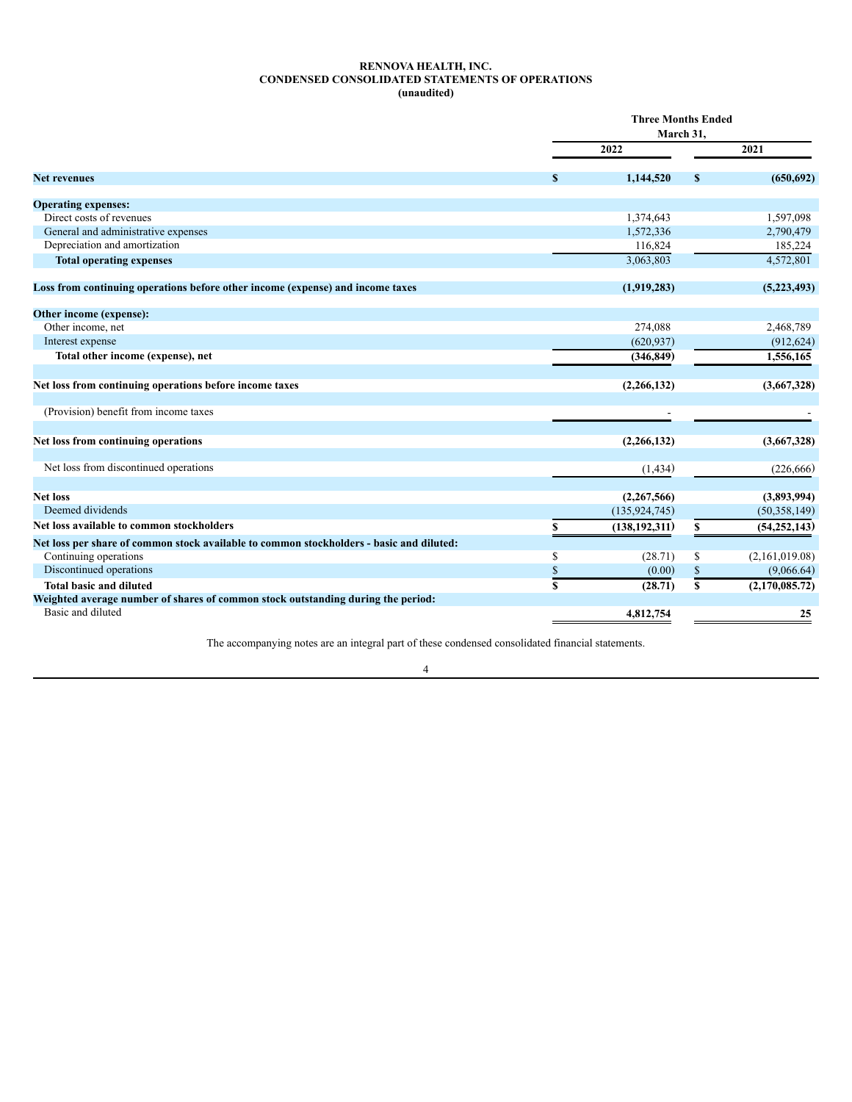# **RENNOVA HEALTH, INC. CONDENSED CONSOLIDATED STATEMENTS OF OPERATIONS (unaudited)**

<span id="page-3-0"></span>

|                                                                                          | <b>Three Months Ended</b><br>March 31. |                 |               |                |
|------------------------------------------------------------------------------------------|----------------------------------------|-----------------|---------------|----------------|
|                                                                                          |                                        | 2022            |               | 2021           |
| <b>Net revenues</b>                                                                      | S                                      | 1,144,520       | $\mathbf{s}$  | (650, 692)     |
| <b>Operating expenses:</b>                                                               |                                        |                 |               |                |
| Direct costs of revenues                                                                 |                                        | 1,374,643       |               | 1,597,098      |
| General and administrative expenses                                                      |                                        | 1,572,336       |               | 2,790,479      |
| Depreciation and amortization                                                            |                                        | 116,824         |               | 185,224        |
| <b>Total operating expenses</b>                                                          |                                        | 3,063,803       |               | 4,572,801      |
| Loss from continuing operations before other income (expense) and income taxes           |                                        | (1,919,283)     |               | (5,223,493)    |
| Other income (expense):                                                                  |                                        |                 |               |                |
| Other income, net                                                                        |                                        | 274,088         |               | 2,468,789      |
| Interest expense                                                                         |                                        | (620, 937)      |               | (912, 624)     |
| Total other income (expense), net                                                        |                                        | (346, 849)      |               | 1,556,165      |
| Net loss from continuing operations before income taxes                                  |                                        | (2,266,132)     |               | (3,667,328)    |
| (Provision) benefit from income taxes                                                    |                                        |                 |               |                |
| Net loss from continuing operations                                                      |                                        | (2,266,132)     |               | (3,667,328)    |
| Net loss from discontinued operations                                                    |                                        | (1, 434)        |               | (226, 666)     |
| <b>Net loss</b>                                                                          |                                        | (2,267,566)     |               | (3,893,994)    |
| Deemed dividends                                                                         |                                        | (135, 924, 745) |               | (50, 358, 149) |
| Net loss available to common stockholders                                                | S                                      | (138, 192, 311) | S             | (54, 252, 143) |
| Net loss per share of common stock available to common stockholders - basic and diluted: |                                        |                 |               |                |
| Continuing operations                                                                    | S                                      | (28.71)         | \$            | (2,161,019.08) |
| Discontinued operations                                                                  | $\mathcal{S}$                          | (0.00)          | $\mathsf{\$}$ | (9,066.64)     |
| <b>Total basic and diluted</b>                                                           | $\overline{\mathbf{s}}$                | (28.71)         | \$            | (2,170,085,72) |
| Weighted average number of shares of common stock outstanding during the period:         |                                        |                 |               |                |
| Basic and diluted                                                                        |                                        | 4,812,754       |               | 25             |

The accompanying notes are an integral part of these condensed consolidated financial statements.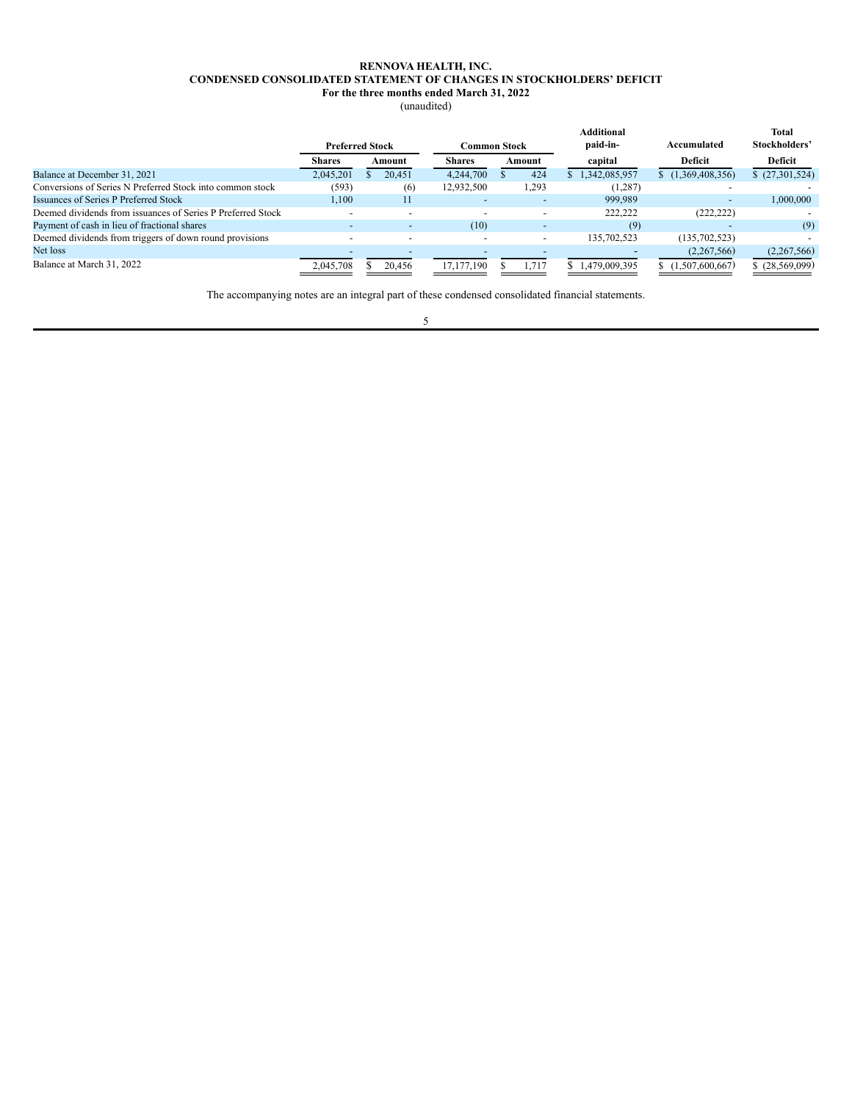# **RENNOVA HEALTH, INC. CONDENSED CONSOLIDATED STATEMENT OF CHANGES IN STOCKHOLDERS' DEFICIT For the three months ended March 31, 2022**

(unaudited)

<span id="page-4-0"></span>

|                                                             | <b>Preferred Stock</b>   |        | <b>Common Stock</b> |        |       | <b>Additional</b><br>paid-in- |              | Accumulated |                          | <b>Total</b><br>Stockholders' |
|-------------------------------------------------------------|--------------------------|--------|---------------------|--------|-------|-------------------------------|--------------|-------------|--------------------------|-------------------------------|
|                                                             | <b>Shares</b>            | Amount | <b>Shares</b>       | Amount |       |                               | capital      |             | Deficit                  | Deficit                       |
| Balance at December 31, 2021                                | 2,045,201                | 20,451 | 4,244,700           |        | 424   |                               | .342,085,957 |             | (1,369,408,356)          | \$(27,301,524)                |
| Conversions of Series N Preferred Stock into common stock   | (593)                    | (6)    | 12,932,500          |        | 1,293 |                               | (1, 287)     |             |                          |                               |
| Issuances of Series P Preferred Stock                       | .100                     | 11     |                     |        |       |                               | 999,989      |             | $\overline{\phantom{a}}$ | 1,000,000                     |
| Deemed dividends from issuances of Series P Preferred Stock |                          |        |                     |        |       |                               | 222,222      |             | (222, 222)               |                               |
| Payment of cash in lieu of fractional shares                |                          |        | (10)                |        |       |                               | (9)          |             |                          | (9)                           |
| Deemed dividends from triggers of down round provisions     | $\overline{\phantom{a}}$ |        |                     |        |       |                               | 135,702,523  |             | (135, 702, 523)          |                               |
| Net loss                                                    |                          |        |                     |        |       |                               |              |             | (2,267,566)              | (2,267,566)                   |
| Balance at March 31, 2022                                   | 2.045.708                | 20.456 | 17.177.190          |        | .717  |                               | .479.009.395 |             | (1.507, 600, 667)        | \$(28, 569, 099)              |

The accompanying notes are an integral part of these condensed consolidated financial statements.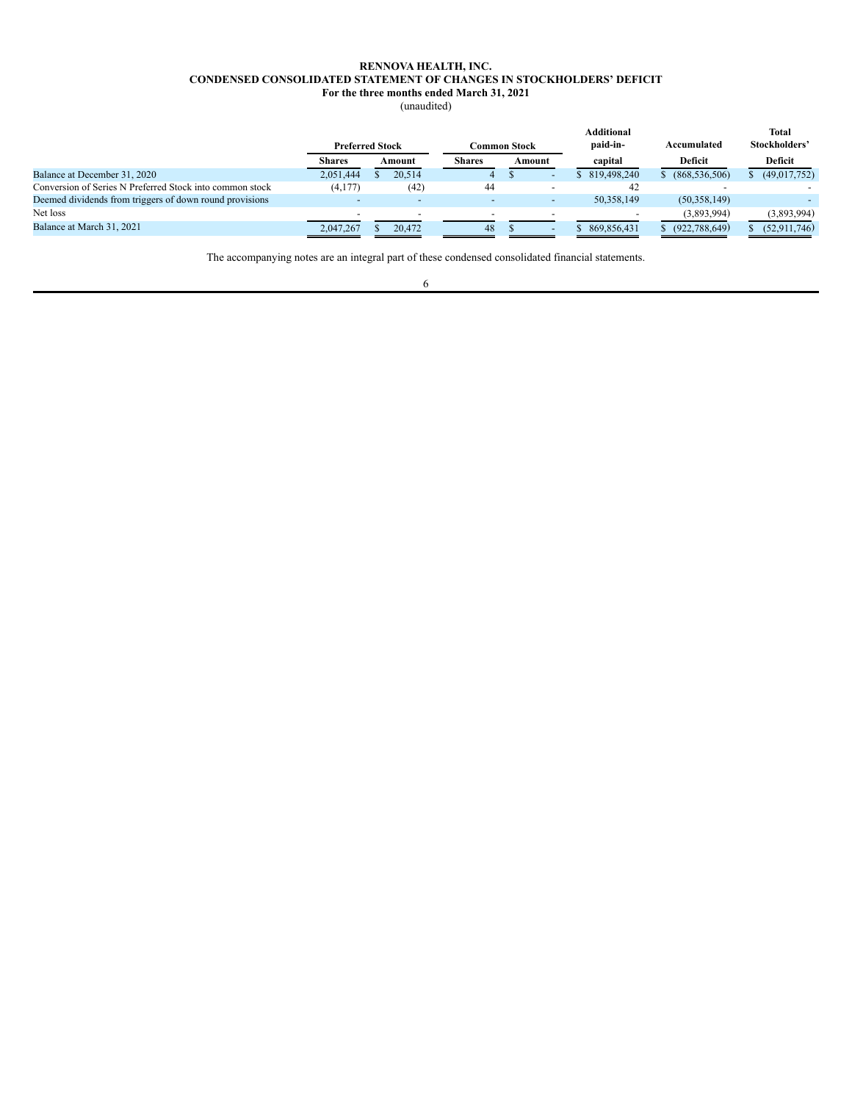# **RENNOVA HEALTH, INC. CONDENSED CONSOLIDATED STATEMENT OF CHANGES IN STOCKHOLDERS' DEFICIT For the three months ended March 31, 2021**

(unaudited)

|                                                          |               |                                        |               |  |        | <b>Additional</b> |                  | Total         |
|----------------------------------------------------------|---------------|----------------------------------------|---------------|--|--------|-------------------|------------------|---------------|
|                                                          |               | <b>Preferred Stock</b><br>Common Stock |               |  |        | paid-in-          | Accumulated      | Stockholders' |
|                                                          | <b>Shares</b> | Amount                                 | <b>Shares</b> |  | Amount | capital           | Deficit          | Deficit       |
| Balance at December 31, 2020                             | 2,051,444     | 20,514                                 | 4             |  | $\sim$ | 819,498,240       | (868, 536, 506)  | (49,017,752)  |
| Conversion of Series N Preferred Stock into common stock | (4,177)       | (42)                                   | 44            |  |        | 42                |                  |               |
| Deemed dividends from triggers of down round provisions  |               |                                        |               |  |        | 50,358,149        | (50, 358, 149)   |               |
| Net loss                                                 |               |                                        |               |  |        |                   | (3,893,994)      | (3,893,994)   |
| Balance at March 31, 2021                                | 2,047,267     | 20.472                                 | 48            |  |        | 869.856.431       | \$ (922.788.649) | (52.911.746)  |

The accompanying notes are an integral part of these condensed consolidated financial statements.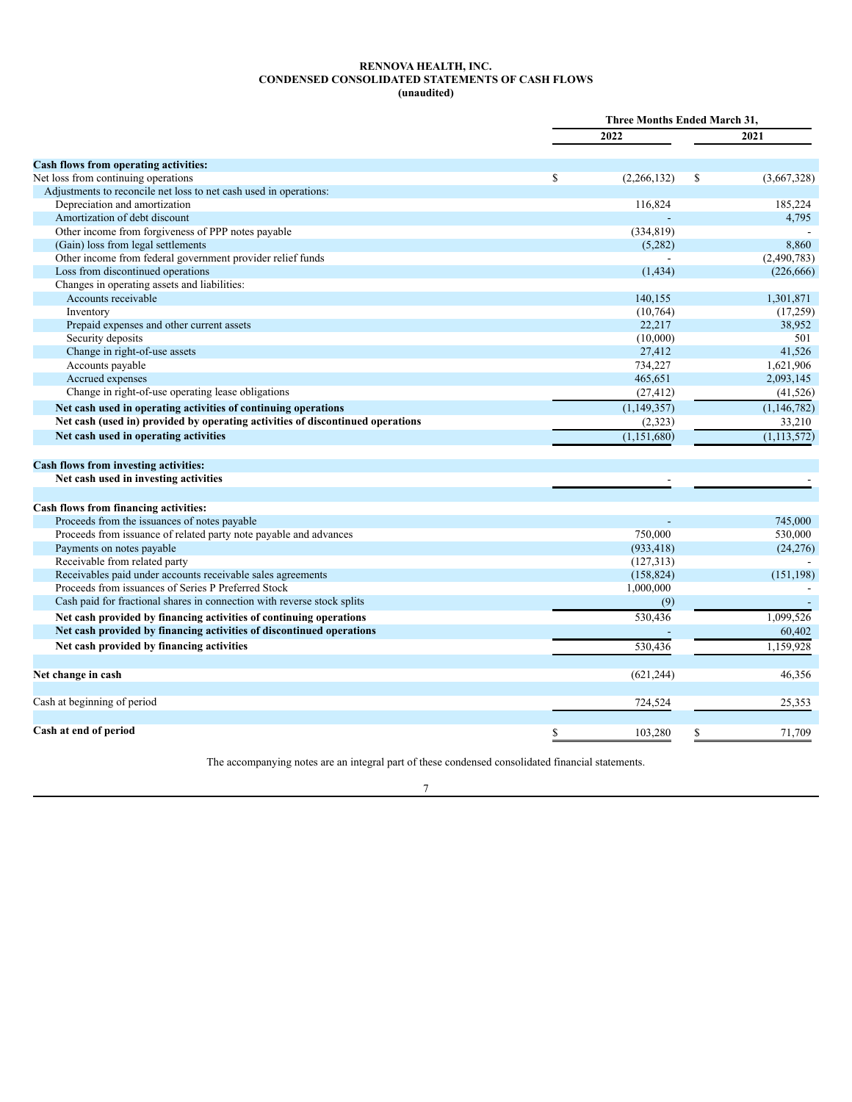# **RENNOVA HEALTH, INC. CONDENSED CONSOLIDATED STATEMENTS OF CASH FLOWS (unaudited)**

<span id="page-6-0"></span>

|                                                                                | <b>Three Months Ended March 31,</b> |               |    |               |
|--------------------------------------------------------------------------------|-------------------------------------|---------------|----|---------------|
|                                                                                |                                     | 2022          |    | 2021          |
| <b>Cash flows from operating activities:</b>                                   |                                     |               |    |               |
| Net loss from continuing operations                                            | \$                                  | (2,266,132)   | \$ | (3,667,328)   |
| Adjustments to reconcile net loss to net cash used in operations:              |                                     |               |    |               |
| Depreciation and amortization                                                  |                                     | 116,824       |    | 185,224       |
| Amortization of debt discount                                                  |                                     |               |    | 4,795         |
| Other income from forgiveness of PPP notes payable                             |                                     | (334, 819)    |    |               |
| (Gain) loss from legal settlements                                             |                                     | (5,282)       |    | 8,860         |
| Other income from federal government provider relief funds                     |                                     |               |    | (2,490,783)   |
| Loss from discontinued operations                                              |                                     | (1, 434)      |    | (226, 666)    |
| Changes in operating assets and liabilities:                                   |                                     |               |    |               |
| Accounts receivable                                                            |                                     | 140,155       |    | 1,301,871     |
| Inventory                                                                      |                                     | (10,764)      |    | (17,259)      |
| Prepaid expenses and other current assets                                      |                                     | 22,217        |    | 38,952        |
| Security deposits                                                              |                                     | (10,000)      |    | 501           |
| Change in right-of-use assets                                                  |                                     | 27,412        |    | 41,526        |
| Accounts payable                                                               |                                     | 734,227       |    | 1,621,906     |
| Accrued expenses                                                               |                                     | 465,651       |    | 2,093,145     |
| Change in right-of-use operating lease obligations                             |                                     | (27, 412)     |    | (41, 526)     |
| Net cash used in operating activities of continuing operations                 |                                     | (1, 149, 357) |    | (1,146,782)   |
| Net cash (used in) provided by operating activities of discontinued operations |                                     | (2,323)       |    | 33,210        |
| Net cash used in operating activities                                          |                                     | (1,151,680)   |    | (1, 113, 572) |
| Cash flows from investing activities:                                          |                                     |               |    |               |
| Net cash used in investing activities                                          |                                     |               |    |               |
|                                                                                |                                     |               |    |               |
| Cash flows from financing activities:                                          |                                     |               |    |               |
| Proceeds from the issuances of notes payable                                   |                                     |               |    | 745,000       |
| Proceeds from issuance of related party note payable and advances              |                                     | 750,000       |    | 530,000       |
| Payments on notes payable                                                      |                                     | (933, 418)    |    | (24, 276)     |
| Receivable from related party                                                  |                                     | (127, 313)    |    |               |
| Receivables paid under accounts receivable sales agreements                    |                                     | (158, 824)    |    | (151, 198)    |
| Proceeds from issuances of Series P Preferred Stock                            |                                     | 1,000,000     |    |               |
| Cash paid for fractional shares in connection with reverse stock splits        |                                     | (9)           |    |               |
| Net cash provided by financing activities of continuing operations             |                                     | 530,436       |    | 1,099,526     |
| Net cash provided by financing activities of discontinued operations           |                                     |               |    | 60,402        |
| Net cash provided by financing activities                                      |                                     | 530,436       |    | 1,159,928     |
| Net change in cash                                                             |                                     | (621, 244)    |    | 46,356        |
| Cash at beginning of period                                                    |                                     | 724,524       |    | 25,353        |
|                                                                                |                                     |               |    |               |
| Cash at end of period                                                          | S                                   | 103,280       | \$ | 71,709        |

The accompanying notes are an integral part of these condensed consolidated financial statements.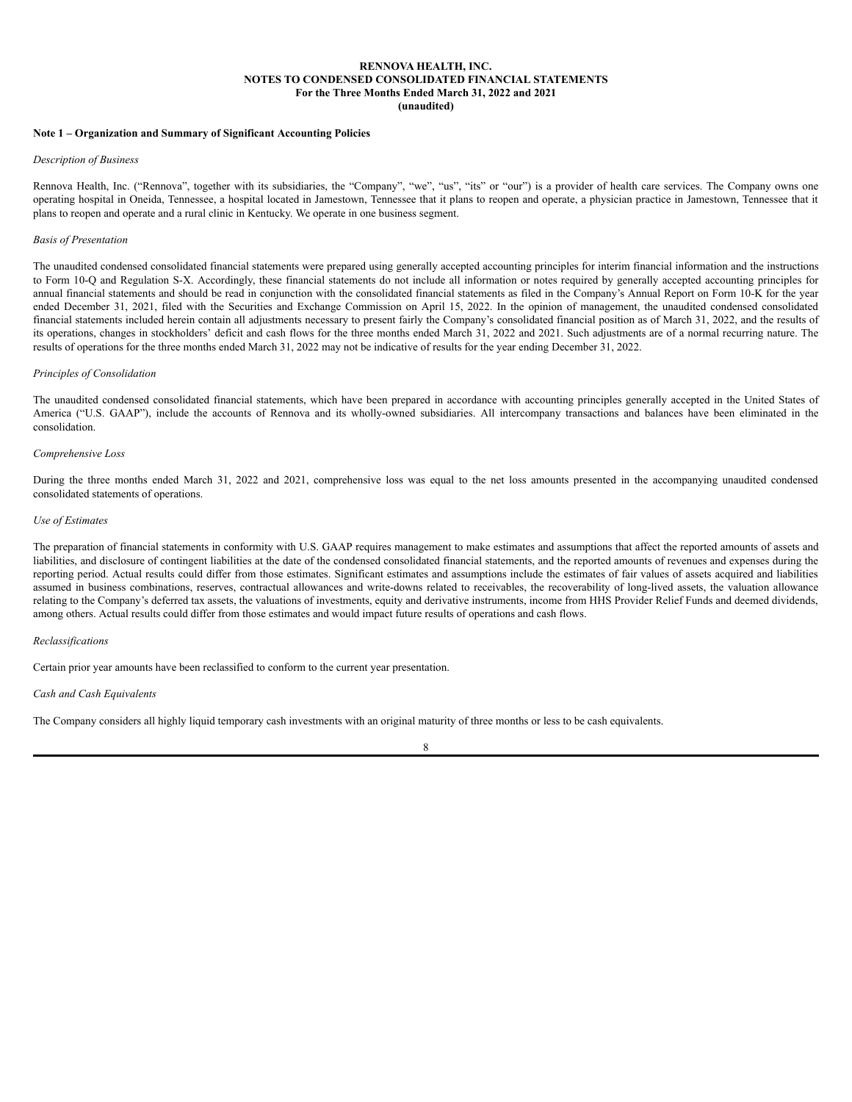#### **RENNOVA HEALTH, INC. NOTES TO CONDENSED CONSOLIDATED FINANCIAL STATEMENTS For the Three Months Ended March 31, 2022 and 2021 (unaudited)**

#### <span id="page-7-0"></span>**Note 1 – Organization and Summary of Significant Accounting Policies**

#### *Description of Business*

Rennova Health, Inc. ("Rennova", together with its subsidiaries, the "Company", "we", "us", "its" or "our") is a provider of health care services. The Company owns one operating hospital in Oneida, Tennessee, a hospital located in Jamestown, Tennessee that it plans to reopen and operate, a physician practice in Jamestown, Tennessee that it plans to reopen and operate and a rural clinic in Kentucky. We operate in one business segment.

#### *Basis of Presentation*

The unaudited condensed consolidated financial statements were prepared using generally accepted accounting principles for interim financial information and the instructions to Form 10-Q and Regulation S-X. Accordingly, these financial statements do not include all information or notes required by generally accepted accounting principles for annual financial statements and should be read in conjunction with the consolidated financial statements as filed in the Company's Annual Report on Form 10-K for the year ended December 31, 2021, filed with the Securities and Exchange Commission on April 15, 2022. In the opinion of management, the unaudited condensed consolidated financial statements included herein contain all adjustments necessary to present fairly the Company's consolidated financial position as of March 31, 2022, and the results of its operations, changes in stockholders' deficit and cash flows for the three months ended March 31, 2022 and 2021. Such adjustments are of a normal recurring nature. The results of operations for the three months ended March 31, 2022 may not be indicative of results for the year ending December 31, 2022.

### *Principles of Consolidation*

The unaudited condensed consolidated financial statements, which have been prepared in accordance with accounting principles generally accepted in the United States of America ("U.S. GAAP"), include the accounts of Rennova and its wholly-owned subsidiaries. All intercompany transactions and balances have been eliminated in the consolidation.

## *Comprehensive Loss*

During the three months ended March 31, 2022 and 2021, comprehensive loss was equal to the net loss amounts presented in the accompanying unaudited condensed consolidated statements of operations.

## *Use of Estimates*

The preparation of financial statements in conformity with U.S. GAAP requires management to make estimates and assumptions that affect the reported amounts of assets and liabilities, and disclosure of contingent liabilities at the date of the condensed consolidated financial statements, and the reported amounts of revenues and expenses during the reporting period. Actual results could differ from those estimates. Significant estimates and assumptions include the estimates of fair values of assets acquired and liabilities assumed in business combinations, reserves, contractual allowances and write-downs related to receivables, the recoverability of long-lived assets, the valuation allowance relating to the Company's deferred tax assets, the valuations of investments, equity and derivative instruments, income from HHS Provider Relief Funds and deemed dividends, among others. Actual results could differ from those estimates and would impact future results of operations and cash flows.

#### *Reclassifications*

Certain prior year amounts have been reclassified to conform to the current year presentation.

#### *Cash and Cash Equivalents*

The Company considers all highly liquid temporary cash investments with an original maturity of three months or less to be cash equivalents.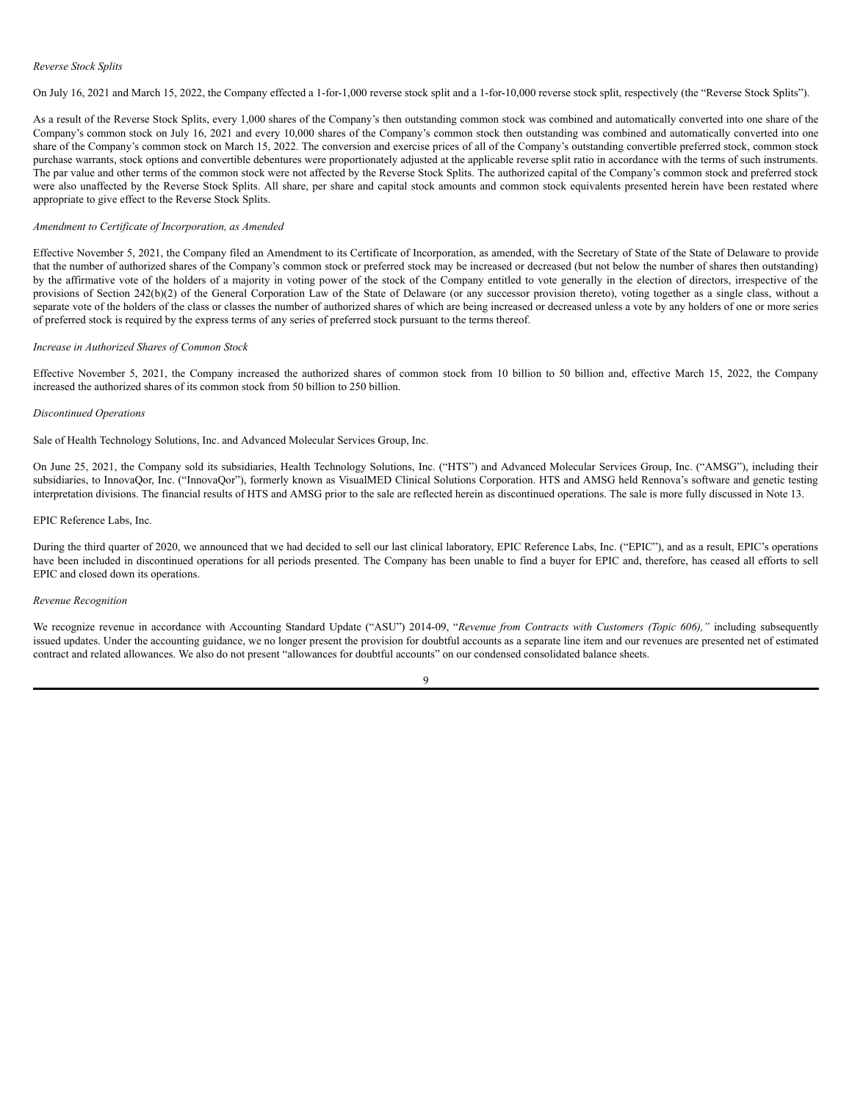## *Reverse Stock Splits*

On July 16, 2021 and March 15, 2022, the Company effected a 1-for-1,000 reverse stock split and a 1-for-10,000 reverse stock split, respectively (the "Reverse Stock Splits").

As a result of the Reverse Stock Splits, every 1,000 shares of the Company's then outstanding common stock was combined and automatically converted into one share of the Company's common stock on July 16, 2021 and every 10,000 shares of the Company's common stock then outstanding was combined and automatically converted into one share of the Company's common stock on March 15, 2022. The conversion and exercise prices of all of the Company's outstanding convertible preferred stock, common stock purchase warrants, stock options and convertible debentures were proportionately adjusted at the applicable reverse split ratio in accordance with the terms of such instruments. The par value and other terms of the common stock were not affected by the Reverse Stock Splits. The authorized capital of the Company's common stock and preferred stock were also unaffected by the Reverse Stock Splits. All share, per share and capital stock amounts and common stock equivalents presented herein have been restated where appropriate to give effect to the Reverse Stock Splits.

#### *Amendment to Certificate of Incorporation, as Amended*

Effective November 5, 2021, the Company filed an Amendment to its Certificate of Incorporation, as amended, with the Secretary of State of the State of Delaware to provide that the number of authorized shares of the Company's common stock or preferred stock may be increased or decreased (but not below the number of shares then outstanding) by the affirmative vote of the holders of a majority in voting power of the stock of the Company entitled to vote generally in the election of directors, irrespective of the provisions of Section 242(b)(2) of the General Corporation Law of the State of Delaware (or any successor provision thereto), voting together as a single class, without a separate vote of the holders of the class or classes the number of authorized shares of which are being increased or decreased unless a vote by any holders of one or more series of preferred stock is required by the express terms of any series of preferred stock pursuant to the terms thereof.

#### *Increase in Authorized Shares of Common Stock*

Effective November 5, 2021, the Company increased the authorized shares of common stock from 10 billion to 50 billion and, effective March 15, 2022, the Company increased the authorized shares of its common stock from 50 billion to 250 billion.

#### *Discontinued Operations*

Sale of Health Technology Solutions, Inc. and Advanced Molecular Services Group, Inc.

On June 25, 2021, the Company sold its subsidiaries, Health Technology Solutions, Inc. ("HTS") and Advanced Molecular Services Group, Inc. ("AMSG"), including their subsidiaries, to InnovaQor, Inc. ("InnovaQor"), formerly known as VisualMED Clinical Solutions Corporation. HTS and AMSG held Rennova's software and genetic testing interpretation divisions. The financial results of HTS and AMSG prior to the sale are reflected herein as discontinued operations. The sale is more fully discussed in Note 13.

#### EPIC Reference Labs, Inc.

During the third quarter of 2020, we announced that we had decided to sell our last clinical laboratory, EPIC Reference Labs, Inc. ("EPIC"), and as a result, EPIC's operations have been included in discontinued operations for all periods presented. The Company has been unable to find a buyer for EPIC and, therefore, has ceased all efforts to sell EPIC and closed down its operations.

#### *Revenue Recognition*

We recognize revenue in accordance with Accounting Standard Update ("ASU") 2014-09, "*Revenue from Contracts with Customers (Topic 606),"* including subsequently issued updates. Under the accounting guidance, we no longer present the provision for doubtful accounts as a separate line item and our revenues are presented net of estimated contract and related allowances. We also do not present "allowances for doubtful accounts" on our condensed consolidated balance sheets.

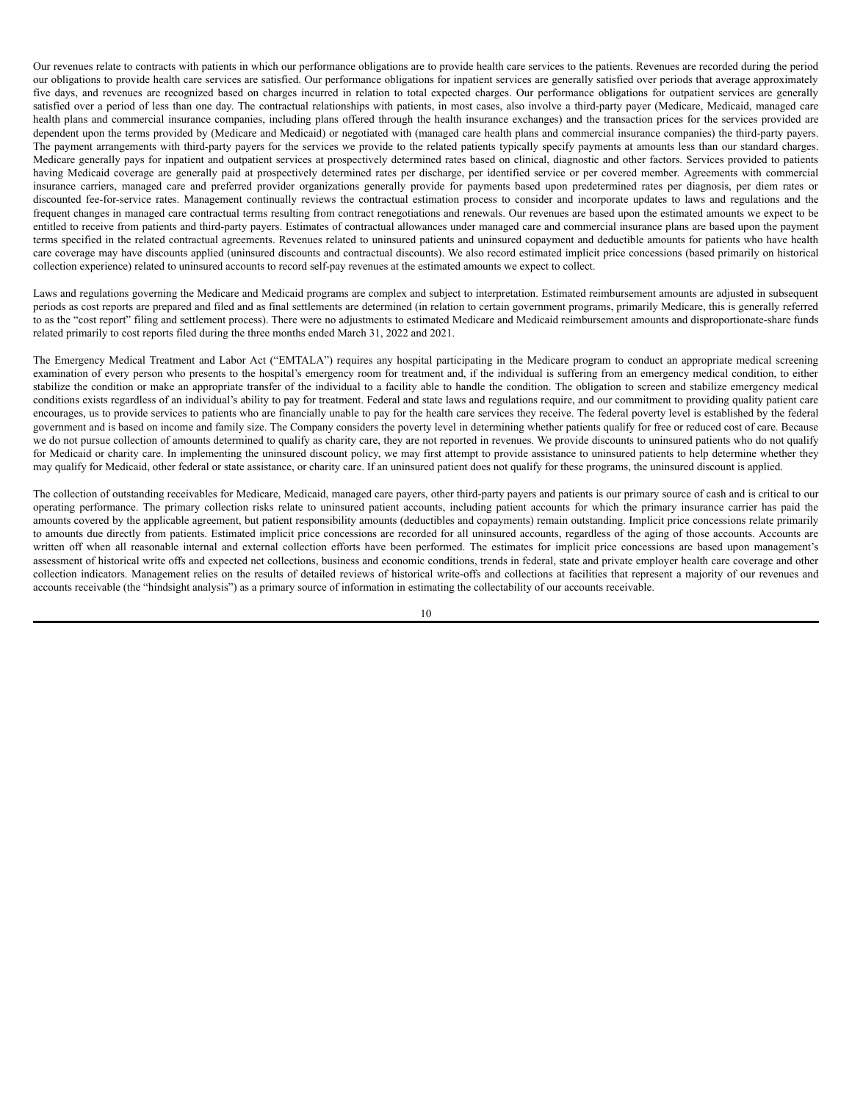Our revenues relate to contracts with patients in which our performance obligations are to provide health care services to the patients. Revenues are recorded during the period our obligations to provide health care services are satisfied. Our performance obligations for inpatient services are generally satisfied over periods that average approximately five days, and revenues are recognized based on charges incurred in relation to total expected charges. Our performance obligations for outpatient services are generally satisfied over a period of less than one day. The contractual relationships with patients, in most cases, also involve a third-party payer (Medicare, Medicaid, managed care health plans and commercial insurance companies, including plans offered through the health insurance exchanges) and the transaction prices for the services provided are dependent upon the terms provided by (Medicare and Medicaid) or negotiated with (managed care health plans and commercial insurance companies) the third-party payers. The payment arrangements with third-party payers for the services we provide to the related patients typically specify payments at amounts less than our standard charges. Medicare generally pays for inpatient and outpatient services at prospectively determined rates based on clinical, diagnostic and other factors. Services provided to patients having Medicaid coverage are generally paid at prospectively determined rates per discharge, per identified service or per covered member. Agreements with commercial insurance carriers, managed care and preferred provider organizations generally provide for payments based upon predetermined rates per diagnosis, per diem rates or discounted fee-for-service rates. Management continually reviews the contractual estimation process to consider and incorporate updates to laws and regulations and the frequent changes in managed care contractual terms resulting from contract renegotiations and renewals. Our revenues are based upon the estimated amounts we expect to be entitled to receive from patients and third-party payers. Estimates of contractual allowances under managed care and commercial insurance plans are based upon the payment terms specified in the related contractual agreements. Revenues related to uninsured patients and uninsured copayment and deductible amounts for patients who have health care coverage may have discounts applied (uninsured discounts and contractual discounts). We also record estimated implicit price concessions (based primarily on historical collection experience) related to uninsured accounts to record self-pay revenues at the estimated amounts we expect to collect.

Laws and regulations governing the Medicare and Medicaid programs are complex and subject to interpretation. Estimated reimbursement amounts are adjusted in subsequent periods as cost reports are prepared and filed and as final settlements are determined (in relation to certain government programs, primarily Medicare, this is generally referred to as the "cost report" filing and settlement process). There were no adjustments to estimated Medicare and Medicaid reimbursement amounts and disproportionate-share funds related primarily to cost reports filed during the three months ended March 31, 2022 and 2021.

The Emergency Medical Treatment and Labor Act ("EMTALA") requires any hospital participating in the Medicare program to conduct an appropriate medical screening examination of every person who presents to the hospital's emergency room for treatment and, if the individual is suffering from an emergency medical condition, to either stabilize the condition or make an appropriate transfer of the individual to a facility able to handle the condition. The obligation to screen and stabilize emergency medical conditions exists regardless of an individual's ability to pay for treatment. Federal and state laws and regulations require, and our commitment to providing quality patient care encourages, us to provide services to patients who are financially unable to pay for the health care services they receive. The federal poverty level is established by the federal government and is based on income and family size. The Company considers the poverty level in determining whether patients qualify for free or reduced cost of care. Because we do not pursue collection of amounts determined to qualify as charity care, they are not reported in revenues. We provide discounts to uninsured patients who do not qualify for Medicaid or charity care. In implementing the uninsured discount policy, we may first attempt to provide assistance to uninsured patients to help determine whether they may qualify for Medicaid, other federal or state assistance, or charity care. If an uninsured patient does not qualify for these programs, the uninsured discount is applied.

The collection of outstanding receivables for Medicare, Medicaid, managed care payers, other third-party payers and patients is our primary source of cash and is critical to our operating performance. The primary collection risks relate to uninsured patient accounts, including patient accounts for which the primary insurance carrier has paid the amounts covered by the applicable agreement, but patient responsibility amounts (deductibles and copayments) remain outstanding. Implicit price concessions relate primarily to amounts due directly from patients. Estimated implicit price concessions are recorded for all uninsured accounts, regardless of the aging of those accounts. Accounts are written off when all reasonable internal and external collection efforts have been performed. The estimates for implicit price concessions are based upon management's assessment of historical write offs and expected net collections, business and economic conditions, trends in federal, state and private employer health care coverage and other collection indicators. Management relies on the results of detailed reviews of historical write-offs and collections at facilities that represent a majority of our revenues and accounts receivable (the "hindsight analysis") as a primary source of information in estimating the collectability of our accounts receivable.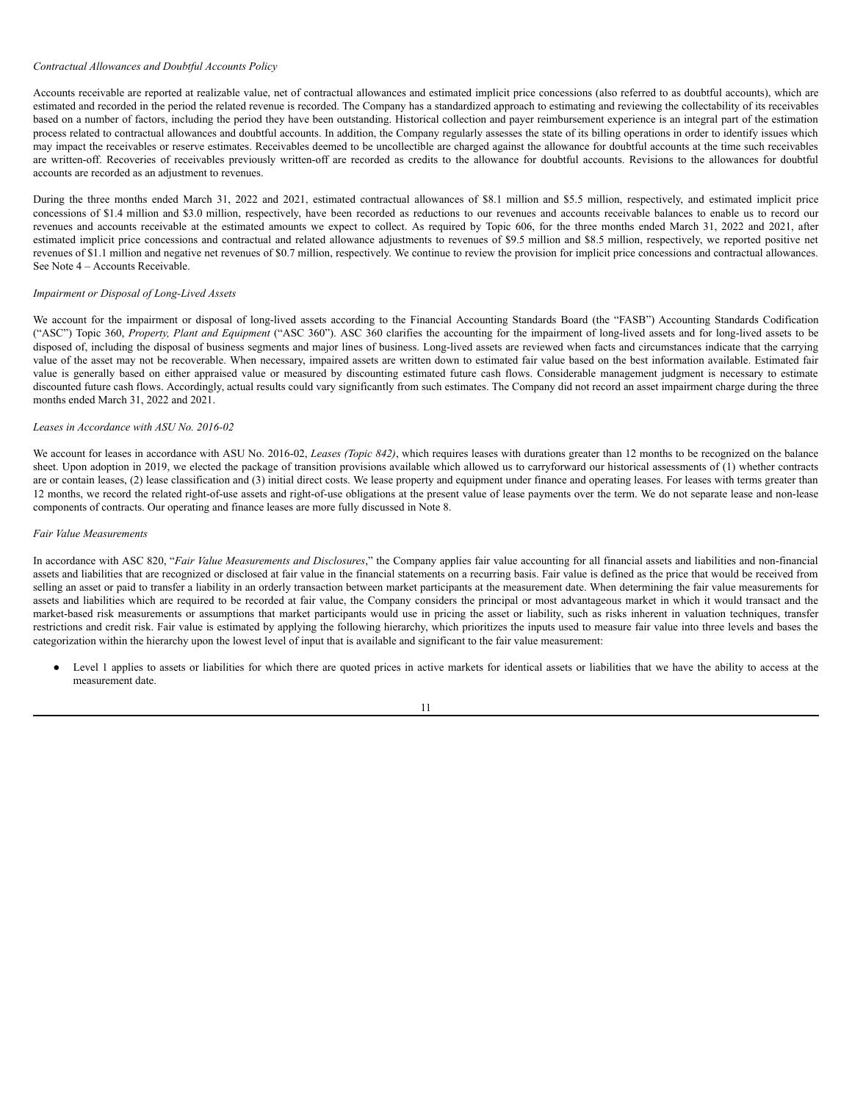# *Contractual Allowances and Doubtful Accounts Policy*

Accounts receivable are reported at realizable value, net of contractual allowances and estimated implicit price concessions (also referred to as doubtful accounts), which are estimated and recorded in the period the related revenue is recorded. The Company has a standardized approach to estimating and reviewing the collectability of its receivables based on a number of factors, including the period they have been outstanding. Historical collection and payer reimbursement experience is an integral part of the estimation process related to contractual allowances and doubtful accounts. In addition, the Company regularly assesses the state of its billing operations in order to identify issues which may impact the receivables or reserve estimates. Receivables deemed to be uncollectible are charged against the allowance for doubtful accounts at the time such receivables are written-off. Recoveries of receivables previously written-off are recorded as credits to the allowance for doubtful accounts. Revisions to the allowances for doubtful accounts are recorded as an adjustment to revenues.

During the three months ended March 31, 2022 and 2021, estimated contractual allowances of \$8.1 million and \$5.5 million, respectively, and estimated implicit price concessions of \$1.4 million and \$3.0 million, respectively, have been recorded as reductions to our revenues and accounts receivable balances to enable us to record our revenues and accounts receivable at the estimated amounts we expect to collect. As required by Topic 606, for the three months ended March 31, 2022 and 2021, after estimated implicit price concessions and contractual and related allowance adjustments to revenues of \$9.5 million and \$8.5 million, respectively, we reported positive net revenues of \$1.1 million and negative net revenues of \$0.7 million, respectively. We continue to review the provision for implicit price concessions and contractual allowances. See Note 4 – Accounts Receivable.

#### *Impairment or Disposal of Long-Lived Assets*

We account for the impairment or disposal of long-lived assets according to the Financial Accounting Standards Board (the "FASB") Accounting Standards Codification ("ASC") Topic 360, *Property, Plant and Equipment* ("ASC 360"). ASC 360 clarifies the accounting for the impairment of long-lived assets and for long-lived assets to be disposed of, including the disposal of business segments and major lines of business. Long-lived assets are reviewed when facts and circumstances indicate that the carrying value of the asset may not be recoverable. When necessary, impaired assets are written down to estimated fair value based on the best information available. Estimated fair value is generally based on either appraised value or measured by discounting estimated future cash flows. Considerable management judgment is necessary to estimate discounted future cash flows. Accordingly, actual results could vary significantly from such estimates. The Company did not record an asset impairment charge during the three months ended March 31, 2022 and 2021.

# *Leases in Accordance with ASU No. 2016-02*

We account for leases in accordance with ASU No. 2016-02, *Leases (Topic 842)*, which requires leases with durations greater than 12 months to be recognized on the balance sheet. Upon adoption in 2019, we elected the package of transition provisions available which allowed us to carryforward our historical assessments of (1) whether contracts are or contain leases, (2) lease classification and (3) initial direct costs. We lease property and equipment under finance and operating leases. For leases with terms greater than 12 months, we record the related right-of-use assets and right-of-use obligations at the present value of lease payments over the term. We do not separate lease and non-lease components of contracts. Our operating and finance leases are more fully discussed in Note 8.

# *Fair Value Measurements*

In accordance with ASC 820, "*Fair Value Measurements and Disclosures*," the Company applies fair value accounting for all financial assets and liabilities and non-financial assets and liabilities that are recognized or disclosed at fair value in the financial statements on a recurring basis. Fair value is defined as the price that would be received from selling an asset or paid to transfer a liability in an orderly transaction between market participants at the measurement date. When determining the fair value measurements for assets and liabilities which are required to be recorded at fair value, the Company considers the principal or most advantageous market in which it would transact and the market-based risk measurements or assumptions that market participants would use in pricing the asset or liability, such as risks inherent in valuation techniques, transfer restrictions and credit risk. Fair value is estimated by applying the following hierarchy, which prioritizes the inputs used to measure fair value into three levels and bases the categorization within the hierarchy upon the lowest level of input that is available and significant to the fair value measurement:

Level 1 applies to assets or liabilities for which there are quoted prices in active markets for identical assets or liabilities that we have the ability to access at the measurement date.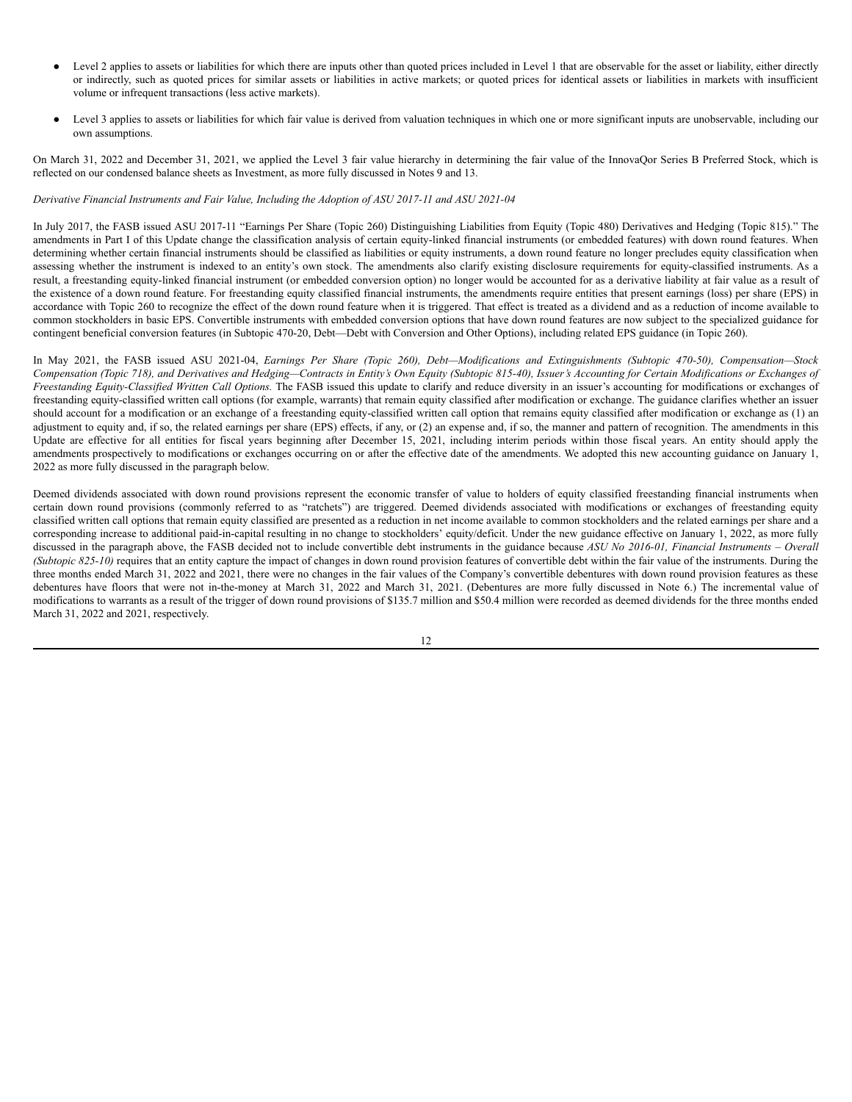- Level 2 applies to assets or liabilities for which there are inputs other than quoted prices included in Level 1 that are observable for the asset or liability, either directly or indirectly, such as quoted prices for similar assets or liabilities in active markets; or quoted prices for identical assets or liabilities in markets with insufficient volume or infrequent transactions (less active markets).
- Level 3 applies to assets or liabilities for which fair value is derived from valuation techniques in which one or more significant inputs are unobservable, including our own assumptions.

On March 31, 2022 and December 31, 2021, we applied the Level 3 fair value hierarchy in determining the fair value of the InnovaQor Series B Preferred Stock, which is reflected on our condensed balance sheets as Investment, as more fully discussed in Notes 9 and 13.

# *Derivative Financial Instruments and Fair Value, Including the Adoption of ASU 2017-11 and ASU 2021-04*

In July 2017, the FASB issued ASU 2017-11 "Earnings Per Share (Topic 260) Distinguishing Liabilities from Equity (Topic 480) Derivatives and Hedging (Topic 815)." The amendments in Part I of this Update change the classification analysis of certain equity-linked financial instruments (or embedded features) with down round features. When determining whether certain financial instruments should be classified as liabilities or equity instruments, a down round feature no longer precludes equity classification when assessing whether the instrument is indexed to an entity's own stock. The amendments also clarify existing disclosure requirements for equity-classified instruments. As a result, a freestanding equity-linked financial instrument (or embedded conversion option) no longer would be accounted for as a derivative liability at fair value as a result of the existence of a down round feature. For freestanding equity classified financial instruments, the amendments require entities that present earnings (loss) per share (EPS) in accordance with Topic 260 to recognize the effect of the down round feature when it is triggered. That effect is treated as a dividend and as a reduction of income available to common stockholders in basic EPS. Convertible instruments with embedded conversion options that have down round features are now subject to the specialized guidance for contingent beneficial conversion features (in Subtopic 470-20, Debt—Debt with Conversion and Other Options), including related EPS guidance (in Topic 260).

In May 2021, the FASB issued ASU 2021-04, Earnings Per Share (Topic 260), Debt-Modifications and Extinguishments (Subtopic 470-50), Compensation-Stock Compensation (Topic 718), and Derivatives and Hedging-Contracts in Entity's Own Equity (Subtopic 815-40), Issuer's Accounting for Certain Modifications or Exchanges of *Freestanding Equity-Classified Written Call Options.* The FASB issued this update to clarify and reduce diversity in an issuer's accounting for modifications or exchanges of freestanding equity-classified written call options (for example, warrants) that remain equity classified after modification or exchange. The guidance clarifies whether an issuer should account for a modification or an exchange of a freestanding equity-classified written call option that remains equity classified after modification or exchange as (1) an adjustment to equity and, if so, the related earnings per share (EPS) effects, if any, or (2) an expense and, if so, the manner and pattern of recognition. The amendments in this Update are effective for all entities for fiscal years beginning after December 15, 2021, including interim periods within those fiscal years. An entity should apply the amendments prospectively to modifications or exchanges occurring on or after the effective date of the amendments. We adopted this new accounting guidance on January 1, 2022 as more fully discussed in the paragraph below.

Deemed dividends associated with down round provisions represent the economic transfer of value to holders of equity classified freestanding financial instruments when certain down round provisions (commonly referred to as "ratchets") are triggered. Deemed dividends associated with modifications or exchanges of freestanding equity classified written call options that remain equity classified are presented as a reduction in net income available to common stockholders and the related earnings per share and a corresponding increase to additional paid-in-capital resulting in no change to stockholders' equity/deficit. Under the new guidance effective on January 1, 2022, as more fully discussed in the paragraph above, the FASB decided not to include convertible debt instruments in the guidance because *ASU No 2016-01, Financial Instruments – Overall (Subtopic 825-10)* requires that an entity capture the impact of changes in down round provision features of convertible debt within the fair value of the instruments. During the three months ended March 31, 2022 and 2021, there were no changes in the fair values of the Company's convertible debentures with down round provision features as these debentures have floors that were not in-the-money at March 31, 2022 and March 31, 2021. (Debentures are more fully discussed in Note 6.) The incremental value of modifications to warrants as a result of the trigger of down round provisions of \$135.7 million and \$50.4 million were recorded as deemed dividends for the three months ended March 31, 2022 and 2021, respectively.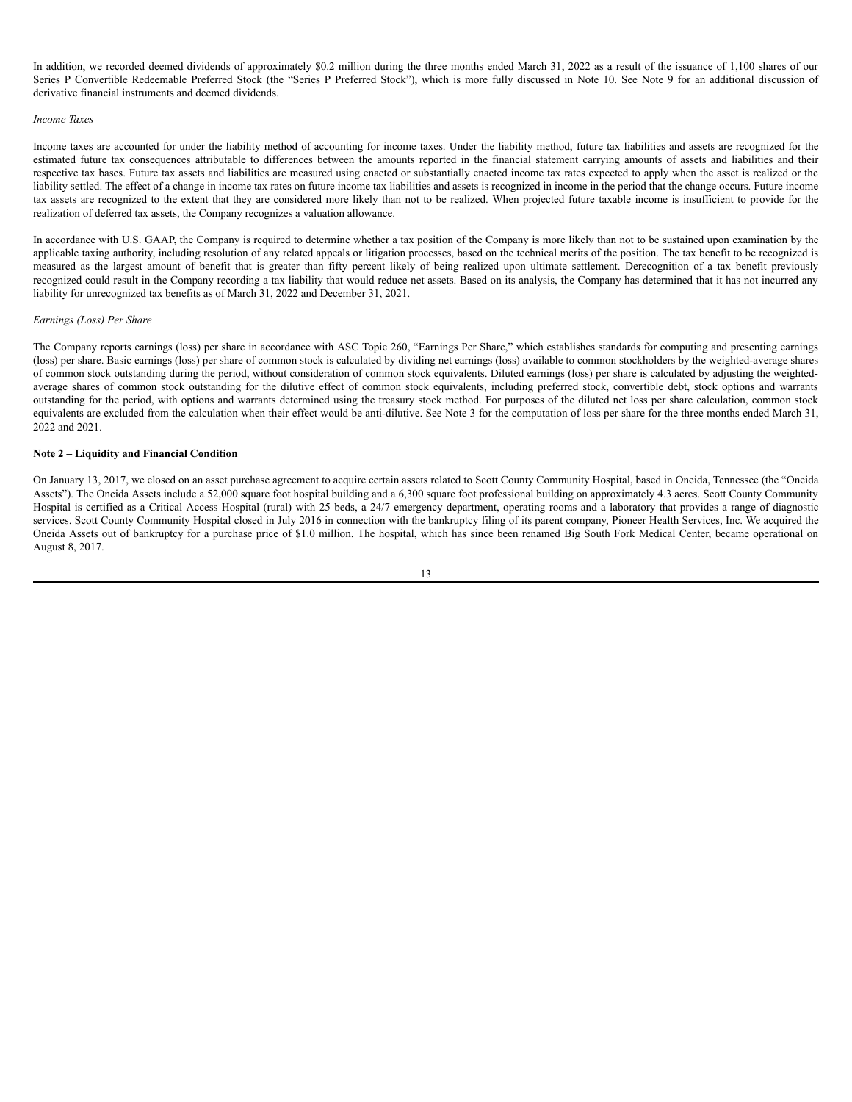In addition, we recorded deemed dividends of approximately \$0.2 million during the three months ended March 31, 2022 as a result of the issuance of 1,100 shares of our Series P Convertible Redeemable Preferred Stock (the "Series P Preferred Stock"), which is more fully discussed in Note 10. See Note 9 for an additional discussion of derivative financial instruments and deemed dividends.

#### *Income Taxes*

Income taxes are accounted for under the liability method of accounting for income taxes. Under the liability method, future tax liabilities and assets are recognized for the estimated future tax consequences attributable to differences between the amounts reported in the financial statement carrying amounts of assets and liabilities and their respective tax bases. Future tax assets and liabilities are measured using enacted or substantially enacted income tax rates expected to apply when the asset is realized or the liability settled. The effect of a change in income tax rates on future income tax liabilities and assets is recognized in income in the period that the change occurs. Future income tax assets are recognized to the extent that they are considered more likely than not to be realized. When projected future taxable income is insufficient to provide for the realization of deferred tax assets, the Company recognizes a valuation allowance.

In accordance with U.S. GAAP, the Company is required to determine whether a tax position of the Company is more likely than not to be sustained upon examination by the applicable taxing authority, including resolution of any related appeals or litigation processes, based on the technical merits of the position. The tax benefit to be recognized is measured as the largest amount of benefit that is greater than fifty percent likely of being realized upon ultimate settlement. Derecognition of a tax benefit previously recognized could result in the Company recording a tax liability that would reduce net assets. Based on its analysis, the Company has determined that it has not incurred any liability for unrecognized tax benefits as of March 31, 2022 and December 31, 2021.

#### *Earnings (Loss) Per Share*

The Company reports earnings (loss) per share in accordance with ASC Topic 260, "Earnings Per Share," which establishes standards for computing and presenting earnings (loss) per share. Basic earnings (loss) per share of common stock is calculated by dividing net earnings (loss) available to common stockholders by the weighted-average shares of common stock outstanding during the period, without consideration of common stock equivalents. Diluted earnings (loss) per share is calculated by adjusting the weightedaverage shares of common stock outstanding for the dilutive effect of common stock equivalents, including preferred stock, convertible debt, stock options and warrants outstanding for the period, with options and warrants determined using the treasury stock method. For purposes of the diluted net loss per share calculation, common stock equivalents are excluded from the calculation when their effect would be anti-dilutive. See Note 3 for the computation of loss per share for the three months ended March 31, 2022 and 2021.

# **Note 2 – Liquidity and Financial Condition**

On January 13, 2017, we closed on an asset purchase agreement to acquire certain assets related to Scott County Community Hospital, based in Oneida, Tennessee (the "Oneida Assets"). The Oneida Assets include a 52,000 square foot hospital building and a 6,300 square foot professional building on approximately 4.3 acres. Scott County Community Hospital is certified as a Critical Access Hospital (rural) with 25 beds, a 24/7 emergency department, operating rooms and a laboratory that provides a range of diagnostic services. Scott County Community Hospital closed in July 2016 in connection with the bankruptcy filing of its parent company, Pioneer Health Services, Inc. We acquired the Oneida Assets out of bankruptcy for a purchase price of \$1.0 million. The hospital, which has since been renamed Big South Fork Medical Center, became operational on August 8, 2017.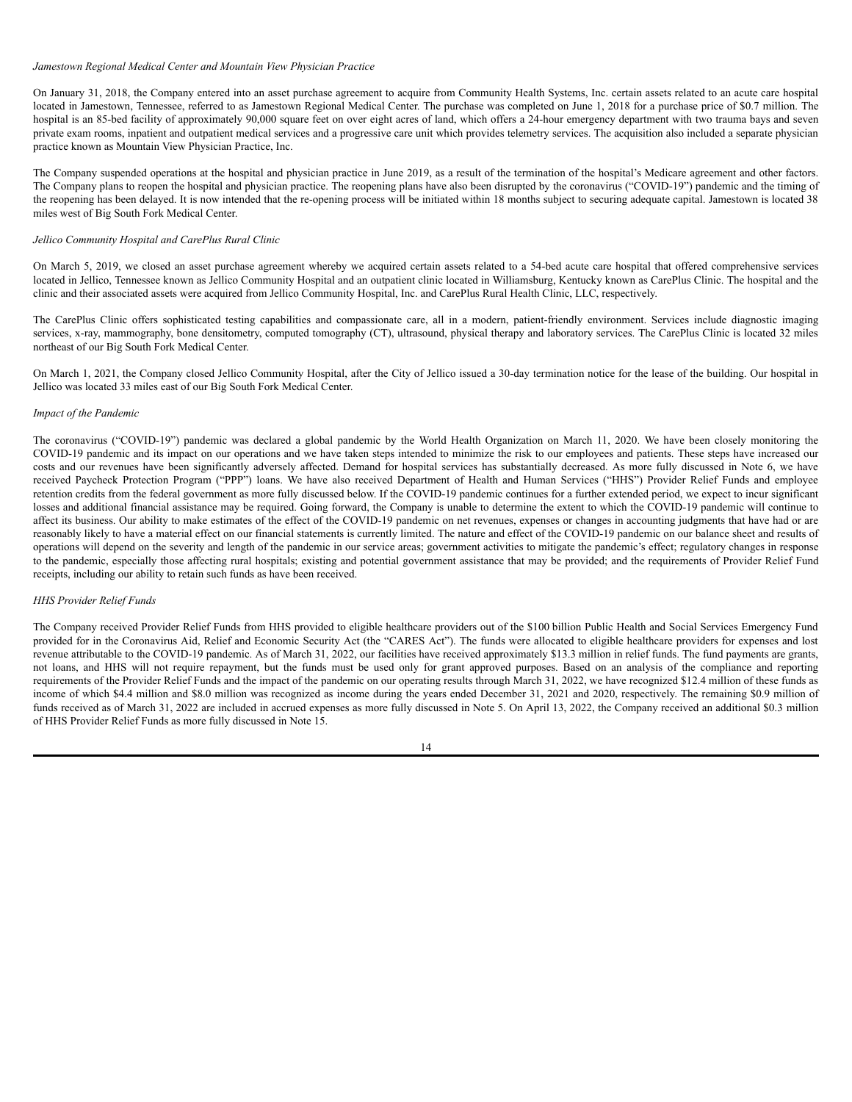#### *Jamestown Regional Medical Center and Mountain View Physician Practice*

On January 31, 2018, the Company entered into an asset purchase agreement to acquire from Community Health Systems, Inc. certain assets related to an acute care hospital located in Jamestown, Tennessee, referred to as Jamestown Regional Medical Center. The purchase was completed on June 1, 2018 for a purchase price of \$0.7 million. The hospital is an 85-bed facility of approximately 90,000 square feet on over eight acres of land, which offers a 24-hour emergency department with two trauma bays and seven private exam rooms, inpatient and outpatient medical services and a progressive care unit which provides telemetry services. The acquisition also included a separate physician practice known as Mountain View Physician Practice, Inc.

The Company suspended operations at the hospital and physician practice in June 2019, as a result of the termination of the hospital's Medicare agreement and other factors. The Company plans to reopen the hospital and physician practice. The reopening plans have also been disrupted by the coronavirus ("COVID-19") pandemic and the timing of the reopening has been delayed. It is now intended that the re-opening process will be initiated within 18 months subject to securing adequate capital. Jamestown is located 38 miles west of Big South Fork Medical Center.

## *Jellico Community Hospital and CarePlus Rural Clinic*

On March 5, 2019, we closed an asset purchase agreement whereby we acquired certain assets related to a 54-bed acute care hospital that offered comprehensive services located in Jellico, Tennessee known as Jellico Community Hospital and an outpatient clinic located in Williamsburg, Kentucky known as CarePlus Clinic. The hospital and the clinic and their associated assets were acquired from Jellico Community Hospital, Inc. and CarePlus Rural Health Clinic, LLC, respectively.

The CarePlus Clinic offers sophisticated testing capabilities and compassionate care, all in a modern, patient-friendly environment. Services include diagnostic imaging services, x-ray, mammography, bone densitometry, computed tomography (CT), ultrasound, physical therapy and laboratory services. The CarePlus Clinic is located 32 miles northeast of our Big South Fork Medical Center.

On March 1, 2021, the Company closed Jellico Community Hospital, after the City of Jellico issued a 30-day termination notice for the lease of the building. Our hospital in Jellico was located 33 miles east of our Big South Fork Medical Center.

#### *Impact of the Pandemic*

The coronavirus ("COVID-19") pandemic was declared a global pandemic by the World Health Organization on March 11, 2020. We have been closely monitoring the COVID-19 pandemic and its impact on our operations and we have taken steps intended to minimize the risk to our employees and patients. These steps have increased our costs and our revenues have been significantly adversely affected. Demand for hospital services has substantially decreased. As more fully discussed in Note 6, we have received Paycheck Protection Program ("PPP") loans. We have also received Department of Health and Human Services ("HHS") Provider Relief Funds and employee retention credits from the federal government as more fully discussed below. If the COVID-19 pandemic continues for a further extended period, we expect to incur significant losses and additional financial assistance may be required. Going forward, the Company is unable to determine the extent to which the COVID-19 pandemic will continue to affect its business. Our ability to make estimates of the effect of the COVID-19 pandemic on net revenues, expenses or changes in accounting judgments that have had or are reasonably likely to have a material effect on our financial statements is currently limited. The nature and effect of the COVID-19 pandemic on our balance sheet and results of operations will depend on the severity and length of the pandemic in our service areas; government activities to mitigate the pandemic's effect; regulatory changes in response to the pandemic, especially those affecting rural hospitals; existing and potential government assistance that may be provided; and the requirements of Provider Relief Fund receipts, including our ability to retain such funds as have been received.

#### *HHS Provider Relief Funds*

The Company received Provider Relief Funds from HHS provided to eligible healthcare providers out of the \$100 billion Public Health and Social Services Emergency Fund provided for in the Coronavirus Aid, Relief and Economic Security Act (the "CARES Act"). The funds were allocated to eligible healthcare providers for expenses and lost revenue attributable to the COVID-19 pandemic. As of March 31, 2022, our facilities have received approximately \$13.3 million in relief funds. The fund payments are grants, not loans, and HHS will not require repayment, but the funds must be used only for grant approved purposes. Based on an analysis of the compliance and reporting requirements of the Provider Relief Funds and the impact of the pandemic on our operating results through March 31, 2022, we have recognized \$12.4 million of these funds as income of which \$4.4 million and \$8.0 million was recognized as income during the years ended December 31, 2021 and 2020, respectively. The remaining \$0.9 million of funds received as of March 31, 2022 are included in accrued expenses as more fully discussed in Note 5. On April 13, 2022, the Company received an additional \$0.3 million of HHS Provider Relief Funds as more fully discussed in Note 15.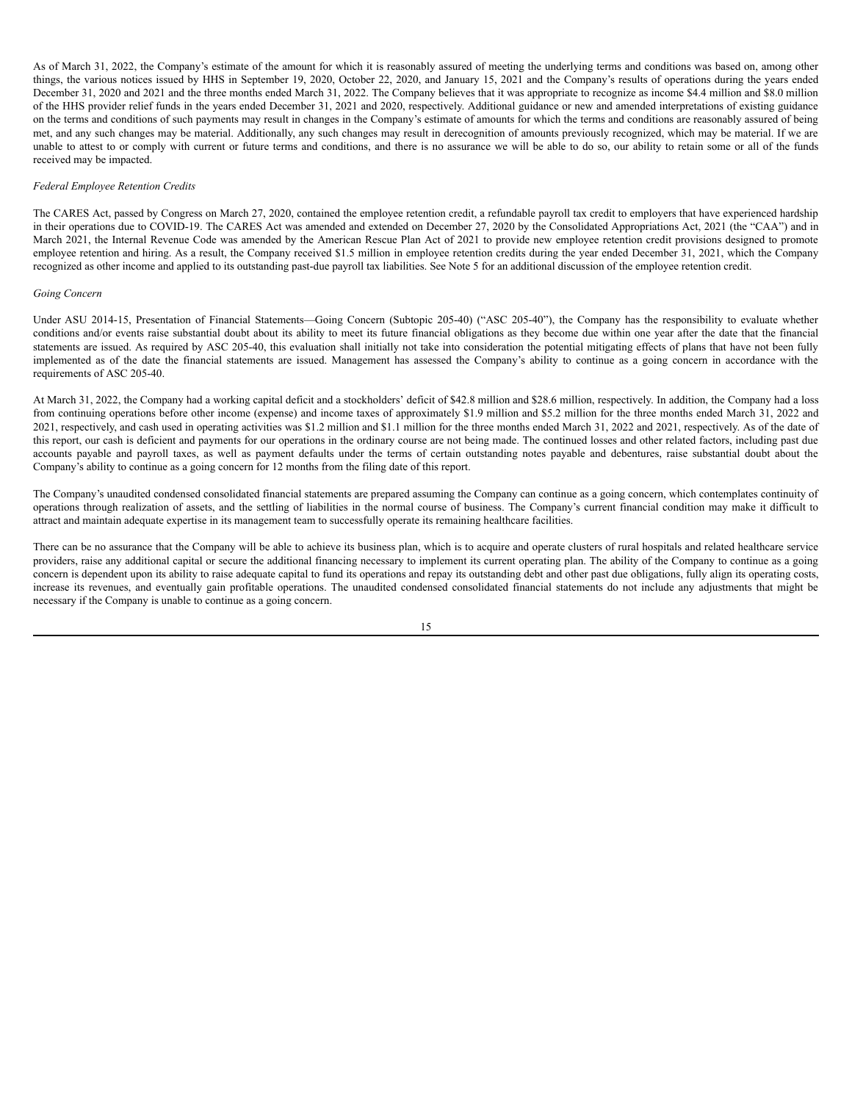As of March 31, 2022, the Company's estimate of the amount for which it is reasonably assured of meeting the underlying terms and conditions was based on, among other things, the various notices issued by HHS in September 19, 2020, October 22, 2020, and January 15, 2021 and the Company's results of operations during the years ended December 31, 2020 and 2021 and the three months ended March 31, 2022. The Company believes that it was appropriate to recognize as income \$4.4 million and \$8.0 million of the HHS provider relief funds in the years ended December 31, 2021 and 2020, respectively. Additional guidance or new and amended interpretations of existing guidance on the terms and conditions of such payments may result in changes in the Company's estimate of amounts for which the terms and conditions are reasonably assured of being met, and any such changes may be material. Additionally, any such changes may result in derecognition of amounts previously recognized, which may be material. If we are unable to attest to or comply with current or future terms and conditions, and there is no assurance we will be able to do so, our ability to retain some or all of the funds received may be impacted.

#### *Federal Employee Retention Credits*

The CARES Act, passed by Congress on March 27, 2020, contained the employee retention credit, a refundable payroll tax credit to employers that have experienced hardship in their operations due to COVID-19. The CARES Act was amended and extended on December 27, 2020 by the Consolidated Appropriations Act, 2021 (the "CAA") and in March 2021, the Internal Revenue Code was amended by the American Rescue Plan Act of 2021 to provide new employee retention credit provisions designed to promote employee retention and hiring. As a result, the Company received \$1.5 million in employee retention credits during the year ended December 31, 2021, which the Company recognized as other income and applied to its outstanding past-due payroll tax liabilities. See Note 5 for an additional discussion of the employee retention credit.

#### *Going Concern*

Under ASU 2014-15, Presentation of Financial Statements—Going Concern (Subtopic 205-40) ("ASC 205-40"), the Company has the responsibility to evaluate whether conditions and/or events raise substantial doubt about its ability to meet its future financial obligations as they become due within one year after the date that the financial statements are issued. As required by ASC 205-40, this evaluation shall initially not take into consideration the potential mitigating effects of plans that have not been fully implemented as of the date the financial statements are issued. Management has assessed the Company's ability to continue as a going concern in accordance with the requirements of ASC 205-40.

At March 31, 2022, the Company had a working capital deficit and a stockholders' deficit of \$42.8 million and \$28.6 million, respectively. In addition, the Company had a loss from continuing operations before other income (expense) and income taxes of approximately \$1.9 million and \$5.2 million for the three months ended March 31, 2022 and 2021, respectively, and cash used in operating activities was \$1.2 million and \$1.1 million for the three months ended March 31, 2022 and 2021, respectively. As of the date of this report, our cash is deficient and payments for our operations in the ordinary course are not being made. The continued losses and other related factors, including past due accounts payable and payroll taxes, as well as payment defaults under the terms of certain outstanding notes payable and debentures, raise substantial doubt about the Company's ability to continue as a going concern for 12 months from the filing date of this report.

The Company's unaudited condensed consolidated financial statements are prepared assuming the Company can continue as a going concern, which contemplates continuity of operations through realization of assets, and the settling of liabilities in the normal course of business. The Company's current financial condition may make it difficult to attract and maintain adequate expertise in its management team to successfully operate its remaining healthcare facilities.

There can be no assurance that the Company will be able to achieve its business plan, which is to acquire and operate clusters of rural hospitals and related healthcare service providers, raise any additional capital or secure the additional financing necessary to implement its current operating plan. The ability of the Company to continue as a going concern is dependent upon its ability to raise adequate capital to fund its operations and repay its outstanding debt and other past due obligations, fully align its operating costs, increase its revenues, and eventually gain profitable operations. The unaudited condensed consolidated financial statements do not include any adjustments that might be necessary if the Company is unable to continue as a going concern.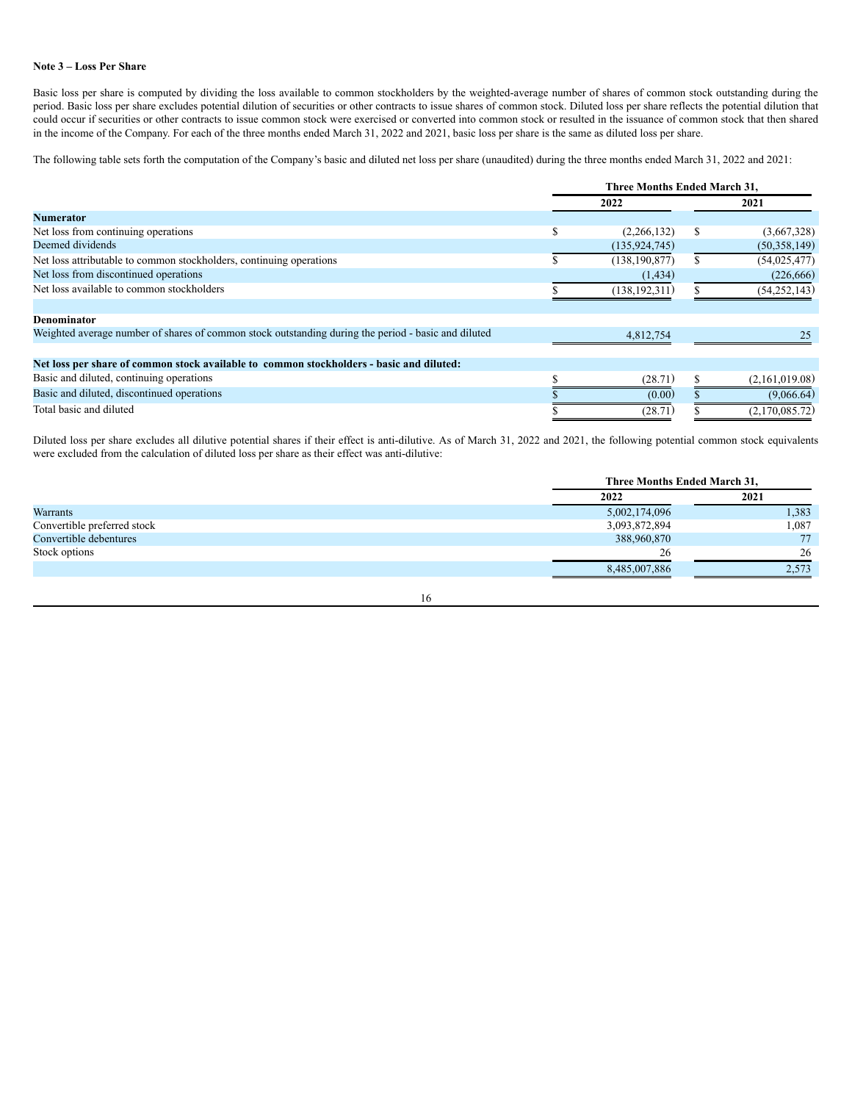# **Note 3 – Loss Per Share**

Basic loss per share is computed by dividing the loss available to common stockholders by the weighted-average number of shares of common stock outstanding during the period. Basic loss per share excludes potential dilution of securities or other contracts to issue shares of common stock. Diluted loss per share reflects the potential dilution that could occur if securities or other contracts to issue common stock were exercised or converted into common stock or resulted in the issuance of common stock that then shared in the income of the Company. For each of the three months ended March 31, 2022 and 2021, basic loss per share is the same as diluted loss per share.

The following table sets forth the computation of the Company's basic and diluted net loss per share (unaudited) during the three months ended March 31, 2022 and 2021:

|                                                                                                     | Three Months Ended March 31, |                 |   |                |
|-----------------------------------------------------------------------------------------------------|------------------------------|-----------------|---|----------------|
|                                                                                                     |                              | 2022            |   | 2021           |
| <b>Numerator</b>                                                                                    |                              |                 |   |                |
| Net loss from continuing operations                                                                 | \$.                          | (2,266,132)     | S | (3,667,328)    |
| Deemed dividends                                                                                    |                              | (135, 924, 745) |   | (50, 358, 149) |
| Net loss attributable to common stockholders, continuing operations                                 |                              | (138, 190, 877) |   | (54, 025, 477) |
| Net loss from discontinued operations                                                               |                              | (1, 434)        |   | (226, 666)     |
| Net loss available to common stockholders                                                           |                              | (138, 192, 311) |   | (54, 252, 143) |
|                                                                                                     |                              |                 |   |                |
| <b>Denominator</b>                                                                                  |                              |                 |   |                |
| Weighted average number of shares of common stock outstanding during the period - basic and diluted |                              | 4,812,754       |   | 25             |
|                                                                                                     |                              |                 |   |                |
| Net loss per share of common stock available to common stockholders - basic and diluted:            |                              |                 |   |                |
| Basic and diluted, continuing operations                                                            |                              | (28.71)         |   | (2,161,019.08) |
| Basic and diluted, discontinued operations                                                          |                              | (0.00)          |   | (9,066.64)     |
| Total basic and diluted                                                                             |                              | (28.71)         |   | (2.170.085.72) |

Diluted loss per share excludes all dilutive potential shares if their effect is anti-dilutive. As of March 31, 2022 and 2021, the following potential common stock equivalents were excluded from the calculation of diluted loss per share as their effect was anti-dilutive:

|                             |               | Three Months Ended March 31, |
|-----------------------------|---------------|------------------------------|
|                             | 2022          | 2021                         |
| <b>Warrants</b>             | 5,002,174,096 | .383                         |
| Convertible preferred stock | 3,093,872,894 | 1,087                        |
| Convertible debentures      | 388,960,870   | 77                           |
| Stock options               | 26            | 26                           |
|                             | 8,485,007,886 | 2,573                        |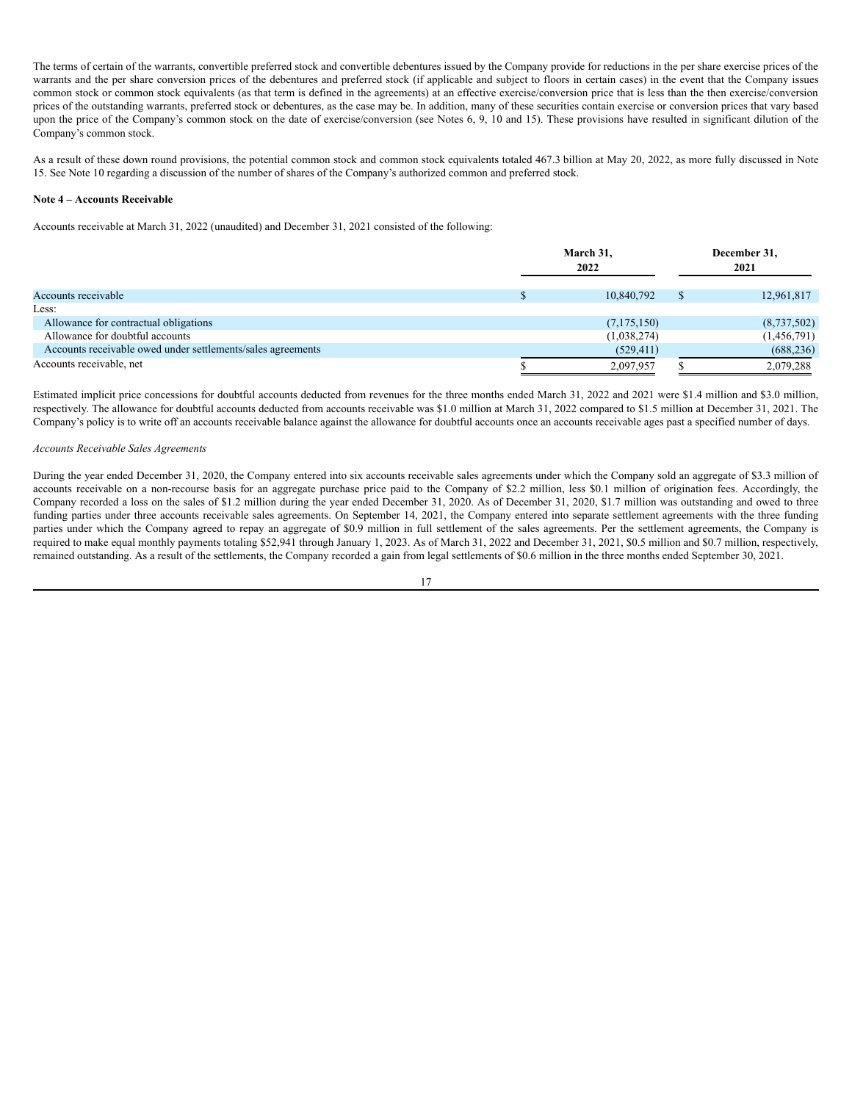The terms of certain of the warrants, convertible preferred stock and convertible debentures issued by the Company provide for reductions in the per share exercise prices of the warrants and the per share conversion prices of the debentures and preferred stock (if applicable and subject to floors in certain cases) in the event that the Company issues common stock or common stock equivalents (as that term is defined in the agreements) at an effective exercise/conversion price that is less than the then exercise/conversion prices of the outstanding warrants, preferred stock or debentures, as the case may be. In addition, many of these securities contain exercise or conversion prices that vary based upon the price of the Company's common stock on the date of exercise/conversion (see Notes 6, 9, 10 and 15). These provisions have resulted in significant dilution of the Company's common stock.

As a result of these down round provisions, the potential common stock and common stock equivalents totaled 467.3 billion at May 20, 2022, as more fully discussed in Note 15. See Note 10 regarding a discussion of the number of shares of the Company's authorized common and preferred stock.

## **Note 4 – Accounts Receivable**

Accounts receivable at March 31, 2022 (unaudited) and December 31, 2021 consisted of the following:

|                                                             | March 31,<br>2022 | December 31,<br>2021 |
|-------------------------------------------------------------|-------------------|----------------------|
| Accounts receivable                                         | 10,840,792        | 12,961,817           |
| Less:                                                       |                   |                      |
| Allowance for contractual obligations                       | (7,175,150)       | (8,737,502)          |
| Allowance for doubtful accounts                             | (1,038,274)       | (1,456,791)          |
| Accounts receivable owed under settlements/sales agreements | (529, 411)        | (688, 236)           |
| Accounts receivable, net                                    | 2,097,957         | 2,079,288            |

Estimated implicit price concessions for doubtful accounts deducted from revenues for the three months ended March 31, 2022 and 2021 were \$1.4 million and \$3.0 million, respectively. The allowance for doubtful accounts deducted from accounts receivable was \$1.0 million at March 31, 2022 compared to \$1.5 million at December 31, 2021. The Company's policy is to write off an accounts receivable balance against the allowance for doubtful accounts once an accounts receivable ages past a specified number of days.

## *Accounts Receivable Sales Agreements*

During the year ended December 31, 2020, the Company entered into six accounts receivable sales agreements under which the Company sold an aggregate of \$3.3 million of accounts receivable on a non-recourse basis for an aggregate purchase price paid to the Company of \$2.2 million, less \$0.1 million of origination fees. Accordingly, the Company recorded a loss on the sales of \$1.2 million during the year ended December 31, 2020. As of December 31, 2020, \$1.7 million was outstanding and owed to three funding parties under three accounts receivable sales agreements. On September 14, 2021, the Company entered into separate settlement agreements with the three funding parties under which the Company agreed to repay an aggregate of \$0.9 million in full settlement of the sales agreements. Per the settlement agreements, the Company is required to make equal monthly payments totaling \$52,941 through January 1, 2023. As of March 31, 2022 and December 31, 2021, \$0.5 million and \$0.7 million, respectively, remained outstanding. As a result of the settlements, the Company recorded a gain from legal settlements of \$0.6 million in the three months ended September 30, 2021.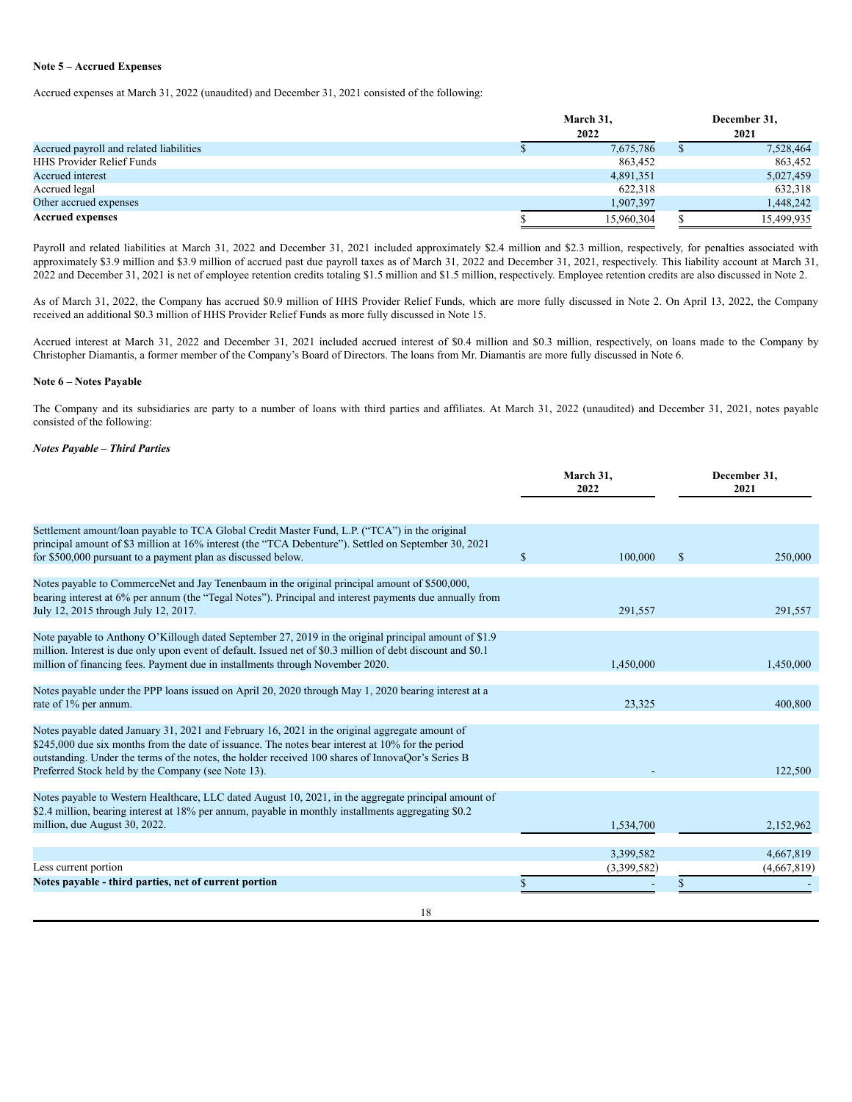## **Note 5 – Accrued Expenses**

Accrued expenses at March 31, 2022 (unaudited) and December 31, 2021 consisted of the following:

|                                         | March 31,  |  | December 31, |
|-----------------------------------------|------------|--|--------------|
|                                         | 2022       |  | 2021         |
| Accrued payroll and related liabilities | 7,675,786  |  | 7,528,464    |
| <b>HHS Provider Relief Funds</b>        | 863,452    |  | 863,452      |
| Accrued interest                        | 4,891,351  |  | 5,027,459    |
| Accrued legal                           | 622,318    |  | 632,318      |
| Other accrued expenses                  | 1,907,397  |  | 1,448,242    |
| <b>Accrued expenses</b>                 | 15,960,304 |  | 15,499,935   |

Payroll and related liabilities at March 31, 2022 and December 31, 2021 included approximately \$2.4 million and \$2.3 million, respectively, for penalties associated with approximately \$3.9 million and \$3.9 million of accrued past due payroll taxes as of March 31, 2022 and December 31, 2021, respectively. This liability account at March 31, 2022 and December 31, 2021 is net of employee retention credits totaling \$1.5 million and \$1.5 million, respectively. Employee retention credits are also discussed in Note 2.

As of March 31, 2022, the Company has accrued \$0.9 million of HHS Provider Relief Funds, which are more fully discussed in Note 2. On April 13, 2022, the Company received an additional \$0.3 million of HHS Provider Relief Funds as more fully discussed in Note 15.

Accrued interest at March 31, 2022 and December 31, 2021 included accrued interest of \$0.4 million and \$0.3 million, respectively, on loans made to the Company by Christopher Diamantis, a former member of the Company's Board of Directors. The loans from Mr. Diamantis are more fully discussed in Note 6.

#### **Note 6 – Notes Payable**

The Company and its subsidiaries are party to a number of loans with third parties and affiliates. At March 31, 2022 (unaudited) and December 31, 2021, notes payable consisted of the following:

# *Notes Payable – Third Parties*

|                                                                                                                                                                                                                                                                                                                                                                | March 31,<br>2022 |              | December 31,<br>2021 |
|----------------------------------------------------------------------------------------------------------------------------------------------------------------------------------------------------------------------------------------------------------------------------------------------------------------------------------------------------------------|-------------------|--------------|----------------------|
| Settlement amount/loan payable to TCA Global Credit Master Fund, L.P. ("TCA") in the original<br>principal amount of \$3 million at 16% interest (the "TCA Debenture"). Settled on September 30, 2021<br>for \$500,000 pursuant to a payment plan as discussed below.                                                                                          | \$<br>100,000     | $\mathbf{s}$ | 250,000              |
| Notes payable to CommerceNet and Jay Tenenbaum in the original principal amount of \$500,000,<br>bearing interest at 6% per annum (the "Tegal Notes"). Principal and interest payments due annually from<br>July 12, 2015 through July 12, 2017.                                                                                                               | 291,557           |              | 291,557              |
| Note payable to Anthony O'Killough dated September 27, 2019 in the original principal amount of \$1.9<br>million. Interest is due only upon event of default. Issued net of \$0.3 million of debt discount and \$0.1<br>million of financing fees. Payment due in installments through November 2020.                                                          | 1,450,000         |              | 1,450,000            |
| Notes payable under the PPP loans issued on April 20, 2020 through May 1, 2020 bearing interest at a<br>rate of 1% per annum.                                                                                                                                                                                                                                  | 23,325            |              | 400,800              |
| Notes payable dated January 31, 2021 and February 16, 2021 in the original aggregate amount of<br>\$245,000 due six months from the date of issuance. The notes bear interest at 10% for the period<br>outstanding. Under the terms of the notes, the holder received 100 shares of InnovaQor's Series B<br>Preferred Stock held by the Company (see Note 13). |                   |              | 122,500              |
| Notes payable to Western Healthcare, LLC dated August 10, 2021, in the aggregate principal amount of<br>\$2.4 million, bearing interest at 18% per annum, payable in monthly installments aggregating \$0.2<br>million, due August 30, 2022.                                                                                                                   | 1,534,700         |              | 2,152,962            |
|                                                                                                                                                                                                                                                                                                                                                                | 3,399,582         |              | 4,667,819            |
| Less current portion                                                                                                                                                                                                                                                                                                                                           | (3,399,582)       |              | (4,667,819)          |
| Notes payable - third parties, net of current portion                                                                                                                                                                                                                                                                                                          |                   |              |                      |
|                                                                                                                                                                                                                                                                                                                                                                |                   |              |                      |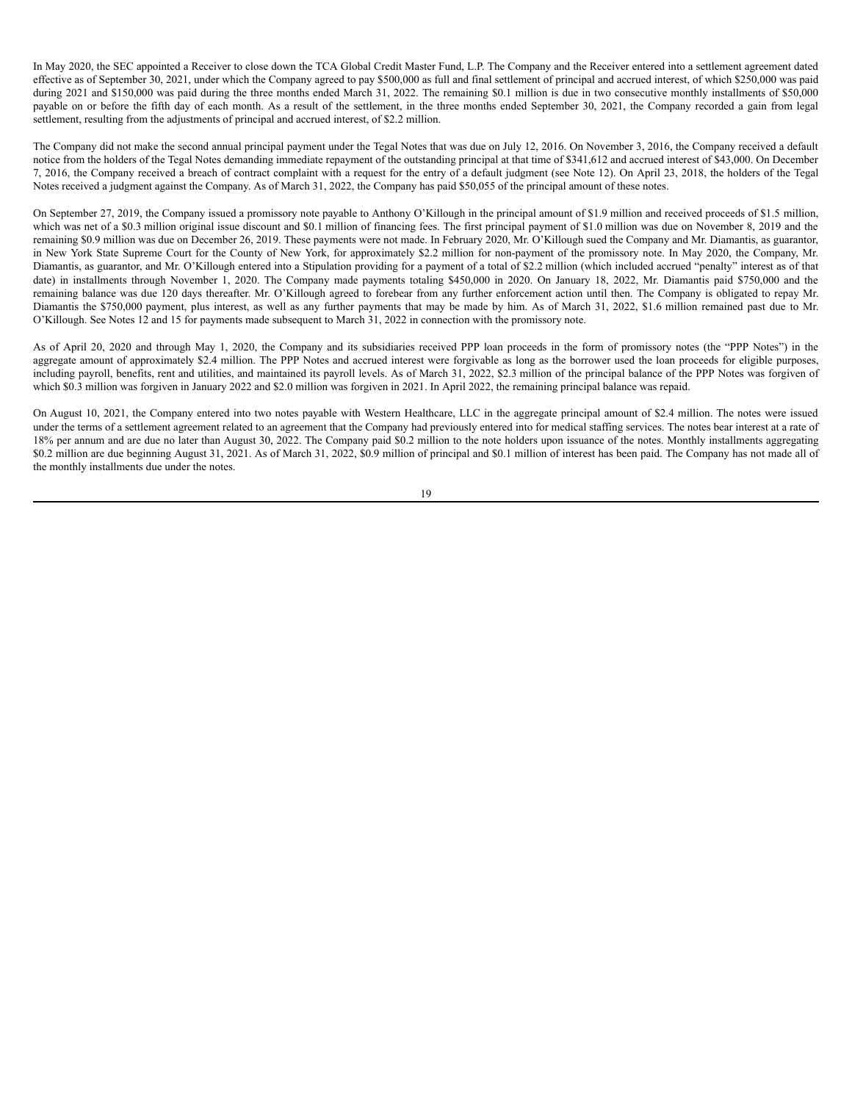In May 2020, the SEC appointed a Receiver to close down the TCA Global Credit Master Fund, L.P. The Company and the Receiver entered into a settlement agreement dated effective as of September 30, 2021, under which the Company agreed to pay \$500,000 as full and final settlement of principal and accrued interest, of which \$250,000 was paid during 2021 and \$150,000 was paid during the three months ended March 31, 2022. The remaining \$0.1 million is due in two consecutive monthly installments of \$50,000 payable on or before the fifth day of each month. As a result of the settlement, in the three months ended September 30, 2021, the Company recorded a gain from legal settlement, resulting from the adjustments of principal and accrued interest, of \$2.2 million.

The Company did not make the second annual principal payment under the Tegal Notes that was due on July 12, 2016. On November 3, 2016, the Company received a default notice from the holders of the Tegal Notes demanding immediate repayment of the outstanding principal at that time of \$341,612 and accrued interest of \$43,000. On December 7, 2016, the Company received a breach of contract complaint with a request for the entry of a default judgment (see Note 12). On April 23, 2018, the holders of the Tegal Notes received a judgment against the Company. As of March 31, 2022, the Company has paid \$50,055 of the principal amount of these notes.

On September 27, 2019, the Company issued a promissory note payable to Anthony O'Killough in the principal amount of \$1.9 million and received proceeds of \$1.5 million, which was net of a \$0.3 million original issue discount and \$0.1 million of financing fees. The first principal payment of \$1.0 million was due on November 8, 2019 and the remaining \$0.9 million was due on December 26, 2019. These payments were not made. In February 2020, Mr. O'Killough sued the Company and Mr. Diamantis, as guarantor, in New York State Supreme Court for the County of New York, for approximately \$2.2 million for non-payment of the promissory note. In May 2020, the Company, Mr. Diamantis, as guarantor, and Mr. O'Killough entered into a Stipulation providing for a payment of a total of \$2.2 million (which included accrued "penalty" interest as of that date) in installments through November 1, 2020. The Company made payments totaling \$450,000 in 2020. On January 18, 2022, Mr. Diamantis paid \$750,000 and the remaining balance was due 120 days thereafter. Mr. O'Killough agreed to forebear from any further enforcement action until then. The Company is obligated to repay Mr. Diamantis the \$750,000 payment, plus interest, as well as any further payments that may be made by him. As of March 31, 2022, \$1.6 million remained past due to Mr. O'Killough. See Notes 12 and 15 for payments made subsequent to March 31, 2022 in connection with the promissory note.

As of April 20, 2020 and through May 1, 2020, the Company and its subsidiaries received PPP loan proceeds in the form of promissory notes (the "PPP Notes") in the aggregate amount of approximately \$2.4 million. The PPP Notes and accrued interest were forgivable as long as the borrower used the loan proceeds for eligible purposes, including payroll, benefits, rent and utilities, and maintained its payroll levels. As of March 31, 2022, \$2.3 million of the principal balance of the PPP Notes was forgiven of which \$0.3 million was forgiven in January 2022 and \$2.0 million was forgiven in 2021. In April 2022, the remaining principal balance was repaid.

On August 10, 2021, the Company entered into two notes payable with Western Healthcare, LLC in the aggregate principal amount of \$2.4 million. The notes were issued under the terms of a settlement agreement related to an agreement that the Company had previously entered into for medical staffing services. The notes bear interest at a rate of 18% per annum and are due no later than August 30, 2022. The Company paid \$0.2 million to the note holders upon issuance of the notes. Monthly installments aggregating \$0.2 million are due beginning August 31, 2021. As of March 31, 2022, \$0.9 million of principal and \$0.1 million of interest has been paid. The Company has not made all of the monthly installments due under the notes.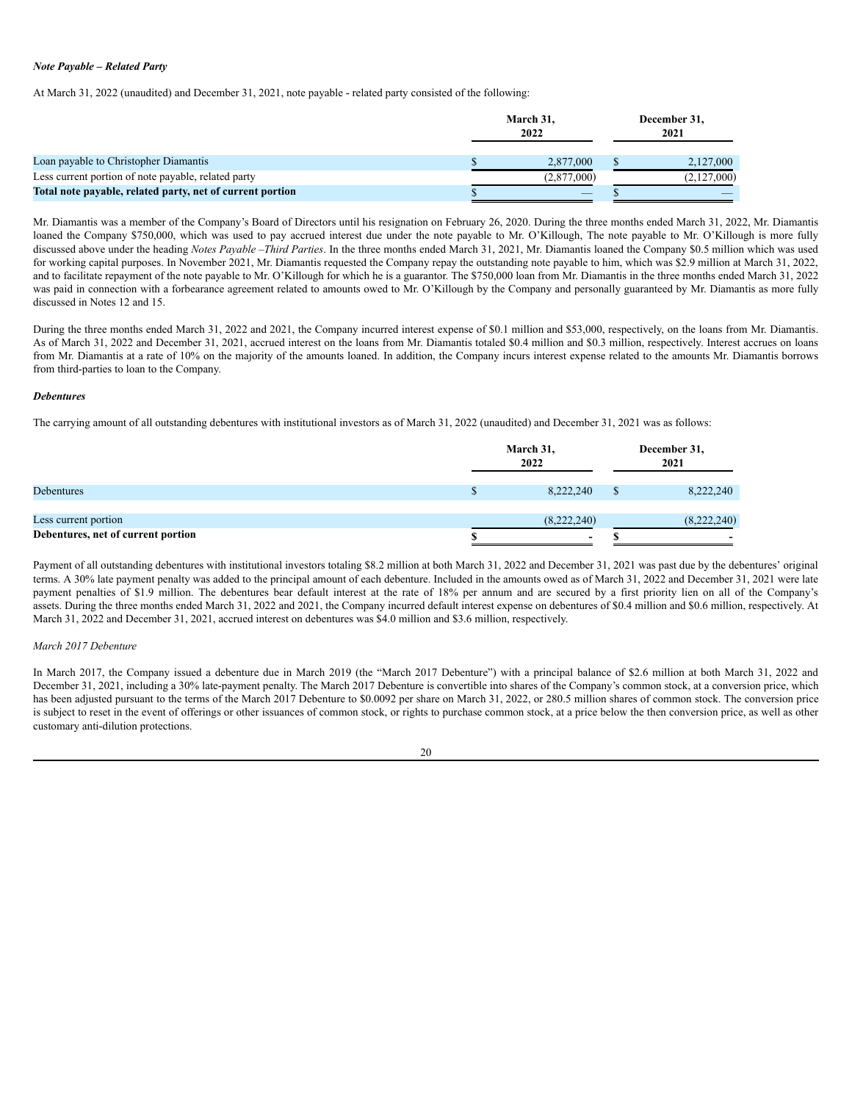# *Note Payable – Related Party*

At March 31, 2022 (unaudited) and December 31, 2021, note payable - related party consisted of the following:

|                                                           | March 31,<br>2022 | December 31,<br>2021 |  |
|-----------------------------------------------------------|-------------------|----------------------|--|
| Loan payable to Christopher Diamantis                     | 2.877,000         | 2,127,000            |  |
| Less current portion of note payable, related party       | (2,877,000)       | (2,127,000)          |  |
| Total note payable, related party, net of current portion |                   |                      |  |

Mr. Diamantis was a member of the Company's Board of Directors until his resignation on February 26, 2020. During the three months ended March 31, 2022, Mr. Diamantis loaned the Company \$750,000, which was used to pay accrued interest due under the note payable to Mr. O'Killough, The note payable to Mr. O'Killough is more fully discussed above under the heading *Notes Payable –Third Parties*. In the three months ended March 31, 2021, Mr. Diamantis loaned the Company \$0.5 million which was used for working capital purposes. In November 2021, Mr. Diamantis requested the Company repay the outstanding note payable to him, which was \$2.9 million at March 31, 2022, and to facilitate repayment of the note payable to Mr. O'Killough for which he is a guarantor. The \$750,000 loan from Mr. Diamantis in the three months ended March 31, 2022 was paid in connection with a forbearance agreement related to amounts owed to Mr. O'Killough by the Company and personally guaranteed by Mr. Diamantis as more fully discussed in Notes 12 and 15.

During the three months ended March 31, 2022 and 2021, the Company incurred interest expense of \$0.1 million and \$53,000, respectively, on the loans from Mr. Diamantis. As of March 31, 2022 and December 31, 2021, accrued interest on the loans from Mr. Diamantis totaled \$0.4 million and \$0.3 million, respectively. Interest accrues on loans from Mr. Diamantis at a rate of 10% on the majority of the amounts loaned. In addition, the Company incurs interest expense related to the amounts Mr. Diamantis borrows from third-parties to loan to the Company.

#### *Debentures*

The carrying amount of all outstanding debentures with institutional investors as of March 31, 2022 (unaudited) and December 31, 2021 was as follows:

|                                    | March 31,<br>2022 | December 31,<br>2021 |             |
|------------------------------------|-------------------|----------------------|-------------|
| Debentures                         | 8,222,240         |                      | 8,222,240   |
| Less current portion               | (8,222,240)       |                      | (8,222,240) |
| Debentures, net of current portion | -                 |                      |             |

Payment of all outstanding debentures with institutional investors totaling \$8.2 million at both March 31, 2022 and December 31, 2021 was past due by the debentures' original terms. A 30% late payment penalty was added to the principal amount of each debenture. Included in the amounts owed as of March 31, 2022 and December 31, 2021 were late payment penalties of \$1.9 million. The debentures bear default interest at the rate of 18% per annum and are secured by a first priority lien on all of the Company's assets. During the three months ended March 31, 2022 and 2021, the Company incurred default interest expense on debentures of \$0.4 million and \$0.6 million, respectively. At March 31, 2022 and December 31, 2021, accrued interest on debentures was \$4.0 million and \$3.6 million, respectively.

#### *March 2017 Debenture*

In March 2017, the Company issued a debenture due in March 2019 (the "March 2017 Debenture") with a principal balance of \$2.6 million at both March 31, 2022 and December 31, 2021, including a 30% late-payment penalty. The March 2017 Debenture is convertible into shares of the Company's common stock, at a conversion price, which has been adjusted pursuant to the terms of the March 2017 Debenture to \$0.0092 per share on March 31, 2022, or 280.5 million shares of common stock. The conversion price is subject to reset in the event of offerings or other issuances of common stock, or rights to purchase common stock, at a price below the then conversion price, as well as other customary anti-dilution protections.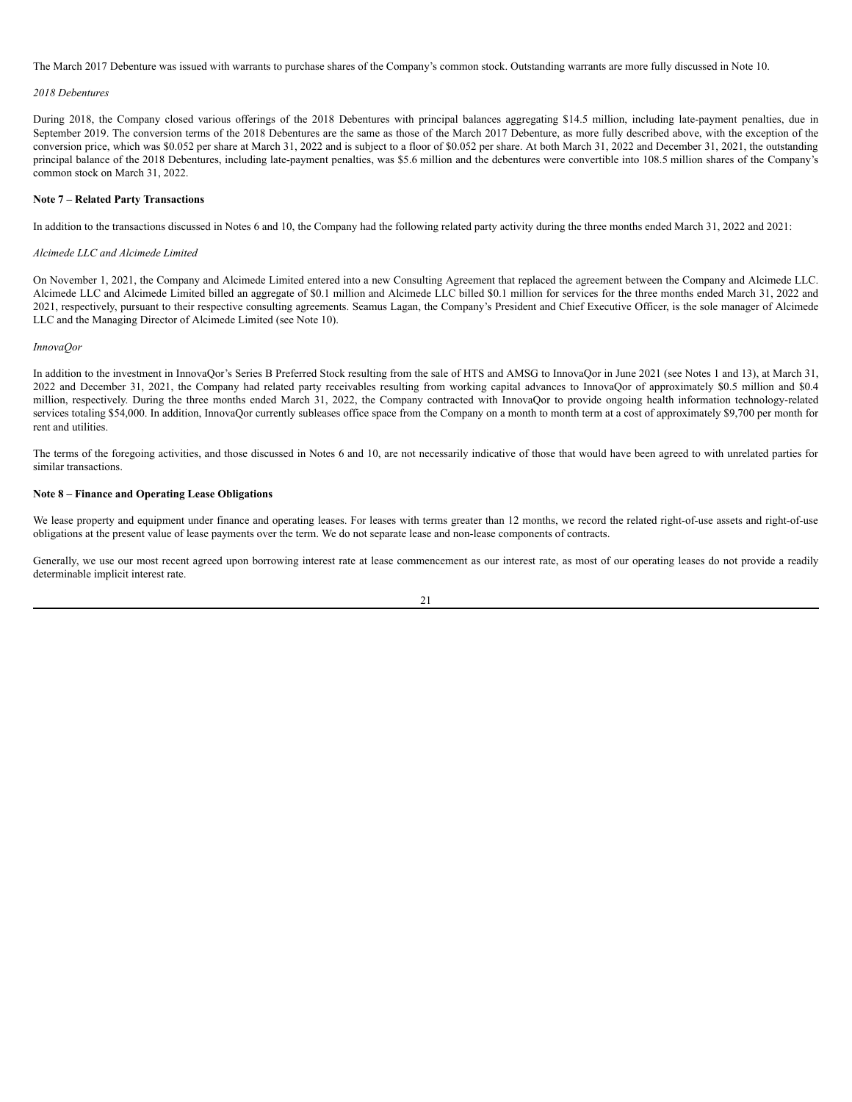The March 2017 Debenture was issued with warrants to purchase shares of the Company's common stock. Outstanding warrants are more fully discussed in Note 10.

## *2018 Debentures*

During 2018, the Company closed various offerings of the 2018 Debentures with principal balances aggregating \$14.5 million, including late-payment penalties, due in September 2019. The conversion terms of the 2018 Debentures are the same as those of the March 2017 Debenture, as more fully described above, with the exception of the conversion price, which was \$0.052 per share at March 31, 2022 and is subject to a floor of \$0.052 per share. At both March 31, 2022 and December 31, 2021, the outstanding principal balance of the 2018 Debentures, including late-payment penalties, was \$5.6 million and the debentures were convertible into 108.5 million shares of the Company's common stock on March 31, 2022.

# **Note 7 – Related Party Transactions**

In addition to the transactions discussed in Notes 6 and 10, the Company had the following related party activity during the three months ended March 31, 2022 and 2021:

#### *Alcimede LLC and Alcimede Limited*

On November 1, 2021, the Company and Alcimede Limited entered into a new Consulting Agreement that replaced the agreement between the Company and Alcimede LLC. Alcimede LLC and Alcimede Limited billed an aggregate of \$0.1 million and Alcimede LLC billed \$0.1 million for services for the three months ended March 31, 2022 and 2021, respectively, pursuant to their respective consulting agreements. Seamus Lagan, the Company's President and Chief Executive Officer, is the sole manager of Alcimede LLC and the Managing Director of Alcimede Limited (see Note 10).

#### *InnovaQor*

In addition to the investment in InnovaQor's Series B Preferred Stock resulting from the sale of HTS and AMSG to InnovaQor in June 2021 (see Notes 1 and 13), at March 31, 2022 and December 31, 2021, the Company had related party receivables resulting from working capital advances to InnovaQor of approximately \$0.5 million and \$0.4 million, respectively. During the three months ended March 31, 2022, the Company contracted with InnovaQor to provide ongoing health information technology-related services totaling \$54,000. In addition, InnovaQor currently subleases office space from the Company on a month to month term at a cost of approximately \$9,700 per month for rent and utilities.

The terms of the foregoing activities, and those discussed in Notes 6 and 10, are not necessarily indicative of those that would have been agreed to with unrelated parties for similar transactions.

#### **Note 8 – Finance and Operating Lease Obligations**

We lease property and equipment under finance and operating leases. For leases with terms greater than 12 months, we record the related right-of-use assets and right-of-use obligations at the present value of lease payments over the term. We do not separate lease and non-lease components of contracts.

Generally, we use our most recent agreed upon borrowing interest rate at lease commencement as our interest rate, as most of our operating leases do not provide a readily determinable implicit interest rate.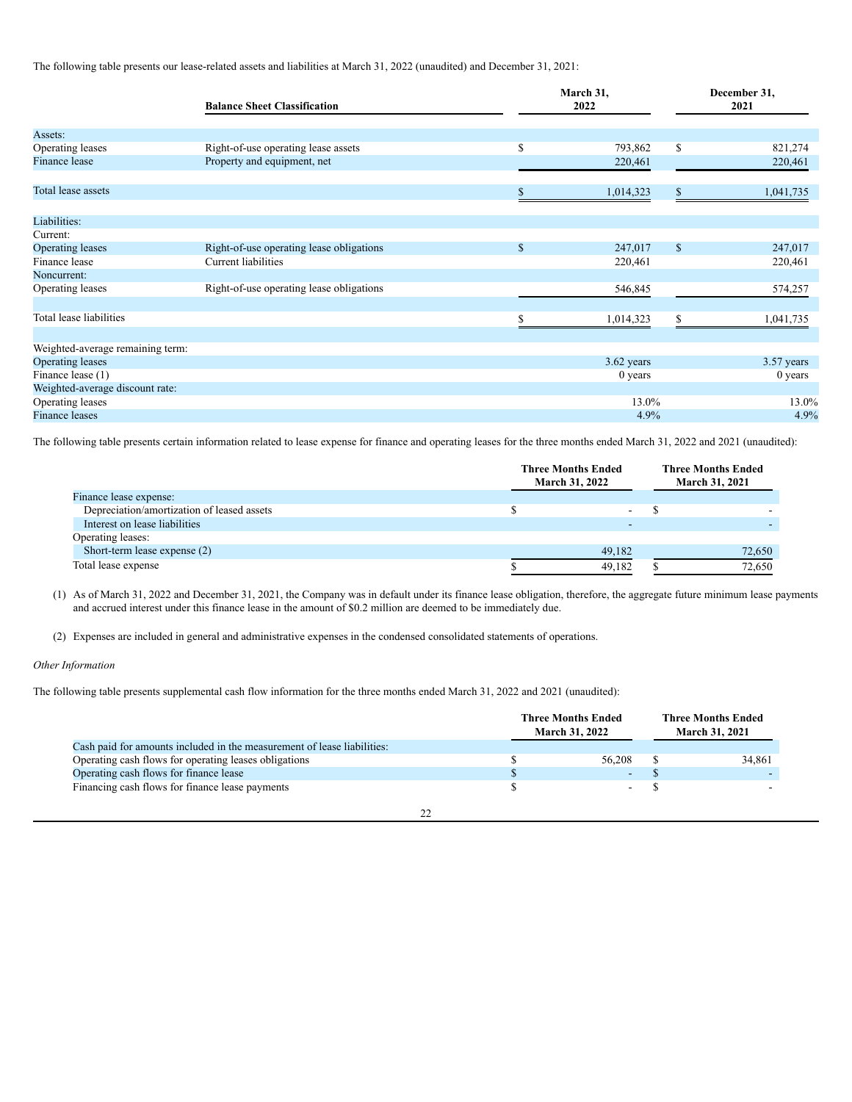The following table presents our lease-related assets and liabilities at March 31, 2022 (unaudited) and December 31, 2021:

|                                  | <b>Balance Sheet Classification</b>      |              | March 31,<br>2022 |              | December 31,<br>2021 |
|----------------------------------|------------------------------------------|--------------|-------------------|--------------|----------------------|
| Assets:                          |                                          |              |                   |              |                      |
| Operating leases                 | Right-of-use operating lease assets      | \$           | 793,862           | \$           | 821,274              |
| Finance lease                    | Property and equipment, net              |              | 220,461           |              | 220,461              |
| Total lease assets               |                                          | \$           | 1,014,323         | \$           | 1,041,735            |
| Liabilities:                     |                                          |              |                   |              |                      |
| Current:                         |                                          |              |                   |              |                      |
| Operating leases                 | Right-of-use operating lease obligations | $\mathbb{S}$ | 247,017           | $\mathbb{S}$ | 247,017              |
| Finance lease                    | Current liabilities                      |              | 220,461           |              | 220,461              |
| Noncurrent:                      |                                          |              |                   |              |                      |
| Operating leases                 | Right-of-use operating lease obligations |              | 546,845           |              | 574,257              |
| Total lease liabilities          |                                          | S            | 1,014,323         |              | 1,041,735            |
| Weighted-average remaining term: |                                          |              |                   |              |                      |
| Operating leases                 |                                          |              | $3.62$ years      |              | $3.57$ years         |
| Finance lease (1)                |                                          |              | $0$ years         |              | $0$ years            |
| Weighted-average discount rate:  |                                          |              |                   |              |                      |
| Operating leases                 |                                          |              | 13.0%             |              | 13.0%                |
| <b>Finance leases</b>            |                                          |              | 4.9%              |              | 4.9%                 |

The following table presents certain information related to lease expense for finance and operating leases for the three months ended March 31, 2022 and 2021 (unaudited):

|                                            | <b>Three Months Ended</b><br><b>March 31, 2022</b> |                |  | <b>Three Months Ended</b><br><b>March 31, 2021</b> |  |  |
|--------------------------------------------|----------------------------------------------------|----------------|--|----------------------------------------------------|--|--|
| Finance lease expense:                     |                                                    |                |  |                                                    |  |  |
| Depreciation/amortization of leased assets |                                                    | $\blacksquare$ |  |                                                    |  |  |
| Interest on lease liabilities              |                                                    |                |  |                                                    |  |  |
| Operating leases:                          |                                                    |                |  |                                                    |  |  |
| Short-term lease expense $(2)$             |                                                    | 49,182         |  | 72,650                                             |  |  |
| Total lease expense                        |                                                    | 49,182         |  | 72,650                                             |  |  |

(1) As of March 31, 2022 and December 31, 2021, the Company was in default under its finance lease obligation, therefore, the aggregate future minimum lease payments and accrued interest under this finance lease in the amount of \$0.2 million are deemed to be immediately due.

(2) Expenses are included in general and administrative expenses in the condensed consolidated statements of operations.

# *Other Information*

The following table presents supplemental cash flow information for the three months ended March 31, 2022 and 2021 (unaudited):

|                                                                         | <b>Three Months Ended</b><br><b>March 31, 2022</b> | <b>Three Months Ended</b><br><b>March 31, 2021</b> |
|-------------------------------------------------------------------------|----------------------------------------------------|----------------------------------------------------|
| Cash paid for amounts included in the measurement of lease liabilities: |                                                    |                                                    |
| Operating cash flows for operating leases obligations                   | 56,208                                             | 34,861                                             |
| Operating cash flows for finance lease                                  | ۰.                                                 |                                                    |
| Financing cash flows for finance lease payments                         | $\sim$                                             | -                                                  |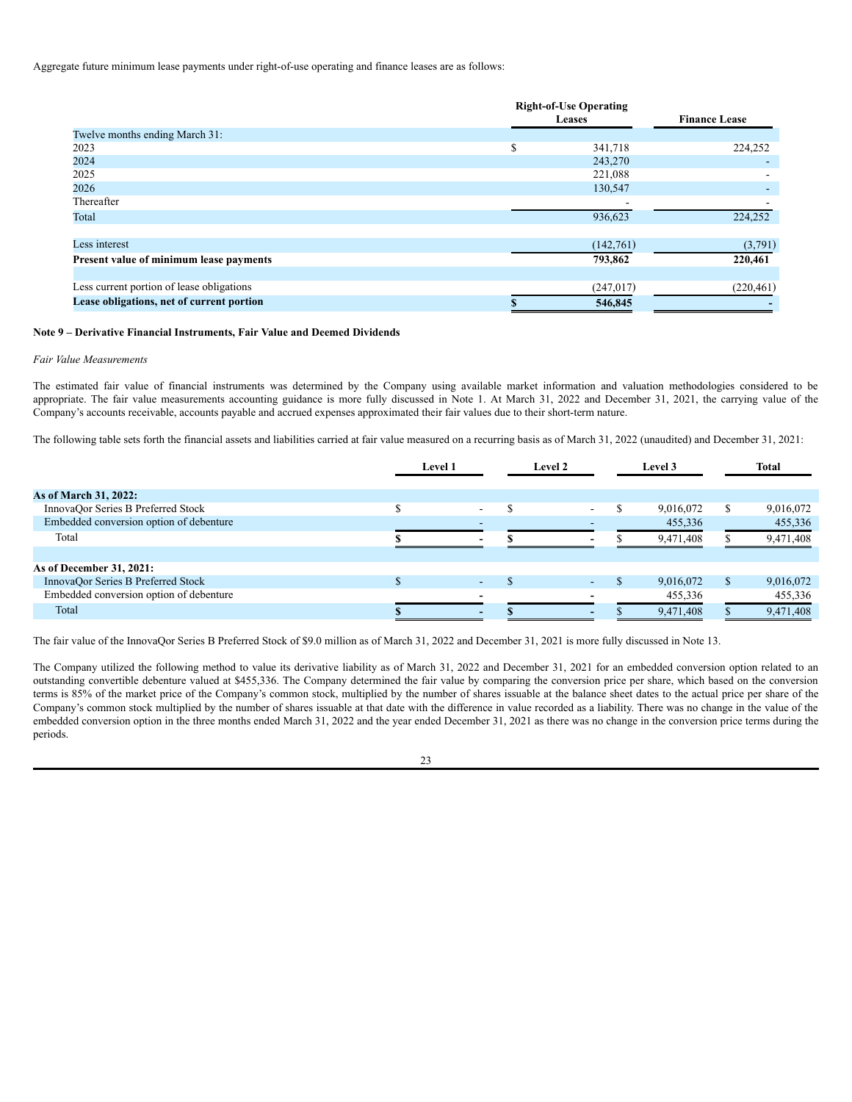Aggregate future minimum lease payments under right-of-use operating and finance leases are as follows:

|                                           | <b>Right-of-Use Operating</b> |            |  |
|-------------------------------------------|-------------------------------|------------|--|
|                                           | <b>Leases</b>                 |            |  |
| Twelve months ending March 31:            |                               |            |  |
| 2023                                      | \$<br>341,718                 | 224,252    |  |
| 2024                                      | 243,270                       |            |  |
| 2025                                      | 221,088                       |            |  |
| 2026                                      | 130,547                       |            |  |
| Thereafter                                |                               |            |  |
| Total                                     | 936,623                       | 224,252    |  |
| Less interest                             | (142,761)                     | (3,791)    |  |
| Present value of minimum lease payments   | 793.862                       | 220,461    |  |
| Less current portion of lease obligations | (247, 017)                    | (220, 461) |  |
| Lease obligations, net of current portion | 546,845                       |            |  |

# **Note 9 – Derivative Financial Instruments, Fair Value and Deemed Dividends**

#### *Fair Value Measurements*

The estimated fair value of financial instruments was determined by the Company using available market information and valuation methodologies considered to be appropriate. The fair value measurements accounting guidance is more fully discussed in Note 1. At March 31, 2022 and December 31, 2021, the carrying value of the Company's accounts receivable, accounts payable and accrued expenses approximated their fair values due to their short-term nature.

The following table sets forth the financial assets and liabilities carried at fair value measured on a recurring basis as of March 31, 2022 (unaudited) and December 31, 2021:

|                                         | Level 1 |                          | <b>Level 2</b>           | Level 3   |   | <b>Total</b> |
|-----------------------------------------|---------|--------------------------|--------------------------|-----------|---|--------------|
|                                         |         |                          |                          |           |   |              |
| <b>As of March 31, 2022:</b>            |         |                          |                          |           |   |              |
| InnovaOor Series B Preferred Stock      |         | $\overline{\phantom{0}}$ | $\sim$                   | 9,016,072 |   | 9,016,072    |
| Embedded conversion option of debenture |         |                          |                          | 455,336   |   | 455,336      |
| Total                                   |         |                          |                          | 9,471,408 |   | 9,471,408    |
| As of December 31, 2021:                |         |                          |                          |           |   |              |
| InnovaOor Series B Preferred Stock      |         | ۰.                       | $\sim$                   | 9,016,072 | S | 9,016,072    |
| Embedded conversion option of debenture |         |                          |                          | 455,336   |   | 455,336      |
| Total                                   |         | -                        | $\overline{\phantom{a}}$ | 9,471,408 |   | 9,471,408    |

The fair value of the InnovaQor Series B Preferred Stock of \$9.0 million as of March 31, 2022 and December 31, 2021 is more fully discussed in Note 13.

The Company utilized the following method to value its derivative liability as of March 31, 2022 and December 31, 2021 for an embedded conversion option related to an outstanding convertible debenture valued at \$455,336. The Company determined the fair value by comparing the conversion price per share, which based on the conversion terms is 85% of the market price of the Company's common stock, multiplied by the number of shares issuable at the balance sheet dates to the actual price per share of the Company's common stock multiplied by the number of shares issuable at that date with the difference in value recorded as a liability. There was no change in the value of the embedded conversion option in the three months ended March 31, 2022 and the year ended December 31, 2021 as there was no change in the conversion price terms during the periods.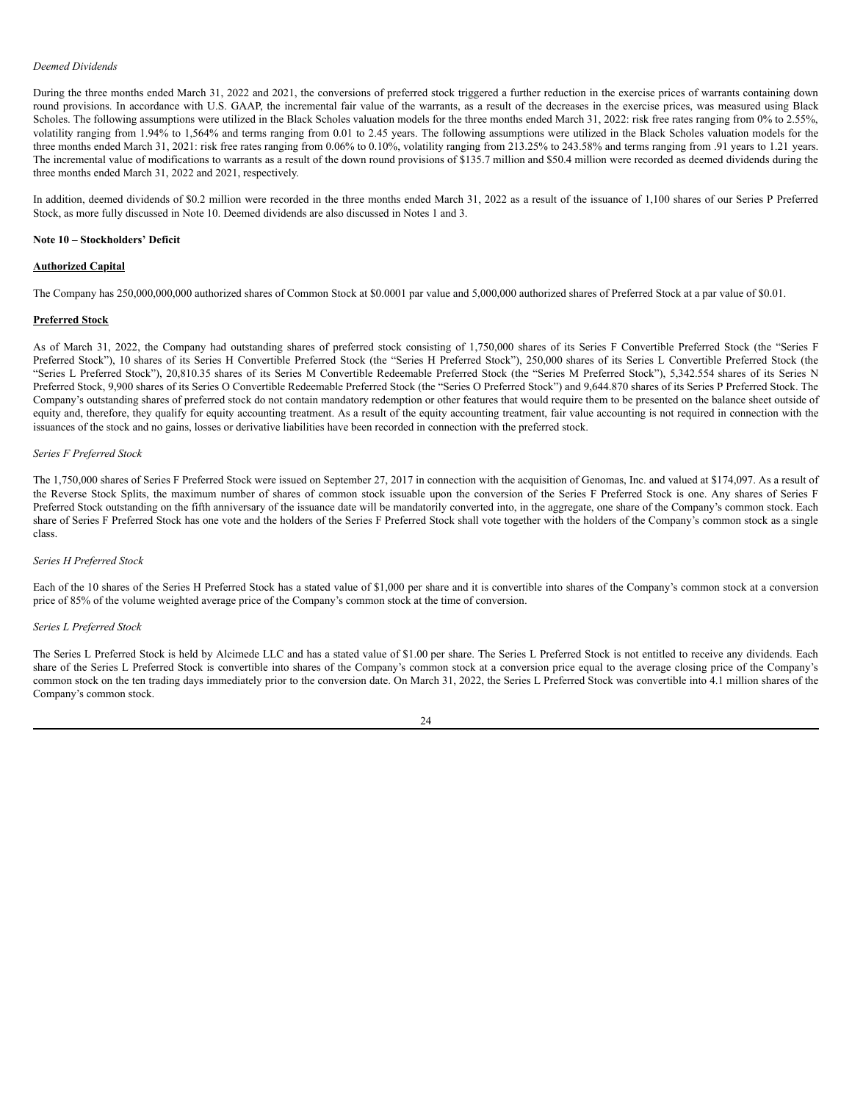## *Deemed Dividends*

During the three months ended March 31, 2022 and 2021, the conversions of preferred stock triggered a further reduction in the exercise prices of warrants containing down round provisions. In accordance with U.S. GAAP, the incremental fair value of the warrants, as a result of the decreases in the exercise prices, was measured using Black Scholes. The following assumptions were utilized in the Black Scholes valuation models for the three months ended March 31, 2022: risk free rates ranging from 0% to 2.55%, volatility ranging from 1.94% to 1,564% and terms ranging from 0.01 to 2.45 years. The following assumptions were utilized in the Black Scholes valuation models for the three months ended March 31, 2021: risk free rates ranging from 0.06% to 0.10%, volatility ranging from 213.25% to 243.58% and terms ranging from .91 years to 1.21 years. The incremental value of modifications to warrants as a result of the down round provisions of \$135.7 million and \$50.4 million were recorded as deemed dividends during the three months ended March 31, 2022 and 2021, respectively.

In addition, deemed dividends of \$0.2 million were recorded in the three months ended March 31, 2022 as a result of the issuance of 1,100 shares of our Series P Preferred Stock, as more fully discussed in Note 10. Deemed dividends are also discussed in Notes 1 and 3.

#### **Note 10 – Stockholders' Deficit**

#### **Authorized Capital**

The Company has 250,000,000,000 authorized shares of Common Stock at \$0.0001 par value and 5,000,000 authorized shares of Preferred Stock at a par value of \$0.01.

#### **Preferred Stock**

As of March 31, 2022, the Company had outstanding shares of preferred stock consisting of 1,750,000 shares of its Series F Convertible Preferred Stock (the "Series F Preferred Stock"), 10 shares of its Series H Convertible Preferred Stock (the "Series H Preferred Stock"), 250,000 shares of its Series L Convertible Preferred Stock (the "Series L Preferred Stock"), 20,810.35 shares of its Series M Convertible Redeemable Preferred Stock (the "Series M Preferred Stock"), 5,342.554 shares of its Series N Preferred Stock, 9,900 shares of its Series O Convertible Redeemable Preferred Stock (the "Series O Preferred Stock") and 9,644.870 shares of its Series P Preferred Stock. The Company's outstanding shares of preferred stock do not contain mandatory redemption or other features that would require them to be presented on the balance sheet outside of equity and, therefore, they qualify for equity accounting treatment. As a result of the equity accounting treatment, fair value accounting is not required in connection with the issuances of the stock and no gains, losses or derivative liabilities have been recorded in connection with the preferred stock.

#### *Series F Preferred Stock*

The 1,750,000 shares of Series F Preferred Stock were issued on September 27, 2017 in connection with the acquisition of Genomas, Inc. and valued at \$174,097. As a result of the Reverse Stock Splits, the maximum number of shares of common stock issuable upon the conversion of the Series F Preferred Stock is one. Any shares of Series F Preferred Stock outstanding on the fifth anniversary of the issuance date will be mandatorily converted into, in the aggregate, one share of the Company's common stock. Each share of Series F Preferred Stock has one vote and the holders of the Series F Preferred Stock shall vote together with the holders of the Company's common stock as a single class.

#### *Series H Preferred Stock*

Each of the 10 shares of the Series H Preferred Stock has a stated value of \$1,000 per share and it is convertible into shares of the Company's common stock at a conversion price of 85% of the volume weighted average price of the Company's common stock at the time of conversion.

#### *Series L Preferred Stock*

The Series L Preferred Stock is held by Alcimede LLC and has a stated value of \$1.00 per share. The Series L Preferred Stock is not entitled to receive any dividends. Each share of the Series L Preferred Stock is convertible into shares of the Company's common stock at a conversion price equal to the average closing price of the Company's common stock on the ten trading days immediately prior to the conversion date. On March 31, 2022, the Series L Preferred Stock was convertible into 4.1 million shares of the Company's common stock.

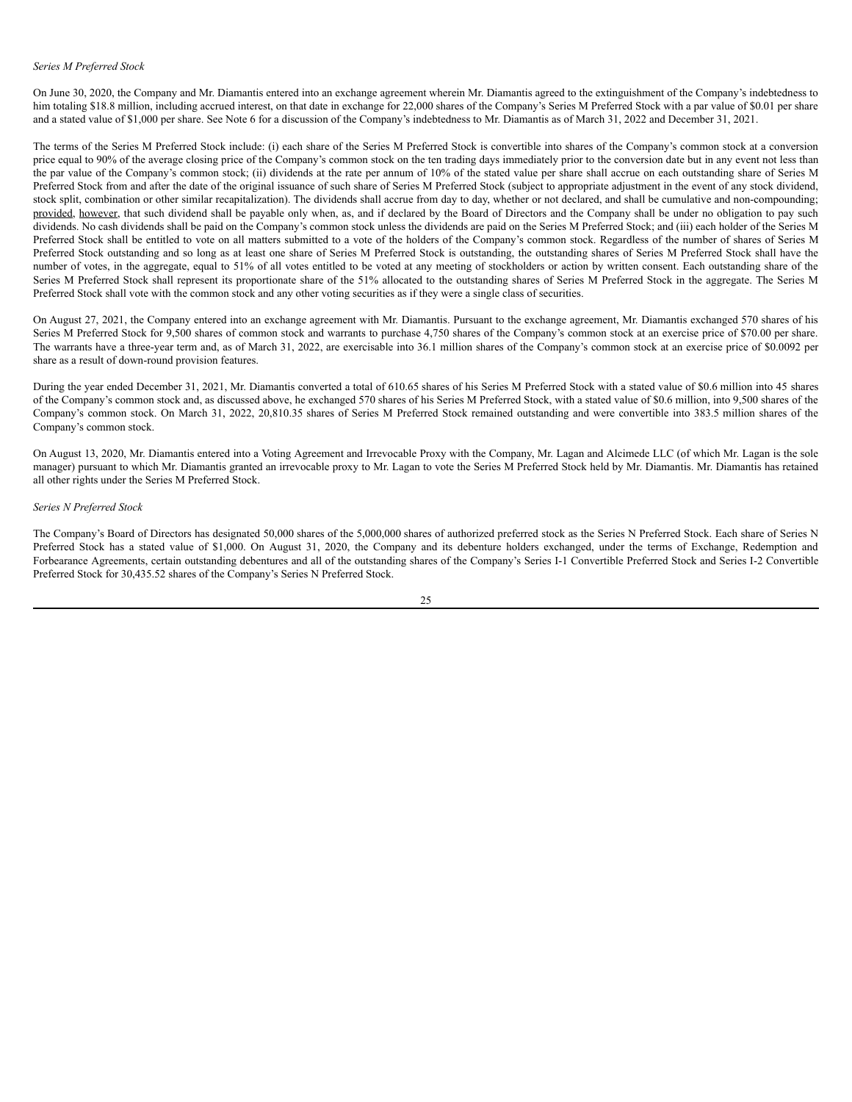## *Series M Preferred Stock*

On June 30, 2020, the Company and Mr. Diamantis entered into an exchange agreement wherein Mr. Diamantis agreed to the extinguishment of the Company's indebtedness to him totaling \$18.8 million, including accrued interest, on that date in exchange for 22,000 shares of the Company's Series M Preferred Stock with a par value of \$0.01 per share and a stated value of \$1,000 per share. See Note 6 for a discussion of the Company's indebtedness to Mr. Diamantis as of March 31, 2022 and December 31, 2021.

The terms of the Series M Preferred Stock include: (i) each share of the Series M Preferred Stock is convertible into shares of the Company's common stock at a conversion price equal to 90% of the average closing price of the Company's common stock on the ten trading days immediately prior to the conversion date but in any event not less than the par value of the Company's common stock; (ii) dividends at the rate per annum of 10% of the stated value per share shall accrue on each outstanding share of Series M Preferred Stock from and after the date of the original issuance of such share of Series M Preferred Stock (subject to appropriate adjustment in the event of any stock dividend, stock split, combination or other similar recapitalization). The dividends shall accrue from day to day, whether or not declared, and shall be cumulative and non-compounding; provided, however, that such dividend shall be payable only when, as, and if declared by the Board of Directors and the Company shall be under no obligation to pay such dividends. No cash dividends shall be paid on the Company's common stock unless the dividends are paid on the Series M Preferred Stock; and (iii) each holder of the Series M Preferred Stock shall be entitled to vote on all matters submitted to a vote of the holders of the Company's common stock. Regardless of the number of shares of Series M Preferred Stock outstanding and so long as at least one share of Series M Preferred Stock is outstanding, the outstanding shares of Series M Preferred Stock shall have the number of votes, in the aggregate, equal to 51% of all votes entitled to be voted at any meeting of stockholders or action by written consent. Each outstanding share of the Series M Preferred Stock shall represent its proportionate share of the 51% allocated to the outstanding shares of Series M Preferred Stock in the aggregate. The Series M Preferred Stock shall vote with the common stock and any other voting securities as if they were a single class of securities.

On August 27, 2021, the Company entered into an exchange agreement with Mr. Diamantis. Pursuant to the exchange agreement, Mr. Diamantis exchanged 570 shares of his Series M Preferred Stock for 9,500 shares of common stock and warrants to purchase 4,750 shares of the Company's common stock at an exercise price of \$70.00 per share. The warrants have a three-year term and, as of March 31, 2022, are exercisable into 36.1 million shares of the Company's common stock at an exercise price of \$0.0092 per share as a result of down-round provision features.

During the year ended December 31, 2021, Mr. Diamantis converted a total of 610.65 shares of his Series M Preferred Stock with a stated value of \$0.6 million into 45 shares of the Company's common stock and, as discussed above, he exchanged 570 shares of his Series M Preferred Stock, with a stated value of \$0.6 million, into 9,500 shares of the Company's common stock. On March 31, 2022, 20,810.35 shares of Series M Preferred Stock remained outstanding and were convertible into 383.5 million shares of the Company's common stock.

On August 13, 2020, Mr. Diamantis entered into a Voting Agreement and Irrevocable Proxy with the Company, Mr. Lagan and Alcimede LLC (of which Mr. Lagan is the sole manager) pursuant to which Mr. Diamantis granted an irrevocable proxy to Mr. Lagan to vote the Series M Preferred Stock held by Mr. Diamantis. Mr. Diamantis has retained all other rights under the Series M Preferred Stock.

#### *Series N Preferred Stock*

The Company's Board of Directors has designated 50,000 shares of the 5,000,000 shares of authorized preferred stock as the Series N Preferred Stock. Each share of Series N Preferred Stock has a stated value of \$1,000. On August 31, 2020, the Company and its debenture holders exchanged, under the terms of Exchange, Redemption and Forbearance Agreements, certain outstanding debentures and all of the outstanding shares of the Company's Series I-1 Convertible Preferred Stock and Series I-2 Convertible Preferred Stock for 30,435.52 shares of the Company's Series N Preferred Stock.

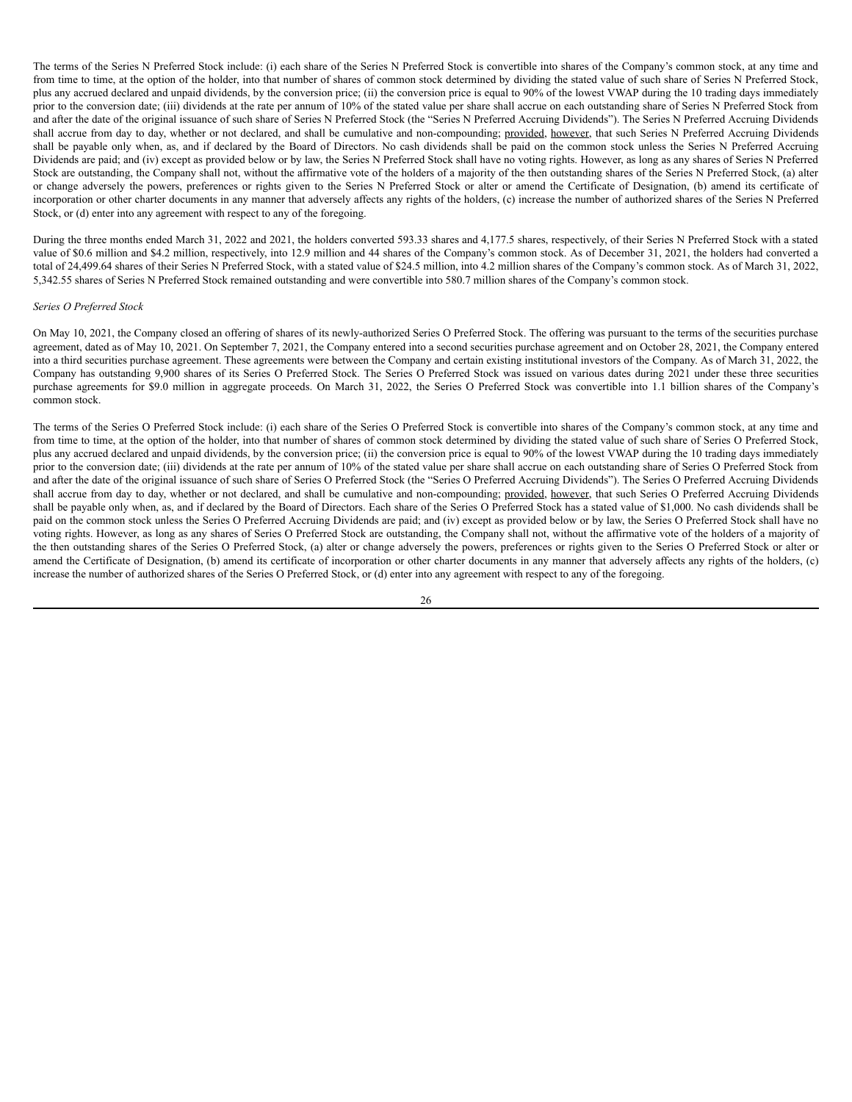The terms of the Series N Preferred Stock include: (i) each share of the Series N Preferred Stock is convertible into shares of the Company's common stock, at any time and from time to time, at the option of the holder, into that number of shares of common stock determined by dividing the stated value of such share of Series N Preferred Stock, plus any accrued declared and unpaid dividends, by the conversion price; (ii) the conversion price is equal to 90% of the lowest VWAP during the 10 trading days immediately prior to the conversion date; (iii) dividends at the rate per annum of 10% of the stated value per share shall accrue on each outstanding share of Series N Preferred Stock from and after the date of the original issuance of such share of Series N Preferred Stock (the "Series N Preferred Accruing Dividends"). The Series N Preferred Accruing Dividends shall accrue from day to day, whether or not declared, and shall be cumulative and non-compounding; provided, however, that such Series N Preferred Accruing Dividends shall be payable only when, as, and if declared by the Board of Directors. No cash dividends shall be paid on the common stock unless the Series N Preferred Accruing Dividends are paid; and (iv) except as provided below or by law, the Series N Preferred Stock shall have no voting rights. However, as long as any shares of Series N Preferred Stock are outstanding, the Company shall not, without the affirmative vote of the holders of a majority of the then outstanding shares of the Series N Preferred Stock, (a) alter or change adversely the powers, preferences or rights given to the Series N Preferred Stock or alter or amend the Certificate of Designation, (b) amend its certificate of incorporation or other charter documents in any manner that adversely affects any rights of the holders, (c) increase the number of authorized shares of the Series N Preferred Stock, or (d) enter into any agreement with respect to any of the foregoing.

During the three months ended March 31, 2022 and 2021, the holders converted 593.33 shares and 4,177.5 shares, respectively, of their Series N Preferred Stock with a stated value of \$0.6 million and \$4.2 million, respectively, into 12.9 million and 44 shares of the Company's common stock. As of December 31, 2021, the holders had converted a total of 24,499.64 shares of their Series N Preferred Stock, with a stated value of \$24.5 million, into 4.2 million shares of the Company's common stock. As of March 31, 2022, 5,342.55 shares of Series N Preferred Stock remained outstanding and were convertible into 580.7 million shares of the Company's common stock.

#### *Series O Preferred Stock*

On May 10, 2021, the Company closed an offering of shares of its newly-authorized Series O Preferred Stock. The offering was pursuant to the terms of the securities purchase agreement, dated as of May 10, 2021. On September 7, 2021, the Company entered into a second securities purchase agreement and on October 28, 2021, the Company entered into a third securities purchase agreement. These agreements were between the Company and certain existing institutional investors of the Company. As of March 31, 2022, the Company has outstanding 9,900 shares of its Series O Preferred Stock. The Series O Preferred Stock was issued on various dates during 2021 under these three securities purchase agreements for \$9.0 million in aggregate proceeds. On March 31, 2022, the Series O Preferred Stock was convertible into 1.1 billion shares of the Company's common stock.

The terms of the Series O Preferred Stock include: (i) each share of the Series O Preferred Stock is convertible into shares of the Company's common stock, at any time and from time to time, at the option of the holder, into that number of shares of common stock determined by dividing the stated value of such share of Series O Preferred Stock, plus any accrued declared and unpaid dividends, by the conversion price; (ii) the conversion price is equal to 90% of the lowest VWAP during the 10 trading days immediately prior to the conversion date; (iii) dividends at the rate per annum of 10% of the stated value per share shall accrue on each outstanding share of Series O Preferred Stock from and after the date of the original issuance of such share of Series O Preferred Stock (the "Series O Preferred Accruing Dividends"). The Series O Preferred Accruing Dividends shall accrue from day to day, whether or not declared, and shall be cumulative and non-compounding; provided, however, that such Series O Preferred Accruing Dividends shall be payable only when, as, and if declared by the Board of Directors. Each share of the Series O Preferred Stock has a stated value of \$1,000. No cash dividends shall be paid on the common stock unless the Series O Preferred Accruing Dividends are paid; and (iv) except as provided below or by law, the Series O Preferred Stock shall have no voting rights. However, as long as any shares of Series O Preferred Stock are outstanding, the Company shall not, without the affirmative vote of the holders of a majority of the then outstanding shares of the Series O Preferred Stock, (a) alter or change adversely the powers, preferences or rights given to the Series O Preferred Stock or alter or amend the Certificate of Designation, (b) amend its certificate of incorporation or other charter documents in any manner that adversely affects any rights of the holders, (c) increase the number of authorized shares of the Series O Preferred Stock, or (d) enter into any agreement with respect to any of the foregoing.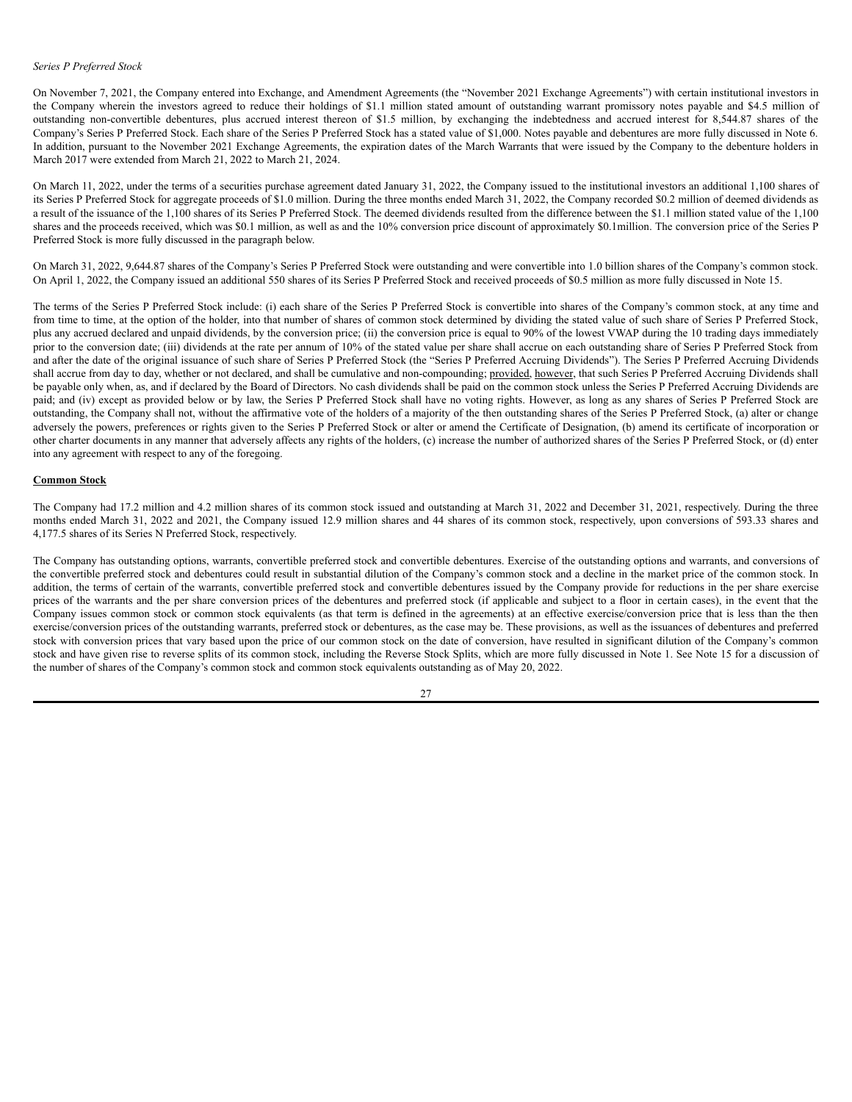## *Series P Preferred Stock*

On November 7, 2021, the Company entered into Exchange, and Amendment Agreements (the "November 2021 Exchange Agreements") with certain institutional investors in the Company wherein the investors agreed to reduce their holdings of \$1.1 million stated amount of outstanding warrant promissory notes payable and \$4.5 million of outstanding non-convertible debentures, plus accrued interest thereon of \$1.5 million, by exchanging the indebtedness and accrued interest for 8,544.87 shares of the Company's Series P Preferred Stock. Each share of the Series P Preferred Stock has a stated value of \$1,000. Notes payable and debentures are more fully discussed in Note 6. In addition, pursuant to the November 2021 Exchange Agreements, the expiration dates of the March Warrants that were issued by the Company to the debenture holders in March 2017 were extended from March 21, 2022 to March 21, 2024.

On March 11, 2022, under the terms of a securities purchase agreement dated January 31, 2022, the Company issued to the institutional investors an additional 1,100 shares of its Series P Preferred Stock for aggregate proceeds of \$1.0 million. During the three months ended March 31, 2022, the Company recorded \$0.2 million of deemed dividends as a result of the issuance of the 1,100 shares of its Series P Preferred Stock. The deemed dividends resulted from the difference between the \$1.1 million stated value of the 1,100 shares and the proceeds received, which was \$0.1 million, as well as and the 10% conversion price discount of approximately \$0.1 million. The conversion price of the Series P Preferred Stock is more fully discussed in the paragraph below.

On March 31, 2022, 9,644.87 shares of the Company's Series P Preferred Stock were outstanding and were convertible into 1.0 billion shares of the Company's common stock. On April 1, 2022, the Company issued an additional 550 shares of its Series P Preferred Stock and received proceeds of \$0.5 million as more fully discussed in Note 15.

The terms of the Series P Preferred Stock include: (i) each share of the Series P Preferred Stock is convertible into shares of the Company's common stock, at any time and from time to time, at the option of the holder, into that number of shares of common stock determined by dividing the stated value of such share of Series P Preferred Stock, plus any accrued declared and unpaid dividends, by the conversion price; (ii) the conversion price is equal to 90% of the lowest VWAP during the 10 trading days immediately prior to the conversion date; (iii) dividends at the rate per annum of 10% of the stated value per share shall accrue on each outstanding share of Series P Preferred Stock from and after the date of the original issuance of such share of Series P Preferred Stock (the "Series P Preferred Accruing Dividends"). The Series P Preferred Accruing Dividends shall accrue from day to day, whether or not declared, and shall be cumulative and non-compounding; provided, however, that such Series P Preferred Accruing Dividends shall be payable only when, as, and if declared by the Board of Directors. No cash dividends shall be paid on the common stock unless the Series P Preferred Accruing Dividends are paid; and (iv) except as provided below or by law, the Series P Preferred Stock shall have no voting rights. However, as long as any shares of Series P Preferred Stock are outstanding, the Company shall not, without the affirmative vote of the holders of a majority of the then outstanding shares of the Series P Preferred Stock, (a) alter or change adversely the powers, preferences or rights given to the Series P Preferred Stock or alter or amend the Certificate of Designation, (b) amend its certificate of incorporation or other charter documents in any manner that adversely affects any rights of the holders, (c) increase the number of authorized shares of the Series P Preferred Stock, or (d) enter into any agreement with respect to any of the foregoing.

## **Common Stock**

The Company had 17.2 million and 4.2 million shares of its common stock issued and outstanding at March 31, 2022 and December 31, 2021, respectively. During the three months ended March 31, 2022 and 2021, the Company issued 12.9 million shares and 44 shares of its common stock, respectively, upon conversions of 593.33 shares and 4,177.5 shares of its Series N Preferred Stock, respectively.

The Company has outstanding options, warrants, convertible preferred stock and convertible debentures. Exercise of the outstanding options and warrants, and conversions of the convertible preferred stock and debentures could result in substantial dilution of the Company's common stock and a decline in the market price of the common stock. In addition, the terms of certain of the warrants, convertible preferred stock and convertible debentures issued by the Company provide for reductions in the per share exercise prices of the warrants and the per share conversion prices of the debentures and preferred stock (if applicable and subject to a floor in certain cases), in the event that the Company issues common stock or common stock equivalents (as that term is defined in the agreements) at an effective exercise/conversion price that is less than the then exercise/conversion prices of the outstanding warrants, preferred stock or debentures, as the case may be. These provisions, as well as the issuances of debentures and preferred stock with conversion prices that vary based upon the price of our common stock on the date of conversion, have resulted in significant dilution of the Company's common stock and have given rise to reverse splits of its common stock, including the Reverse Stock Splits, which are more fully discussed in Note 1. See Note 15 for a discussion of the number of shares of the Company's common stock and common stock equivalents outstanding as of May 20, 2022.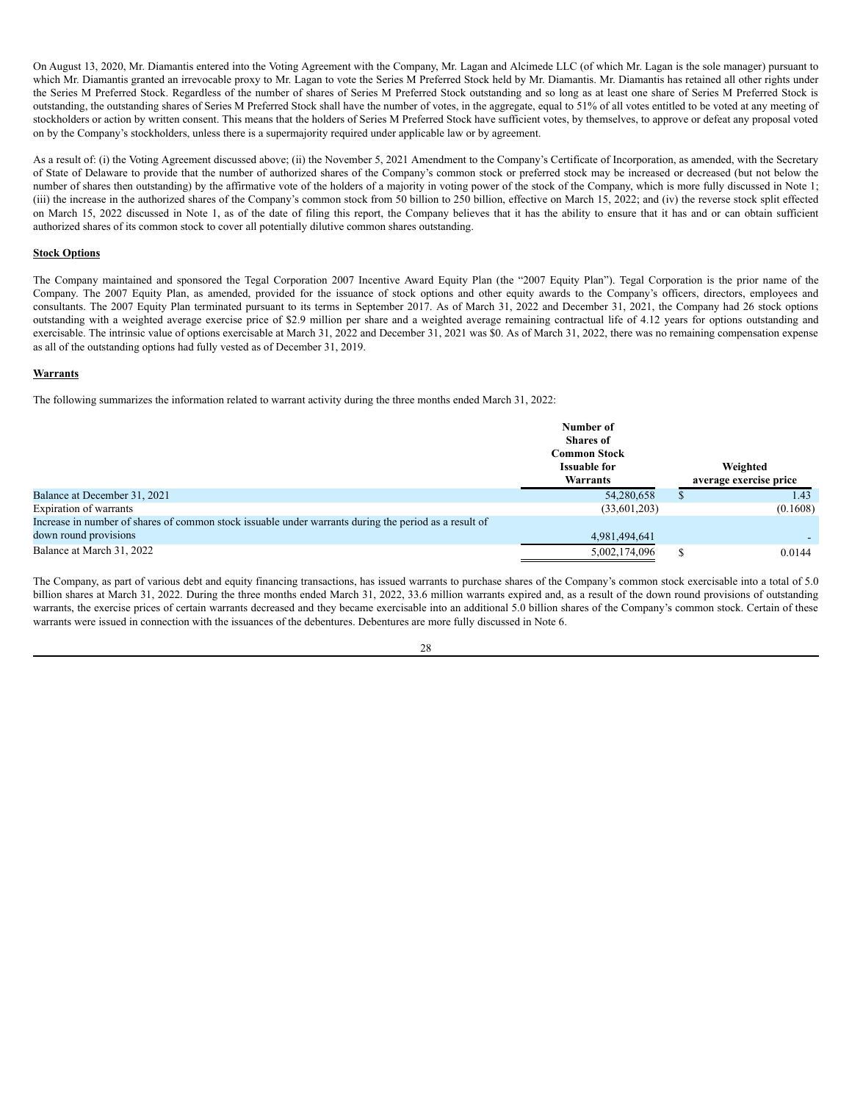On August 13, 2020, Mr. Diamantis entered into the Voting Agreement with the Company, Mr. Lagan and Alcimede LLC (of which Mr. Lagan is the sole manager) pursuant to which Mr. Diamantis granted an irrevocable proxy to Mr. Lagan to vote the Series M Preferred Stock held by Mr. Diamantis. Mr. Diamantis has retained all other rights under the Series M Preferred Stock. Regardless of the number of shares of Series M Preferred Stock outstanding and so long as at least one share of Series M Preferred Stock is outstanding, the outstanding shares of Series M Preferred Stock shall have the number of votes, in the aggregate, equal to 51% of all votes entitled to be voted at any meeting of stockholders or action by written consent. This means that the holders of Series M Preferred Stock have sufficient votes, by themselves, to approve or defeat any proposal voted on by the Company's stockholders, unless there is a supermajority required under applicable law or by agreement.

As a result of: (i) the Voting Agreement discussed above; (ii) the November 5, 2021 Amendment to the Company's Certificate of Incorporation, as amended, with the Secretary of State of Delaware to provide that the number of authorized shares of the Company's common stock or preferred stock may be increased or decreased (but not below the number of shares then outstanding) by the affirmative vote of the holders of a majority in voting power of the stock of the Company, which is more fully discussed in Note 1; (iii) the increase in the authorized shares of the Company's common stock from 50 billion to 250 billion, effective on March 15, 2022; and (iv) the reverse stock split effected on March 15, 2022 discussed in Note 1, as of the date of filing this report, the Company believes that it has the ability to ensure that it has and or can obtain sufficient authorized shares of its common stock to cover all potentially dilutive common shares outstanding.

#### **Stock Options**

The Company maintained and sponsored the Tegal Corporation 2007 Incentive Award Equity Plan (the "2007 Equity Plan"). Tegal Corporation is the prior name of the Company. The 2007 Equity Plan, as amended, provided for the issuance of stock options and other equity awards to the Company's officers, directors, employees and consultants. The 2007 Equity Plan terminated pursuant to its terms in September 2017. As of March 31, 2022 and December 31, 2021, the Company had 26 stock options outstanding with a weighted average exercise price of \$2.9 million per share and a weighted average remaining contractual life of 4.12 years for options outstanding and exercisable. The intrinsic value of options exercisable at March 31, 2022 and December 31, 2021 was \$0. As of March 31, 2022, there was no remaining compensation expense as all of the outstanding options had fully vested as of December 31, 2019.

#### **Warrants**

The following summarizes the information related to warrant activity during the three months ended March 31, 2022:

|                                                                                                       | Number of<br><b>Shares of</b><br><b>Common Stock</b><br><b>Issuable for</b><br>Warrants | Weighted<br>average exercise price |
|-------------------------------------------------------------------------------------------------------|-----------------------------------------------------------------------------------------|------------------------------------|
| Balance at December 31, 2021                                                                          | 54,280,658                                                                              | 1.43                               |
| Expiration of warrants                                                                                | (33,601,203)                                                                            | (0.1608)                           |
| Increase in number of shares of common stock issuable under warrants during the period as a result of |                                                                                         |                                    |
| down round provisions                                                                                 | 4,981,494,641                                                                           |                                    |
| Balance at March 31, 2022                                                                             | 5,002,174,096                                                                           | 0.0144                             |

The Company, as part of various debt and equity financing transactions, has issued warrants to purchase shares of the Company's common stock exercisable into a total of 5.0 billion shares at March 31, 2022. During the three months ended March 31, 2022, 33.6 million warrants expired and, as a result of the down round provisions of outstanding warrants, the exercise prices of certain warrants decreased and they became exercisable into an additional 5.0 billion shares of the Company's common stock. Certain of these warrants were issued in connection with the issuances of the debentures. Debentures are more fully discussed in Note 6.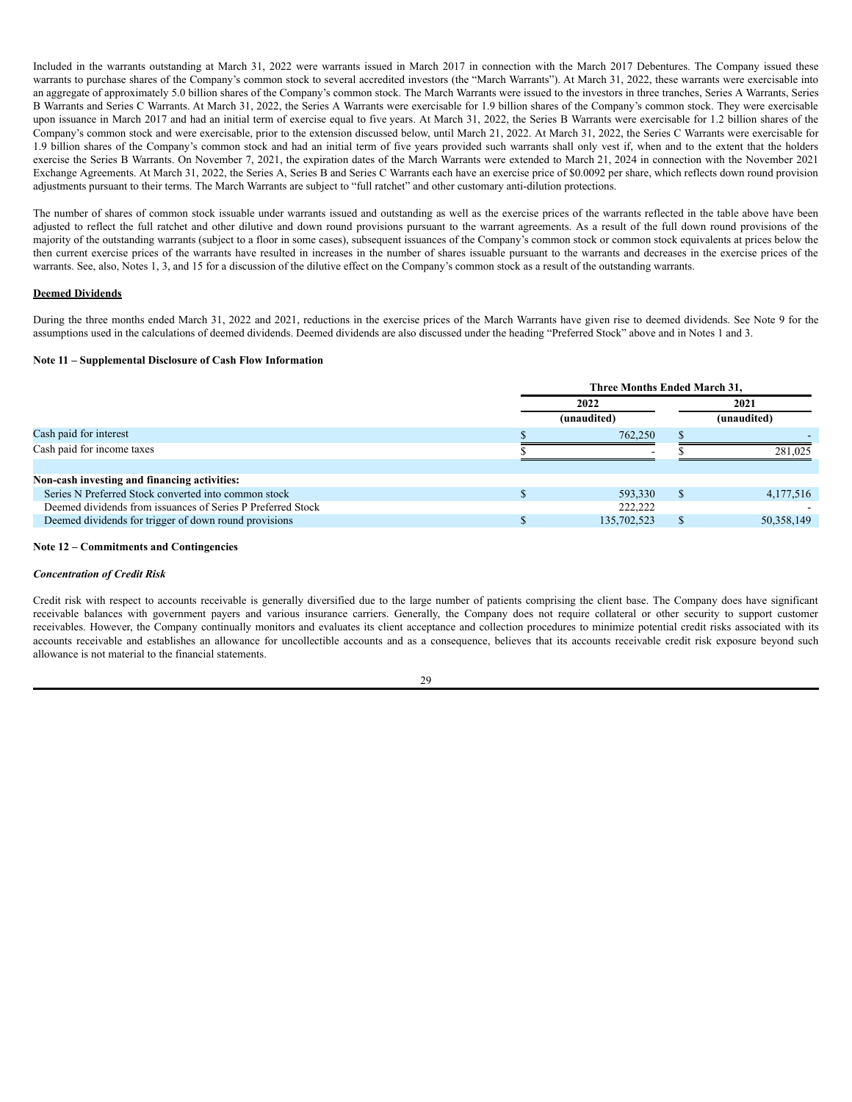Included in the warrants outstanding at March 31, 2022 were warrants issued in March 2017 in connection with the March 2017 Debentures. The Company issued these warrants to purchase shares of the Company's common stock to several accredited investors (the "March Warrants"). At March 31, 2022, these warrants were exercisable into an aggregate of approximately 5.0 billion shares of the Company's common stock. The March Warrants were issued to the investors in three tranches, Series A Warrants, Series B Warrants and Series C Warrants. At March 31, 2022, the Series A Warrants were exercisable for 1.9 billion shares of the Company's common stock. They were exercisable upon issuance in March 2017 and had an initial term of exercise equal to five years. At March 31, 2022, the Series B Warrants were exercisable for 1.2 billion shares of the Company's common stock and were exercisable, prior to the extension discussed below, until March 21, 2022. At March 31, 2022, the Series C Warrants were exercisable for 1.9 billion shares of the Company's common stock and had an initial term of five years provided such warrants shall only vest if, when and to the extent that the holders exercise the Series B Warrants. On November 7, 2021, the expiration dates of the March Warrants were extended to March 21, 2024 in connection with the November 2021 Exchange Agreements. At March 31, 2022, the Series A, Series B and Series C Warrants each have an exercise price of \$0.0092 per share, which reflects down round provision adjustments pursuant to their terms. The March Warrants are subject to "full ratchet" and other customary anti-dilution protections.

The number of shares of common stock issuable under warrants issued and outstanding as well as the exercise prices of the warrants reflected in the table above have been adjusted to reflect the full ratchet and other dilutive and down round provisions pursuant to the warrant agreements. As a result of the full down round provisions of the majority of the outstanding warrants (subject to a floor in some cases), subsequent issuances of the Company's common stock or common stock equivalents at prices below the then current exercise prices of the warrants have resulted in increases in the number of shares issuable pursuant to the warrants and decreases in the exercise prices of the warrants. See, also, Notes 1, 3, and 15 for a discussion of the dilutive effect on the Company's common stock as a result of the outstanding warrants.

#### **Deemed Dividends**

During the three months ended March 31, 2022 and 2021, reductions in the exercise prices of the March Warrants have given rise to deemed dividends. See Note 9 for the assumptions used in the calculations of deemed dividends. Deemed dividends are also discussed under the heading "Preferred Stock" above and in Notes 1 and 3.

# **Note 11 – Supplemental Disclosure of Cash Flow Information**

|                                                             | <b>Three Months Ended March 31.</b> |  |             |  |  |
|-------------------------------------------------------------|-------------------------------------|--|-------------|--|--|
|                                                             | 2022                                |  | 2021        |  |  |
|                                                             | (unaudited)                         |  | (unaudited) |  |  |
| Cash paid for interest                                      | 762,250                             |  |             |  |  |
| Cash paid for income taxes                                  |                                     |  | 281,025     |  |  |
| Non-cash investing and financing activities:                |                                     |  |             |  |  |
| Series N Preferred Stock converted into common stock        | 593,330                             |  | 4,177,516   |  |  |
| Deemed dividends from issuances of Series P Preferred Stock | 222,222                             |  |             |  |  |
| Deemed dividends for trigger of down round provisions       | 135,702,523                         |  | 50,358,149  |  |  |

#### **Note 12 – Commitments and Contingencies**

#### *Concentration of Credit Risk*

Credit risk with respect to accounts receivable is generally diversified due to the large number of patients comprising the client base. The Company does have significant receivable balances with government payers and various insurance carriers. Generally, the Company does not require collateral or other security to support customer receivables. However, the Company continually monitors and evaluates its client acceptance and collection procedures to minimize potential credit risks associated with its accounts receivable and establishes an allowance for uncollectible accounts and as a consequence, believes that its accounts receivable credit risk exposure beyond such allowance is not material to the financial statements.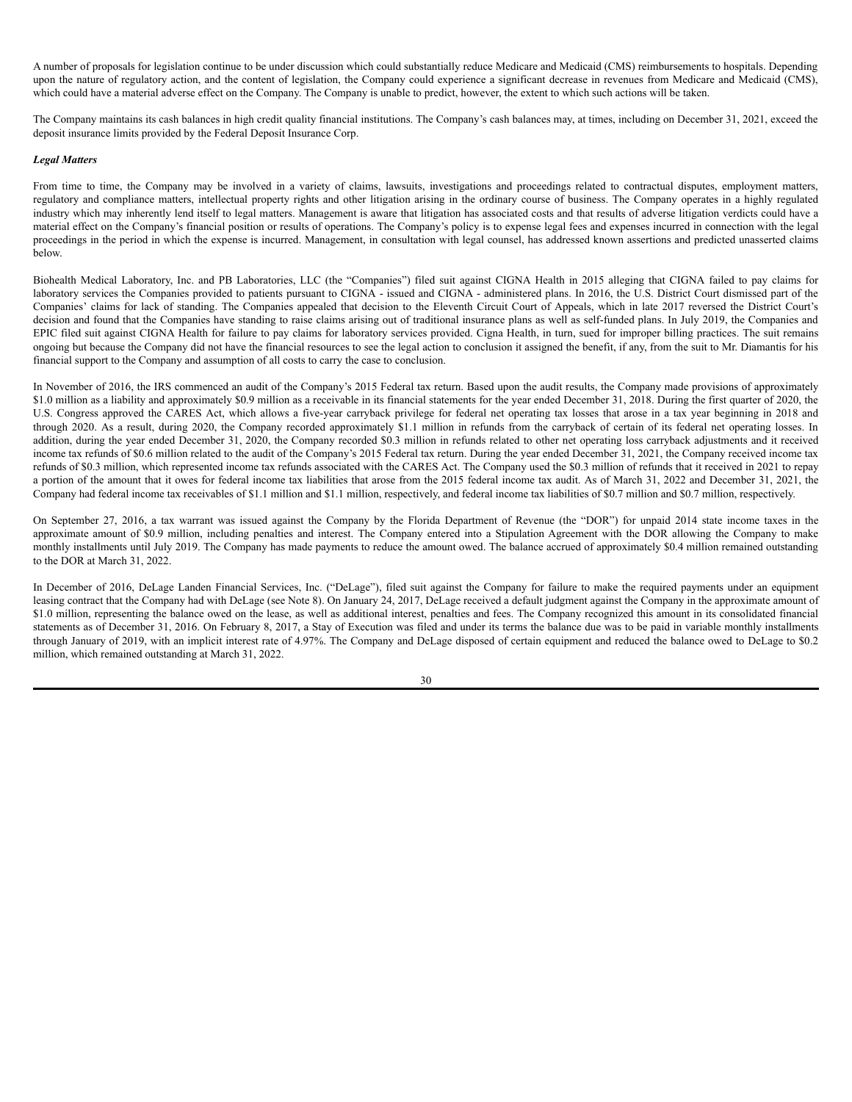A number of proposals for legislation continue to be under discussion which could substantially reduce Medicare and Medicaid (CMS) reimbursements to hospitals. Depending upon the nature of regulatory action, and the content of legislation, the Company could experience a significant decrease in revenues from Medicare and Medicaid (CMS), which could have a material adverse effect on the Company. The Company is unable to predict, however, the extent to which such actions will be taken.

The Company maintains its cash balances in high credit quality financial institutions. The Company's cash balances may, at times, including on December 31, 2021, exceed the deposit insurance limits provided by the Federal Deposit Insurance Corp.

# *Legal Matters*

From time to time, the Company may be involved in a variety of claims, lawsuits, investigations and proceedings related to contractual disputes, employment matters, regulatory and compliance matters, intellectual property rights and other litigation arising in the ordinary course of business. The Company operates in a highly regulated industry which may inherently lend itself to legal matters. Management is aware that litigation has associated costs and that results of adverse litigation verdicts could have a material effect on the Company's financial position or results of operations. The Company's policy is to expense legal fees and expenses incurred in connection with the legal proceedings in the period in which the expense is incurred. Management, in consultation with legal counsel, has addressed known assertions and predicted unasserted claims below.

Biohealth Medical Laboratory, Inc. and PB Laboratories, LLC (the "Companies") filed suit against CIGNA Health in 2015 alleging that CIGNA failed to pay claims for laboratory services the Companies provided to patients pursuant to CIGNA - issued and CIGNA - administered plans. In 2016, the U.S. District Court dismissed part of the Companies' claims for lack of standing. The Companies appealed that decision to the Eleventh Circuit Court of Appeals, which in late 2017 reversed the District Court's decision and found that the Companies have standing to raise claims arising out of traditional insurance plans as well as self-funded plans. In July 2019, the Companies and EPIC filed suit against CIGNA Health for failure to pay claims for laboratory services provided. Cigna Health, in turn, sued for improper billing practices. The suit remains ongoing but because the Company did not have the financial resources to see the legal action to conclusion it assigned the benefit, if any, from the suit to Mr. Diamantis for his financial support to the Company and assumption of all costs to carry the case to conclusion.

In November of 2016, the IRS commenced an audit of the Company's 2015 Federal tax return. Based upon the audit results, the Company made provisions of approximately \$1.0 million as a liability and approximately \$0.9 million as a receivable in its financial statements for the year ended December 31, 2018. During the first quarter of 2020, the U.S. Congress approved the CARES Act, which allows a five-year carryback privilege for federal net operating tax losses that arose in a tax year beginning in 2018 and through 2020. As a result, during 2020, the Company recorded approximately \$1.1 million in refunds from the carryback of certain of its federal net operating losses. In addition, during the year ended December 31, 2020, the Company recorded \$0.3 million in refunds related to other net operating loss carryback adjustments and it received income tax refunds of \$0.6 million related to the audit of the Company's 2015 Federal tax return. During the year ended December 31, 2021, the Company received income tax refunds of \$0.3 million, which represented income tax refunds associated with the CARES Act. The Company used the \$0.3 million of refunds that it received in 2021 to repay a portion of the amount that it owes for federal income tax liabilities that arose from the 2015 federal income tax audit. As of March 31, 2022 and December 31, 2021, the Company had federal income tax receivables of \$1.1 million and \$1.1 million, respectively, and federal income tax liabilities of \$0.7 million and \$0.7 million, respectively.

On September 27, 2016, a tax warrant was issued against the Company by the Florida Department of Revenue (the "DOR") for unpaid 2014 state income taxes in the approximate amount of \$0.9 million, including penalties and interest. The Company entered into a Stipulation Agreement with the DOR allowing the Company to make monthly installments until July 2019. The Company has made payments to reduce the amount owed. The balance accrued of approximately \$0.4 million remained outstanding to the DOR at March 31, 2022.

In December of 2016, DeLage Landen Financial Services, Inc. ("DeLage"), filed suit against the Company for failure to make the required payments under an equipment leasing contract that the Company had with DeLage (see Note 8). On January 24, 2017, DeLage received a default judgment against the Company in the approximate amount of \$1.0 million, representing the balance owed on the lease, as well as additional interest, penalties and fees. The Company recognized this amount in its consolidated financial statements as of December 31, 2016. On February 8, 2017, a Stay of Execution was filed and under its terms the balance due was to be paid in variable monthly installments through January of 2019, with an implicit interest rate of 4.97%. The Company and DeLage disposed of certain equipment and reduced the balance owed to DeLage to \$0.2 million, which remained outstanding at March 31, 2022.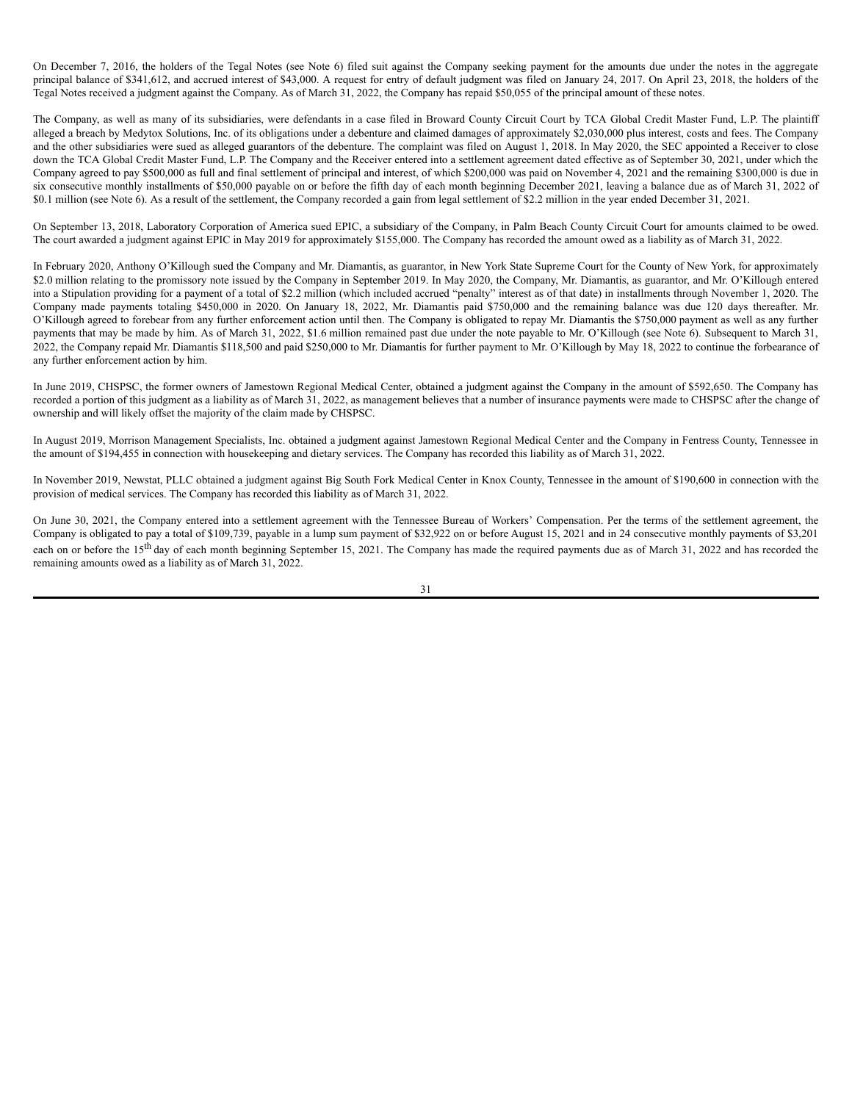On December 7, 2016, the holders of the Tegal Notes (see Note 6) filed suit against the Company seeking payment for the amounts due under the notes in the aggregate principal balance of \$341,612, and accrued interest of \$43,000. A request for entry of default judgment was filed on January 24, 2017. On April 23, 2018, the holders of the Tegal Notes received a judgment against the Company. As of March 31, 2022, the Company has repaid \$50,055 of the principal amount of these notes.

The Company, as well as many of its subsidiaries, were defendants in a case filed in Broward County Circuit Court by TCA Global Credit Master Fund, L.P. The plaintiff alleged a breach by Medytox Solutions, Inc. of its obligations under a debenture and claimed damages of approximately \$2,030,000 plus interest, costs and fees. The Company and the other subsidiaries were sued as alleged guarantors of the debenture. The complaint was filed on August 1, 2018. In May 2020, the SEC appointed a Receiver to close down the TCA Global Credit Master Fund, L.P. The Company and the Receiver entered into a settlement agreement dated effective as of September 30, 2021, under which the Company agreed to pay \$500,000 as full and final settlement of principal and interest, of which \$200,000 was paid on November 4, 2021 and the remaining \$300,000 is due in six consecutive monthly installments of \$50,000 payable on or before the fifth day of each month beginning December 2021, leaving a balance due as of March 31, 2022 of \$0.1 million (see Note 6). As a result of the settlement, the Company recorded a gain from legal settlement of \$2.2 million in the year ended December 31, 2021.

On September 13, 2018, Laboratory Corporation of America sued EPIC, a subsidiary of the Company, in Palm Beach County Circuit Court for amounts claimed to be owed. The court awarded a judgment against EPIC in May 2019 for approximately \$155,000. The Company has recorded the amount owed as a liability as of March 31, 2022.

In February 2020, Anthony O'Killough sued the Company and Mr. Diamantis, as guarantor, in New York State Supreme Court for the County of New York, for approximately \$2.0 million relating to the promissory note issued by the Company in September 2019. In May 2020, the Company, Mr. Diamantis, as guarantor, and Mr. O'Killough entered into a Stipulation providing for a payment of a total of \$2.2 million (which included accrued "penalty" interest as of that date) in installments through November 1, 2020. The Company made payments totaling \$450,000 in 2020. On January 18, 2022, Mr. Diamantis paid \$750,000 and the remaining balance was due 120 days thereafter. Mr. O'Killough agreed to forebear from any further enforcement action until then. The Company is obligated to repay Mr. Diamantis the \$750,000 payment as well as any further payments that may be made by him. As of March 31, 2022, \$1.6 million remained past due under the note payable to Mr. O'Killough (see Note 6). Subsequent to March 31, 2022, the Company repaid Mr. Diamantis \$118,500 and paid \$250,000 to Mr. Diamantis for further payment to Mr. O'Killough by May 18, 2022 to continue the forbearance of any further enforcement action by him.

In June 2019, CHSPSC, the former owners of Jamestown Regional Medical Center, obtained a judgment against the Company in the amount of \$592,650. The Company has recorded a portion of this judgment as a liability as of March 31, 2022, as management believes that a number of insurance payments were made to CHSPSC after the change of ownership and will likely offset the majority of the claim made by CHSPSC.

In August 2019, Morrison Management Specialists, Inc. obtained a judgment against Jamestown Regional Medical Center and the Company in Fentress County, Tennessee in the amount of \$194,455 in connection with housekeeping and dietary services. The Company has recorded this liability as of March 31, 2022.

In November 2019, Newstat, PLLC obtained a judgment against Big South Fork Medical Center in Knox County, Tennessee in the amount of \$190,600 in connection with the provision of medical services. The Company has recorded this liability as of March 31, 2022.

On June 30, 2021, the Company entered into a settlement agreement with the Tennessee Bureau of Workers' Compensation. Per the terms of the settlement agreement, the Company is obligated to pay a total of \$109,739, payable in a lump sum payment of \$32,922 on or before August 15, 2021 and in 24 consecutive monthly payments of \$3,201 each on or before the 15<sup>th</sup> day of each month beginning September 15, 2021. The Company has made the required payments due as of March 31, 2022 and has recorded the remaining amounts owed as a liability as of March 31, 2022.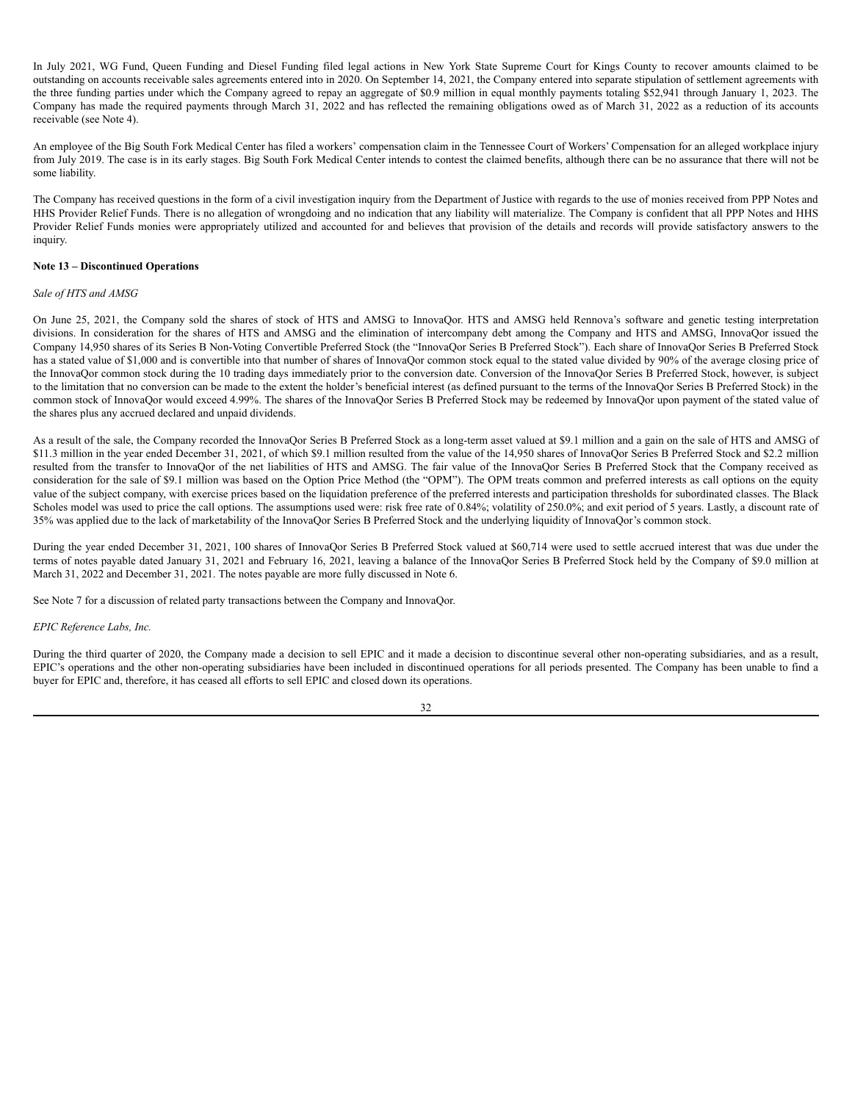In July 2021, WG Fund, Queen Funding and Diesel Funding filed legal actions in New York State Supreme Court for Kings County to recover amounts claimed to be outstanding on accounts receivable sales agreements entered into in 2020. On September 14, 2021, the Company entered into separate stipulation of settlement agreements with the three funding parties under which the Company agreed to repay an aggregate of \$0.9 million in equal monthly payments totaling \$52,941 through January 1, 2023. The Company has made the required payments through March 31, 2022 and has reflected the remaining obligations owed as of March 31, 2022 as a reduction of its accounts receivable (see Note 4).

An employee of the Big South Fork Medical Center has filed a workers' compensation claim in the Tennessee Court of Workers' Compensation for an alleged workplace injury from July 2019. The case is in its early stages. Big South Fork Medical Center intends to contest the claimed benefits, although there can be no assurance that there will not be some liability.

The Company has received questions in the form of a civil investigation inquiry from the Department of Justice with regards to the use of monies received from PPP Notes and HHS Provider Relief Funds. There is no allegation of wrongdoing and no indication that any liability will materialize. The Company is confident that all PPP Notes and HHS Provider Relief Funds monies were appropriately utilized and accounted for and believes that provision of the details and records will provide satisfactory answers to the inquiry.

## **Note 13 – Discontinued Operations**

#### *Sale of HTS and AMSG*

On June 25, 2021, the Company sold the shares of stock of HTS and AMSG to InnovaQor. HTS and AMSG held Rennova's software and genetic testing interpretation divisions. In consideration for the shares of HTS and AMSG and the elimination of intercompany debt among the Company and HTS and AMSG, InnovaQor issued the Company 14,950 shares of its Series B Non-Voting Convertible Preferred Stock (the "InnovaQor Series B Preferred Stock"). Each share of InnovaQor Series B Preferred Stock has a stated value of \$1,000 and is convertible into that number of shares of InnovaQor common stock equal to the stated value divided by 90% of the average closing price of the InnovaQor common stock during the 10 trading days immediately prior to the conversion date. Conversion of the InnovaQor Series B Preferred Stock, however, is subject to the limitation that no conversion can be made to the extent the holder's beneficial interest (as defined pursuant to the terms of the InnovaQor Series B Preferred Stock) in the common stock of InnovaQor would exceed 4.99%. The shares of the InnovaQor Series B Preferred Stock may be redeemed by InnovaQor upon payment of the stated value of the shares plus any accrued declared and unpaid dividends.

As a result of the sale, the Company recorded the InnovaQor Series B Preferred Stock as a long-term asset valued at \$9.1 million and a gain on the sale of HTS and AMSG of \$11.3 million in the year ended December 31, 2021, of which \$9.1 million resulted from the value of the 14,950 shares of InnovaQor Series B Preferred Stock and \$2.2 million resulted from the transfer to InnovaQor of the net liabilities of HTS and AMSG. The fair value of the InnovaQor Series B Preferred Stock that the Company received as consideration for the sale of \$9.1 million was based on the Option Price Method (the "OPM"). The OPM treats common and preferred interests as call options on the equity value of the subject company, with exercise prices based on the liquidation preference of the preferred interests and participation thresholds for subordinated classes. The Black Scholes model was used to price the call options. The assumptions used were: risk free rate of 0.84%; volatility of 250.0%; and exit period of 5 years. Lastly, a discount rate of 35% was applied due to the lack of marketability of the InnovaQor Series B Preferred Stock and the underlying liquidity of InnovaQor's common stock.

During the year ended December 31, 2021, 100 shares of InnovaQor Series B Preferred Stock valued at \$60,714 were used to settle accrued interest that was due under the terms of notes payable dated January 31, 2021 and February 16, 2021, leaving a balance of the InnovaQor Series B Preferred Stock held by the Company of \$9.0 million at March 31, 2022 and December 31, 2021. The notes payable are more fully discussed in Note 6.

See Note 7 for a discussion of related party transactions between the Company and InnovaQor.

#### *EPIC Reference Labs, Inc.*

During the third quarter of 2020, the Company made a decision to sell EPIC and it made a decision to discontinue several other non-operating subsidiaries, and as a result, EPIC's operations and the other non-operating subsidiaries have been included in discontinued operations for all periods presented. The Company has been unable to find a buyer for EPIC and, therefore, it has ceased all efforts to sell EPIC and closed down its operations.

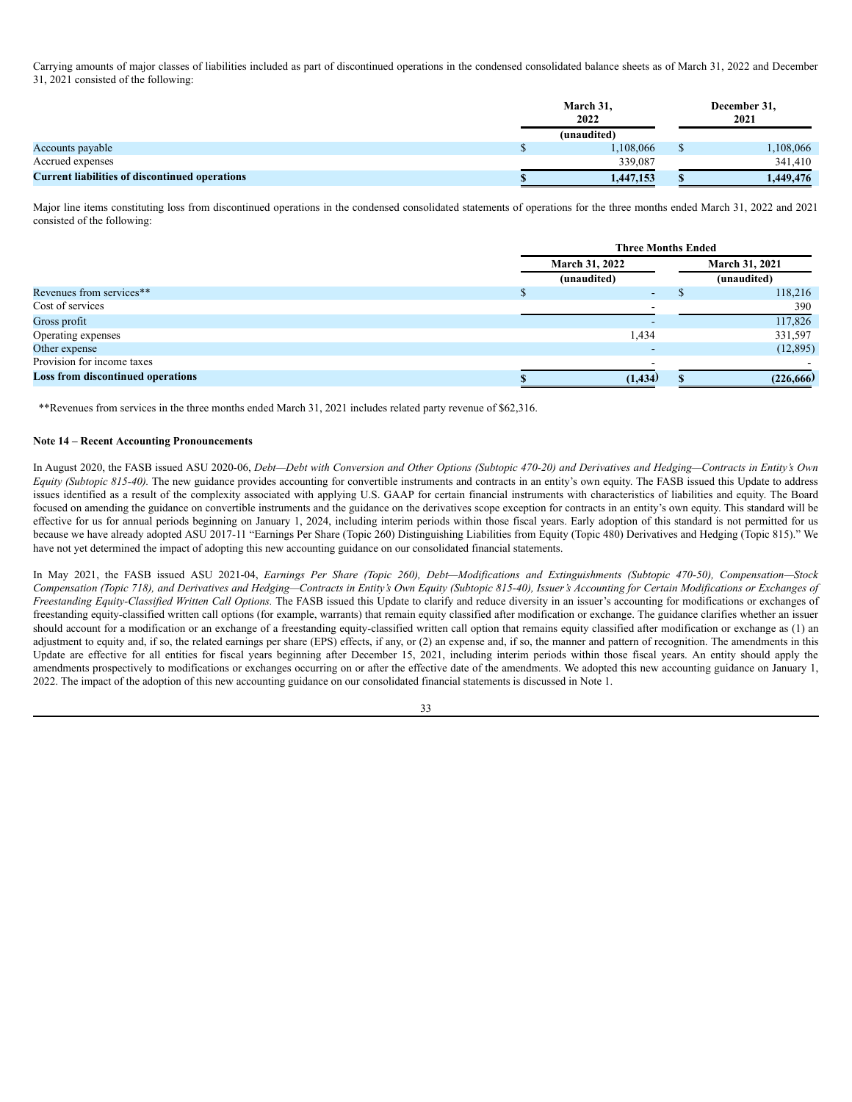Carrying amounts of major classes of liabilities included as part of discontinued operations in the condensed consolidated balance sheets as of March 31, 2022 and December 31, 2021 consisted of the following:

|                                                       | March 31,<br>2022 |  | December 31,<br>2021 |  |  |
|-------------------------------------------------------|-------------------|--|----------------------|--|--|
|                                                       | (unaudited)       |  |                      |  |  |
| Accounts payable                                      | 1,108,066         |  | ,108,066             |  |  |
| Accrued expenses                                      | 339,087           |  | 341.410              |  |  |
| <b>Current liabilities of discontinued operations</b> | 1,447,153         |  | 1,449,476            |  |  |

Major line items constituting loss from discontinued operations in the condensed consolidated statements of operations for the three months ended March 31, 2022 and 2021 consisted of the following:

|                                          | <b>Three Months Ended</b> |  |                       |  |  |
|------------------------------------------|---------------------------|--|-----------------------|--|--|
|                                          | <b>March 31, 2022</b>     |  | <b>March 31, 2021</b> |  |  |
|                                          | (unaudited)               |  | (unaudited)           |  |  |
| Revenues from services**                 | -                         |  | 118,216               |  |  |
| Cost of services                         |                           |  | 390                   |  |  |
| Gross profit                             |                           |  | 117,826               |  |  |
| Operating expenses                       | 1,434                     |  | 331,597               |  |  |
| Other expense                            |                           |  | (12, 895)             |  |  |
| Provision for income taxes               |                           |  |                       |  |  |
| <b>Loss from discontinued operations</b> | (1, 434)                  |  | (226, 666)            |  |  |

\*\*Revenues from services in the three months ended March 31, 2021 includes related party revenue of \$62,316.

# **Note 14 – Recent Accounting Pronouncements**

In August 2020, the FASB issued ASU 2020-06, Debt-Debt with Conversion and Other Options (Subtopic 470-20) and Derivatives and Hedging-Contracts in Entity's Own *Equity* (Subtopic 815-40). The new guidance provides accounting for convertible instruments and contracts in an entity's own equity. The FASB issued this Update to address issues identified as a result of the complexity associated with applying U.S. GAAP for certain financial instruments with characteristics of liabilities and equity. The Board focused on amending the guidance on convertible instruments and the guidance on the derivatives scope exception for contracts in an entity's own equity. This standard will be effective for us for annual periods beginning on January 1, 2024, including interim periods within those fiscal years. Early adoption of this standard is not permitted for us because we have already adopted ASU 2017-11 "Earnings Per Share (Topic 260) Distinguishing Liabilities from Equity (Topic 480) Derivatives and Hedging (Topic 815)." We have not yet determined the impact of adopting this new accounting guidance on our consolidated financial statements.

In May 2021, the FASB issued ASU 2021-04, Earnings Per Share (Topic 260), Debt-Modifications and Extinguishments (Subtopic 470-50), Compensation-Stock Compensation (Topic 718), and Derivatives and Hedging-Contracts in Entity's Own Equity (Subtopic 815-40), Issuer's Accounting for Certain Modifications or Exchanges of *Freestanding Equity-Classified Written Call Options.* The FASB issued this Update to clarify and reduce diversity in an issuer's accounting for modifications or exchanges of freestanding equity-classified written call options (for example, warrants) that remain equity classified after modification or exchange. The guidance clarifies whether an issuer should account for a modification or an exchange of a freestanding equity-classified written call option that remains equity classified after modification or exchange as (1) an adjustment to equity and, if so, the related earnings per share (EPS) effects, if any, or (2) an expense and, if so, the manner and pattern of recognition. The amendments in this Update are effective for all entities for fiscal years beginning after December 15, 2021, including interim periods within those fiscal years. An entity should apply the amendments prospectively to modifications or exchanges occurring on or after the effective date of the amendments. We adopted this new accounting guidance on January 1, 2022. The impact of the adoption of this new accounting guidance on our consolidated financial statements is discussed in Note 1.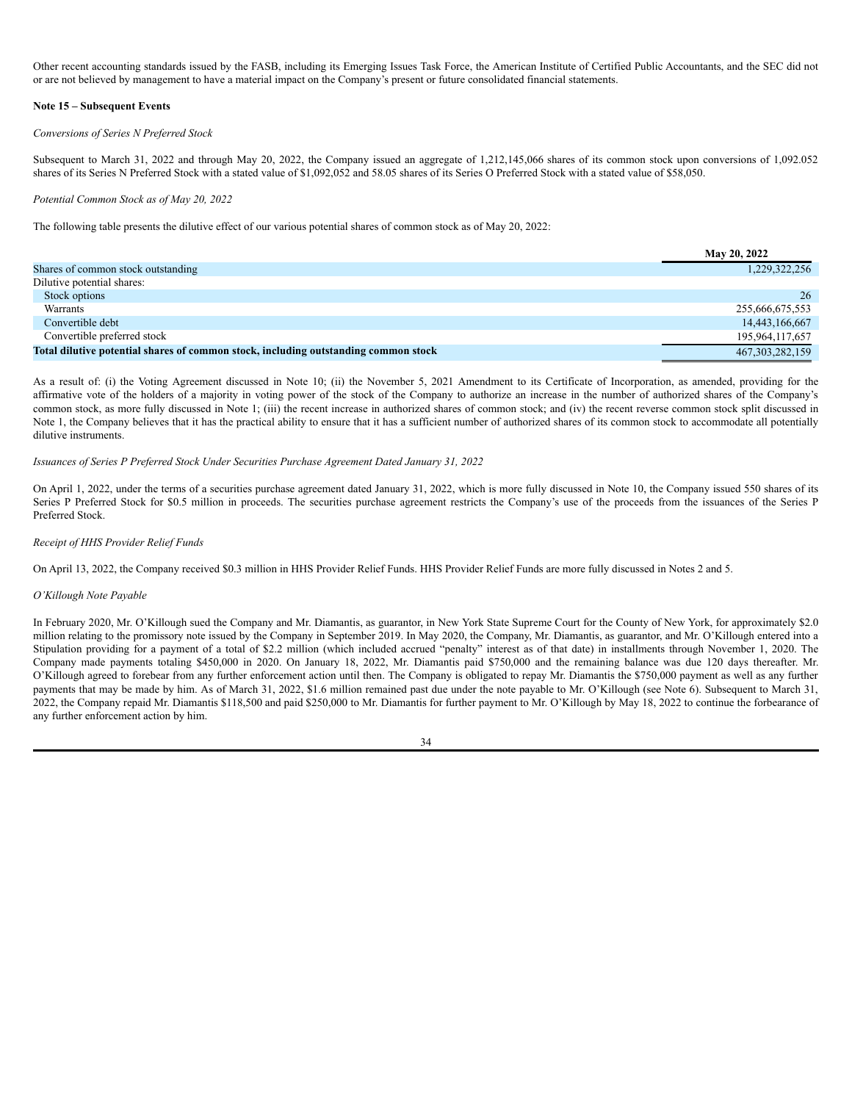Other recent accounting standards issued by the FASB, including its Emerging Issues Task Force, the American Institute of Certified Public Accountants, and the SEC did not or are not believed by management to have a material impact on the Company's present or future consolidated financial statements.

## **Note 15 – Subsequent Events**

## *Conversions of Series N Preferred Stock*

Subsequent to March 31, 2022 and through May 20, 2022, the Company issued an aggregate of 1,212,145,066 shares of its common stock upon conversions of 1,092.052 shares of its Series N Preferred Stock with a stated value of \$1,092,052 and 58.05 shares of its Series O Preferred Stock with a stated value of \$58,050.

#### *Potential Common Stock as of May 20, 2022*

The following table presents the dilutive effect of our various potential shares of common stock as of May 20, 2022:

|                                                                                     | <b>May 20, 2022</b> |
|-------------------------------------------------------------------------------------|---------------------|
| Shares of common stock outstanding                                                  | 1,229,322,256       |
| Dilutive potential shares:                                                          |                     |
| Stock options                                                                       | 26                  |
| Warrants                                                                            | 255,666,675,553     |
| Convertible debt                                                                    | 14,443,166,667      |
| Convertible preferred stock                                                         | 195,964,117,657     |
| Total dilutive potential shares of common stock, including outstanding common stock | 467, 303, 282, 159  |

As a result of: (i) the Voting Agreement discussed in Note 10; (ii) the November 5, 2021 Amendment to its Certificate of Incorporation, as amended, providing for the affirmative vote of the holders of a majority in voting power of the stock of the Company to authorize an increase in the number of authorized shares of the Company's common stock, as more fully discussed in Note 1; (iii) the recent increase in authorized shares of common stock; and (iv) the recent reverse common stock split discussed in Note 1, the Company believes that it has the practical ability to ensure that it has a sufficient number of authorized shares of its common stock to accommodate all potentially dilutive instruments.

#### *Issuances of Series P Preferred Stock Under Securities Purchase Agreement Dated January 31, 2022*

On April 1, 2022, under the terms of a securities purchase agreement dated January 31, 2022, which is more fully discussed in Note 10, the Company issued 550 shares of its Series P Preferred Stock for \$0.5 million in proceeds. The securities purchase agreement restricts the Company's use of the proceeds from the issuances of the Series P Preferred Stock.

#### *Receipt of HHS Provider Relief Funds*

On April 13, 2022, the Company received \$0.3 million in HHS Provider Relief Funds. HHS Provider Relief Funds are more fully discussed in Notes 2 and 5.

#### *O'Killough Note Payable*

In February 2020, Mr. O'Killough sued the Company and Mr. Diamantis, as guarantor, in New York State Supreme Court for the County of New York, for approximately \$2.0 million relating to the promissory note issued by the Company in September 2019. In May 2020, the Company, Mr. Diamantis, as guarantor, and Mr. O'Killough entered into a Stipulation providing for a payment of a total of \$2.2 million (which included accrued "penalty" interest as of that date) in installments through November 1, 2020. The Company made payments totaling \$450,000 in 2020. On January 18, 2022, Mr. Diamantis paid \$750,000 and the remaining balance was due 120 days thereafter. Mr. O'Killough agreed to forebear from any further enforcement action until then. The Company is obligated to repay Mr. Diamantis the \$750,000 payment as well as any further payments that may be made by him. As of March 31, 2022, \$1.6 million remained past due under the note payable to Mr. O'Killough (see Note 6). Subsequent to March 31, 2022, the Company repaid Mr. Diamantis \$118,500 and paid \$250,000 to Mr. Diamantis for further payment to Mr. O'Killough by May 18, 2022 to continue the forbearance of any further enforcement action by him.

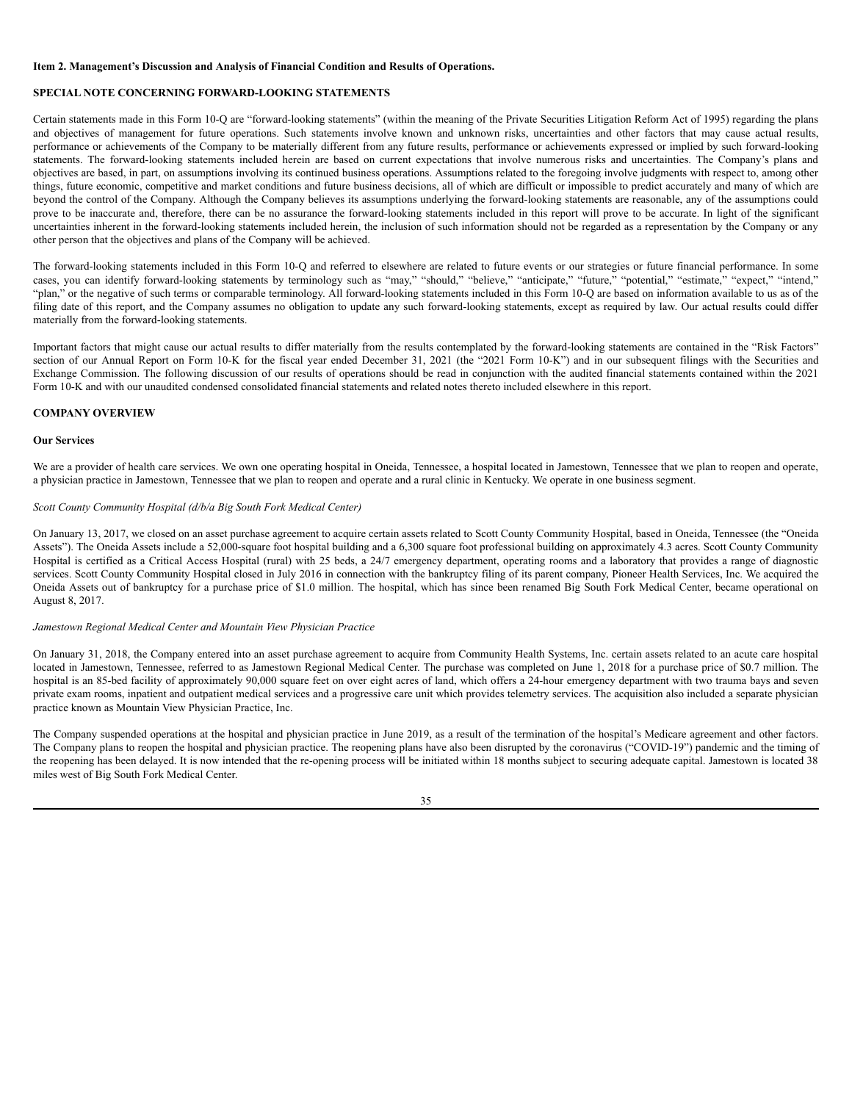#### <span id="page-34-0"></span>**Item 2. Management's Discussion and Analysis of Financial Condition and Results of Operations.**

# **SPECIAL NOTE CONCERNING FORWARD-LOOKING STATEMENTS**

Certain statements made in this Form 10-Q are "forward-looking statements" (within the meaning of the Private Securities Litigation Reform Act of 1995) regarding the plans and objectives of management for future operations. Such statements involve known and unknown risks, uncertainties and other factors that may cause actual results, performance or achievements of the Company to be materially different from any future results, performance or achievements expressed or implied by such forward-looking statements. The forward-looking statements included herein are based on current expectations that involve numerous risks and uncertainties. The Company's plans and objectives are based, in part, on assumptions involving its continued business operations. Assumptions related to the foregoing involve judgments with respect to, among other things, future economic, competitive and market conditions and future business decisions, all of which are difficult or impossible to predict accurately and many of which are beyond the control of the Company. Although the Company believes its assumptions underlying the forward-looking statements are reasonable, any of the assumptions could prove to be inaccurate and, therefore, there can be no assurance the forward-looking statements included in this report will prove to be accurate. In light of the significant uncertainties inherent in the forward-looking statements included herein, the inclusion of such information should not be regarded as a representation by the Company or any other person that the objectives and plans of the Company will be achieved.

The forward-looking statements included in this Form 10-Q and referred to elsewhere are related to future events or our strategies or future financial performance. In some cases, you can identify forward-looking statements by terminology such as "may," "should," "believe," "anticipate," "future," "potential," "estimate," "expect," "intend," "plan," or the negative of such terms or comparable terminology. All forward-looking statements included in this Form 10-Q are based on information available to us as of the filing date of this report, and the Company assumes no obligation to update any such forward-looking statements, except as required by law. Our actual results could differ materially from the forward-looking statements.

Important factors that might cause our actual results to differ materially from the results contemplated by the forward-looking statements are contained in the "Risk Factors" section of our Annual Report on Form 10-K for the fiscal year ended December 31, 2021 (the "2021 Form 10-K") and in our subsequent filings with the Securities and Exchange Commission. The following discussion of our results of operations should be read in conjunction with the audited financial statements contained within the 2021 Form 10-K and with our unaudited condensed consolidated financial statements and related notes thereto included elsewhere in this report.

# **COMPANY OVERVIEW**

#### **Our Services**

We are a provider of health care services. We own one operating hospital in Oneida, Tennessee, a hospital located in Jamestown, Tennessee that we plan to reopen and operate, a physician practice in Jamestown, Tennessee that we plan to reopen and operate and a rural clinic in Kentucky. We operate in one business segment.

## *Scott County Community Hospital (d/b/a Big South Fork Medical Center)*

On January 13, 2017, we closed on an asset purchase agreement to acquire certain assets related to Scott County Community Hospital, based in Oneida, Tennessee (the "Oneida Assets"). The Oneida Assets include a 52,000-square foot hospital building and a 6,300 square foot professional building on approximately 4.3 acres. Scott County Community Hospital is certified as a Critical Access Hospital (rural) with 25 beds, a 24/7 emergency department, operating rooms and a laboratory that provides a range of diagnostic services. Scott County Community Hospital closed in July 2016 in connection with the bankruptcy filing of its parent company, Pioneer Health Services, Inc. We acquired the Oneida Assets out of bankruptcy for a purchase price of \$1.0 million. The hospital, which has since been renamed Big South Fork Medical Center, became operational on August 8, 2017.

#### *Jamestown Regional Medical Center and Mountain View Physician Practice*

On January 31, 2018, the Company entered into an asset purchase agreement to acquire from Community Health Systems, Inc. certain assets related to an acute care hospital located in Jamestown, Tennessee, referred to as Jamestown Regional Medical Center. The purchase was completed on June 1, 2018 for a purchase price of \$0.7 million. The hospital is an 85-bed facility of approximately 90,000 square feet on over eight acres of land, which offers a 24-hour emergency department with two trauma bays and seven private exam rooms, inpatient and outpatient medical services and a progressive care unit which provides telemetry services. The acquisition also included a separate physician practice known as Mountain View Physician Practice, Inc.

The Company suspended operations at the hospital and physician practice in June 2019, as a result of the termination of the hospital's Medicare agreement and other factors. The Company plans to reopen the hospital and physician practice. The reopening plans have also been disrupted by the coronavirus ("COVID-19") pandemic and the timing of the reopening has been delayed. It is now intended that the re-opening process will be initiated within 18 months subject to securing adequate capital. Jamestown is located 38 miles west of Big South Fork Medical Center.

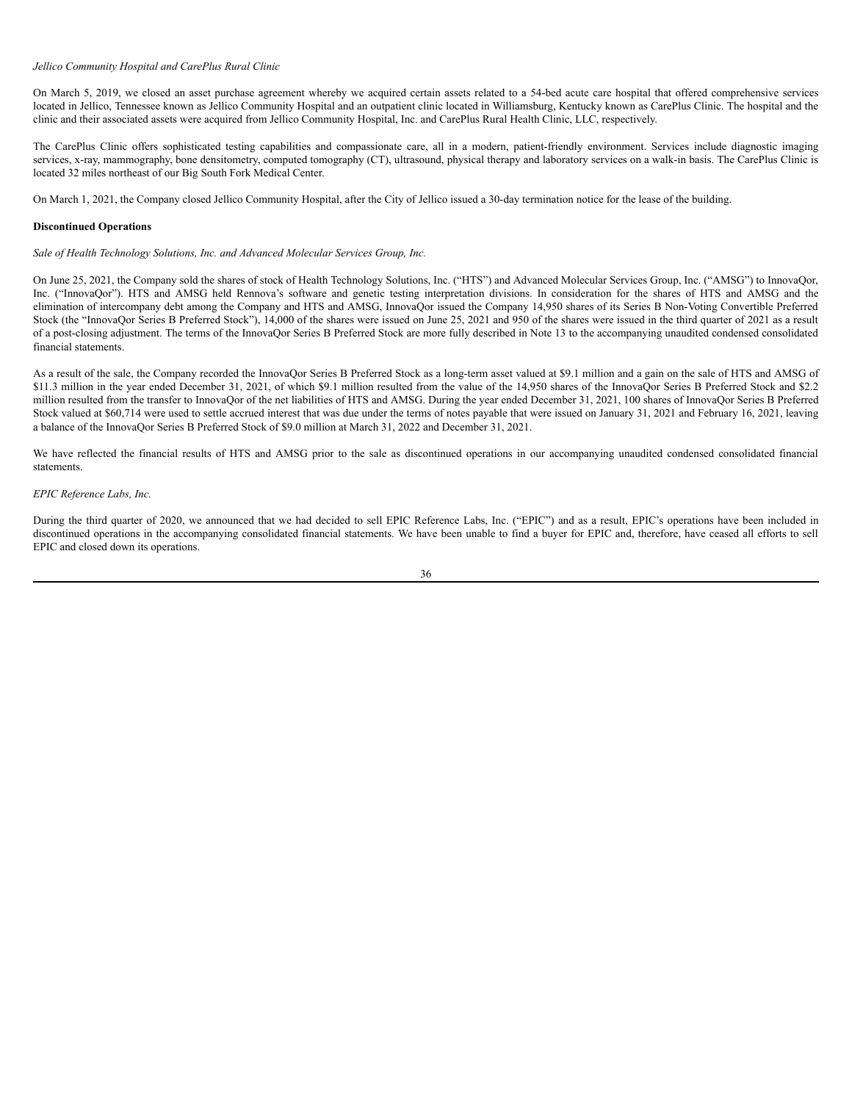# *Jellico Community Hospital and CarePlus Rural Clinic*

On March 5, 2019, we closed an asset purchase agreement whereby we acquired certain assets related to a 54-bed acute care hospital that offered comprehensive services located in Jellico, Tennessee known as Jellico Community Hospital and an outpatient clinic located in Williamsburg, Kentucky known as CarePlus Clinic. The hospital and the clinic and their associated assets were acquired from Jellico Community Hospital, Inc. and CarePlus Rural Health Clinic, LLC, respectively.

The CarePlus Clinic offers sophisticated testing capabilities and compassionate care, all in a modern, patient-friendly environment. Services include diagnostic imaging services, x-ray, mammography, bone densitometry, computed tomography (CT), ultrasound, physical therapy and laboratory services on a walk-in basis. The CarePlus Clinic is located 32 miles northeast of our Big South Fork Medical Center.

On March 1, 2021, the Company closed Jellico Community Hospital, after the City of Jellico issued a 30-day termination notice for the lease of the building.

## **Discontinued Operations**

*Sale of Health Technology Solutions, Inc. and Advanced Molecular Services Group, Inc.*

On June 25, 2021, the Company sold the shares of stock of Health Technology Solutions, Inc. ("HTS") and Advanced Molecular Services Group, Inc. ("AMSG") to InnovaQor, Inc. ("InnovaQor"). HTS and AMSG held Rennova's software and genetic testing interpretation divisions. In consideration for the shares of HTS and AMSG and the elimination of intercompany debt among the Company and HTS and AMSG, InnovaQor issued the Company 14,950 shares of its Series B Non-Voting Convertible Preferred Stock (the "InnovaQor Series B Preferred Stock"), 14,000 of the shares were issued on June 25, 2021 and 950 of the shares were issued in the third quarter of 2021 as a result of a post-closing adjustment. The terms of the InnovaQor Series B Preferred Stock are more fully described in Note 13 to the accompanying unaudited condensed consolidated financial statements.

As a result of the sale, the Company recorded the InnovaQor Series B Preferred Stock as a long-term asset valued at \$9.1 million and a gain on the sale of HTS and AMSG of \$11.3 million in the year ended December 31, 2021, of which \$9.1 million resulted from the value of the 14,950 shares of the InnovaOor Series B Preferred Stock and \$2.2 million resulted from the transfer to InnovaQor of the net liabilities of HTS and AMSG. During the year ended December 31, 2021, 100 shares of InnovaQor Series B Preferred Stock valued at \$60,714 were used to settle accrued interest that was due under the terms of notes payable that were issued on January 31, 2021 and February 16, 2021, leaving a balance of the InnovaQor Series B Preferred Stock of \$9.0 million at March 31, 2022 and December 31, 2021.

We have reflected the financial results of HTS and AMSG prior to the sale as discontinued operations in our accompanying unaudited condensed consolidated financial statements.

# *EPIC Reference Labs, Inc.*

During the third quarter of 2020, we announced that we had decided to sell EPIC Reference Labs, Inc. ("EPIC") and as a result, EPIC's operations have been included in discontinued operations in the accompanying consolidated financial statements. We have been unable to find a buyer for EPIC and, therefore, have ceased all efforts to sell EPIC and closed down its operations.

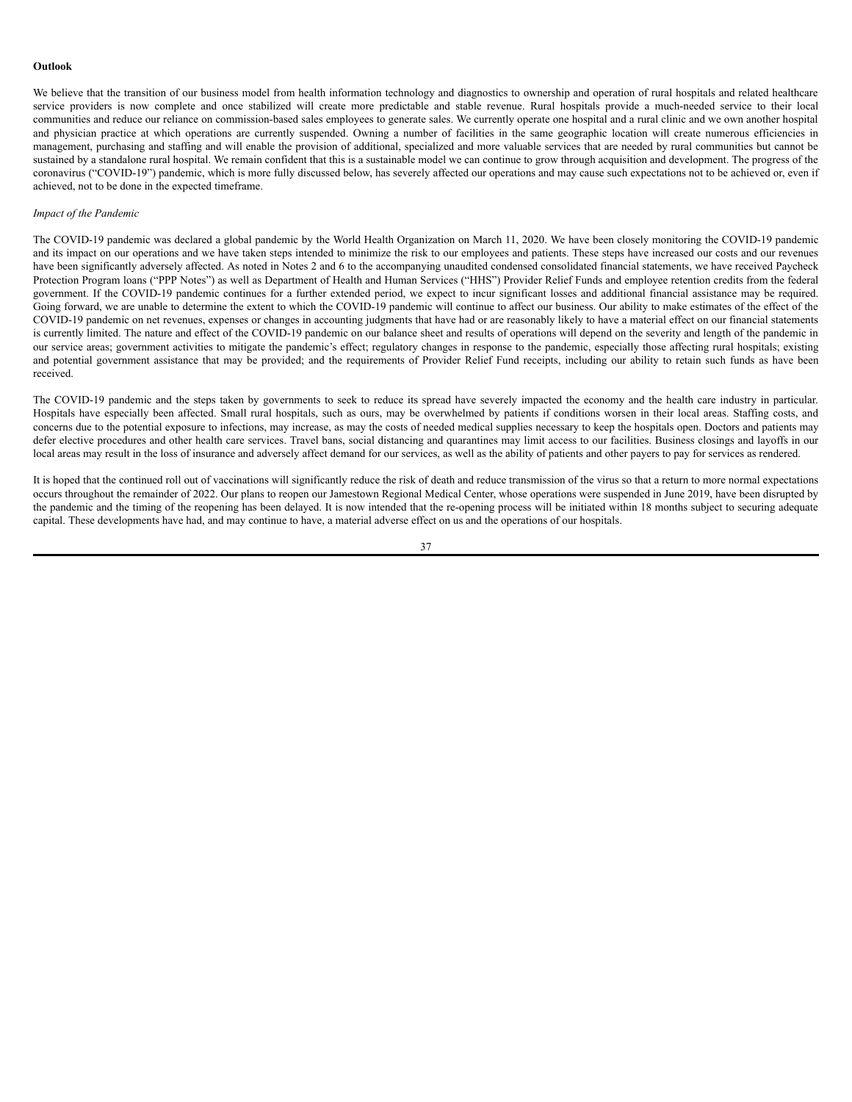#### **Outlook**

We believe that the transition of our business model from health information technology and diagnostics to ownership and operation of rural hospitals and related healthcare service providers is now complete and once stabilized will create more predictable and stable revenue. Rural hospitals provide a much-needed service to their local communities and reduce our reliance on commission-based sales employees to generate sales. We currently operate one hospital and a rural clinic and we own another hospital and physician practice at which operations are currently suspended. Owning a number of facilities in the same geographic location will create numerous efficiencies in management, purchasing and staffing and will enable the provision of additional, specialized and more valuable services that are needed by rural communities but cannot be sustained by a standalone rural hospital. We remain confident that this is a sustainable model we can continue to grow through acquisition and development. The progress of the coronavirus ("COVID-19") pandemic, which is more fully discussed below, has severely affected our operations and may cause such expectations not to be achieved or, even if achieved, not to be done in the expected timeframe.

# *Impact of the Pandemic*

The COVID-19 pandemic was declared a global pandemic by the World Health Organization on March 11, 2020. We have been closely monitoring the COVID-19 pandemic and its impact on our operations and we have taken steps intended to minimize the risk to our employees and patients. These steps have increased our costs and our revenues have been significantly adversely affected. As noted in Notes 2 and 6 to the accompanying unaudited condensed consolidated financial statements, we have received Paycheck Protection Program loans ("PPP Notes") as well as Department of Health and Human Services ("HHS") Provider Relief Funds and employee retention credits from the federal government. If the COVID-19 pandemic continues for a further extended period, we expect to incur significant losses and additional financial assistance may be required. Going forward, we are unable to determine the extent to which the COVID-19 pandemic will continue to affect our business. Our ability to make estimates of the effect of the COVID-19 pandemic on net revenues, expenses or changes in accounting judgments that have had or are reasonably likely to have a material effect on our financial statements is currently limited. The nature and effect of the COVID-19 pandemic on our balance sheet and results of operations will depend on the severity and length of the pandemic in our service areas; government activities to mitigate the pandemic's effect; regulatory changes in response to the pandemic, especially those affecting rural hospitals; existing and potential government assistance that may be provided; and the requirements of Provider Relief Fund receipts, including our ability to retain such funds as have been received.

The COVID-19 pandemic and the steps taken by governments to seek to reduce its spread have severely impacted the economy and the health care industry in particular. Hospitals have especially been affected. Small rural hospitals, such as ours, may be overwhelmed by patients if conditions worsen in their local areas. Staffing costs, and concerns due to the potential exposure to infections, may increase, as may the costs of needed medical supplies necessary to keep the hospitals open. Doctors and patients may defer elective procedures and other health care services. Travel bans, social distancing and quarantines may limit access to our facilities. Business closings and layoffs in our local areas may result in the loss of insurance and adversely affect demand for our services, as well as the ability of patients and other payers to pay for services as rendered.

It is hoped that the continued roll out of vaccinations will significantly reduce the risk of death and reduce transmission of the virus so that a return to more normal expectations occurs throughout the remainder of 2022. Our plans to reopen our Jamestown Regional Medical Center, whose operations were suspended in June 2019, have been disrupted by the pandemic and the timing of the reopening has been delayed. It is now intended that the re-opening process will be initiated within 18 months subject to securing adequate capital. These developments have had, and may continue to have, a material adverse effect on us and the operations of our hospitals.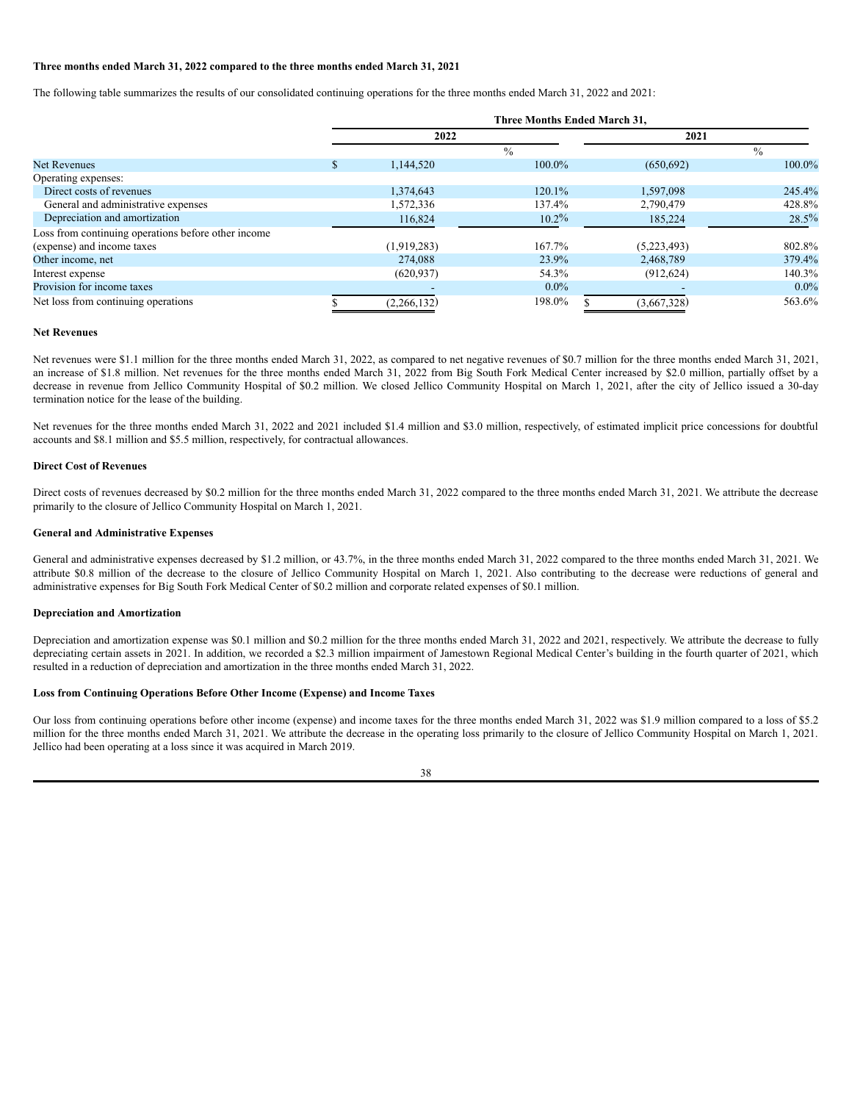# **Three months ended March 31, 2022 compared to the three months ended March 31, 2021**

The following table summarizes the results of our consolidated continuing operations for the three months ended March 31, 2022 and 2021:

|                                                     | <b>Three Months Ended March 31.</b> |             |               |             |         |  |  |
|-----------------------------------------------------|-------------------------------------|-------------|---------------|-------------|---------|--|--|
|                                                     | 2022                                |             |               | 2021        |         |  |  |
|                                                     |                                     |             | $\frac{0}{0}$ |             | $\%$    |  |  |
| <b>Net Revenues</b>                                 | S.                                  | 1,144,520   | 100.0%        | (650, 692)  | 100.0%  |  |  |
| Operating expenses:                                 |                                     |             |               |             |         |  |  |
| Direct costs of revenues                            |                                     | 1,374,643   | 120.1%        | 1,597,098   | 245.4%  |  |  |
| General and administrative expenses                 |                                     | 1,572,336   | 137.4%        | 2,790,479   | 428.8%  |  |  |
| Depreciation and amortization                       |                                     | 116,824     | 10.2%         | 185,224     | 28.5%   |  |  |
| Loss from continuing operations before other income |                                     |             |               |             |         |  |  |
| (expense) and income taxes                          |                                     | (1,919,283) | 167.7%        | (5,223,493) | 802.8%  |  |  |
| Other income, net                                   |                                     | 274,088     | 23.9%         | 2,468,789   | 379.4%  |  |  |
| Interest expense                                    |                                     | (620, 937)  | 54.3%         | (912, 624)  | 140.3%  |  |  |
| Provision for income taxes                          |                                     |             | $0.0\%$       |             | $0.0\%$ |  |  |
| Net loss from continuing operations.                |                                     | (2,266,132) | 198.0%        | (3,667,328) | 563.6%  |  |  |

#### **Net Revenues**

Net revenues were \$1.1 million for the three months ended March 31, 2022, as compared to net negative revenues of \$0.7 million for the three months ended March 31, 2021, an increase of \$1.8 million. Net revenues for the three months ended March 31, 2022 from Big South Fork Medical Center increased by \$2.0 million, partially offset by a decrease in revenue from Jellico Community Hospital of \$0.2 million. We closed Jellico Community Hospital on March 1, 2021, after the city of Jellico issued a 30-day termination notice for the lease of the building.

Net revenues for the three months ended March 31, 2022 and 2021 included \$1.4 million and \$3.0 million, respectively, of estimated implicit price concessions for doubtful accounts and \$8.1 million and \$5.5 million, respectively, for contractual allowances.

## **Direct Cost of Revenues**

Direct costs of revenues decreased by \$0.2 million for the three months ended March 31, 2022 compared to the three months ended March 31, 2021. We attribute the decrease primarily to the closure of Jellico Community Hospital on March 1, 2021.

#### **General and Administrative Expenses**

General and administrative expenses decreased by \$1.2 million, or 43.7%, in the three months ended March 31, 2022 compared to the three months ended March 31, 2021. We attribute \$0.8 million of the decrease to the closure of Jellico Community Hospital on March 1, 2021. Also contributing to the decrease were reductions of general and administrative expenses for Big South Fork Medical Center of \$0.2 million and corporate related expenses of \$0.1 million.

#### **Depreciation and Amortization**

Depreciation and amortization expense was \$0.1 million and \$0.2 million for the three months ended March 31, 2022 and 2021, respectively. We attribute the decrease to fully depreciating certain assets in 2021. In addition, we recorded a \$2.3 million impairment of Jamestown Regional Medical Center's building in the fourth quarter of 2021, which resulted in a reduction of depreciation and amortization in the three months ended March 31, 2022.

#### **Loss from Continuing Operations Before Other Income (Expense) and Income Taxes**

Our loss from continuing operations before other income (expense) and income taxes for the three months ended March 31, 2022 was \$1.9 million compared to a loss of \$5.2 million for the three months ended March 31, 2021. We attribute the decrease in the operating loss primarily to the closure of Jellico Community Hospital on March 1, 2021. Jellico had been operating at a loss since it was acquired in March 2019.

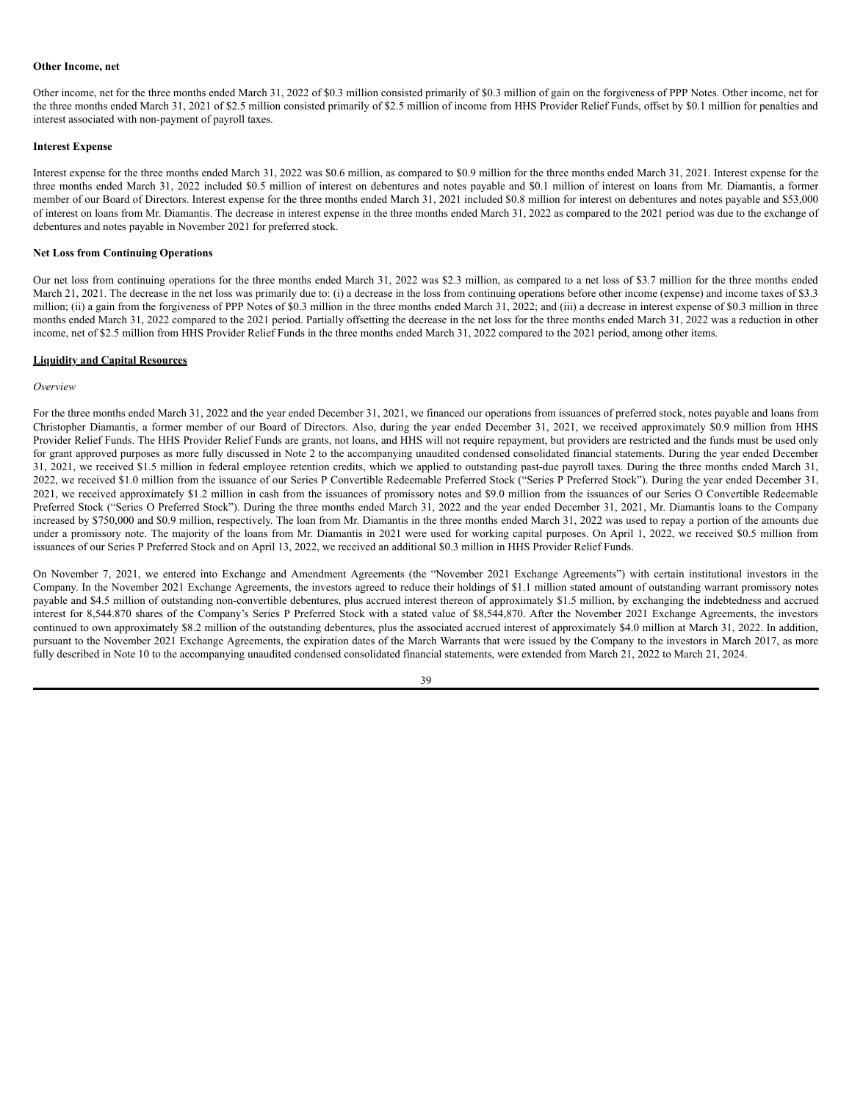#### **Other Income, net**

Other income, net for the three months ended March 31, 2022 of \$0.3 million consisted primarily of \$0.3 million of gain on the forgiveness of PPP Notes. Other income, net for the three months ended March 31, 2021 of \$2.5 million consisted primarily of \$2.5 million of income from HHS Provider Relief Funds, offset by \$0.1 million for penalties and interest associated with non-payment of payroll taxes.

#### **Interest Expense**

Interest expense for the three months ended March 31, 2022 was \$0.6 million, as compared to \$0.9 million for the three months ended March 31, 2021. Interest expense for the three months ended March 31, 2022 included \$0.5 million of interest on debentures and notes payable and \$0.1 million of interest on loans from Mr. Diamantis, a former member of our Board of Directors. Interest expense for the three months ended March 31, 2021 included \$0.8 million for interest on debentures and notes payable and \$53,000 of interest on loans from Mr. Diamantis. The decrease in interest expense in the three months ended March 31, 2022 as compared to the 2021 period was due to the exchange of debentures and notes payable in November 2021 for preferred stock.

## **Net Loss from Continuing Operations**

Our net loss from continuing operations for the three months ended March 31, 2022 was \$2.3 million, as compared to a net loss of \$3.7 million for the three months ended March 21, 2021. The decrease in the net loss was primarily due to: (i) a decrease in the loss from continuing operations before other income (expense) and income taxes of \$3.3 million; (ii) a gain from the forgiveness of PPP Notes of \$0.3 million in the three months ended March 31, 2022; and (iii) a decrease in interest expense of \$0.3 million in three months ended March 31, 2022 compared to the 2021 period. Partially offsetting the decrease in the net loss for the three months ended March 31, 2022 was a reduction in other income, net of \$2.5 million from HHS Provider Relief Funds in the three months ended March 31, 2022 compared to the 2021 period, among other items.

# **Liquidity and Capital Resources**

*Overview*

For the three months ended March 31, 2022 and the year ended December 31, 2021, we financed our operations from issuances of preferred stock, notes payable and loans from Christopher Diamantis, a former member of our Board of Directors. Also, during the year ended December 31, 2021, we received approximately \$0.9 million from HHS Provider Relief Funds. The HHS Provider Relief Funds are grants, not loans, and HHS will not require repayment, but providers are restricted and the funds must be used only for grant approved purposes as more fully discussed in Note 2 to the accompanying unaudited condensed consolidated financial statements. During the year ended December 31, 2021, we received \$1.5 million in federal employee retention credits, which we applied to outstanding past-due payroll taxes. During the three months ended March 31, 2022, we received \$1.0 million from the issuance of our Series P Convertible Redeemable Preferred Stock ("Series P Preferred Stock"). During the year ended December 31, 2021, we received approximately \$1.2 million in cash from the issuances of promissory notes and \$9.0 million from the issuances of our Series O Convertible Redeemable Preferred Stock ("Series O Preferred Stock"). During the three months ended March 31, 2022 and the year ended December 31, 2021, Mr. Diamantis loans to the Company increased by \$750,000 and \$0.9 million, respectively. The loan from Mr. Diamantis in the three months ended March 31, 2022 was used to repay a portion of the amounts due under a promissory note. The majority of the loans from Mr. Diamantis in 2021 were used for working capital purposes. On April 1, 2022, we received \$0.5 million from issuances of our Series P Preferred Stock and on April 13, 2022, we received an additional \$0.3 million in HHS Provider Relief Funds.

On November 7, 2021, we entered into Exchange and Amendment Agreements (the "November 2021 Exchange Agreements") with certain institutional investors in the Company. In the November 2021 Exchange Agreements, the investors agreed to reduce their holdings of \$1.1 million stated amount of outstanding warrant promissory notes payable and \$4.5 million of outstanding non-convertible debentures, plus accrued interest thereon of approximately \$1.5 million, by exchanging the indebtedness and accrued interest for 8,544.870 shares of the Company's Series P Preferred Stock with a stated value of \$8,544,870. After the November 2021 Exchange Agreements, the investors continued to own approximately \$8.2 million of the outstanding debentures, plus the associated accrued interest of approximately \$4.0 million at March 31, 2022. In addition, pursuant to the November 2021 Exchange Agreements, the expiration dates of the March Warrants that were issued by the Company to the investors in March 2017, as more fully described in Note 10 to the accompanying unaudited condensed consolidated financial statements, were extended from March 21, 2022 to March 21, 2024.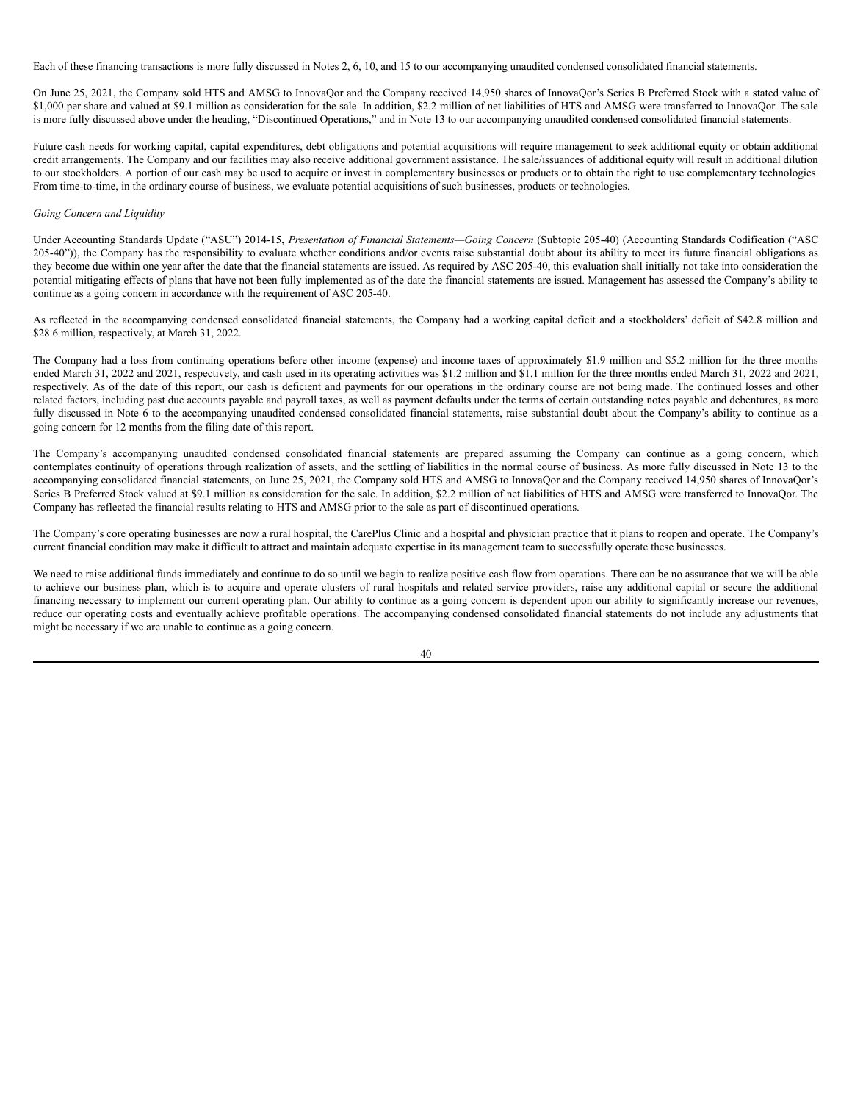Each of these financing transactions is more fully discussed in Notes 2, 6, 10, and 15 to our accompanying unaudited condensed consolidated financial statements.

On June 25, 2021, the Company sold HTS and AMSG to InnovaQor and the Company received 14,950 shares of InnovaQor's Series B Preferred Stock with a stated value of \$1,000 per share and valued at \$9.1 million as consideration for the sale. In addition, \$2.2 million of net liabilities of HTS and AMSG were transferred to InnovaQor. The sale is more fully discussed above under the heading, "Discontinued Operations," and in Note 13 to our accompanying unaudited condensed consolidated financial statements.

Future cash needs for working capital, capital expenditures, debt obligations and potential acquisitions will require management to seek additional equity or obtain additional credit arrangements. The Company and our facilities may also receive additional government assistance. The sale/issuances of additional equity will result in additional dilution to our stockholders. A portion of our cash may be used to acquire or invest in complementary businesses or products or to obtain the right to use complementary technologies. From time-to-time, in the ordinary course of business, we evaluate potential acquisitions of such businesses, products or technologies.

## *Going Concern and Liquidity*

Under Accounting Standards Update ("ASU") 2014-15, *Presentation of Financial Statements—Going Concern* (Subtopic 205-40) (Accounting Standards Codification ("ASC 205-40")), the Company has the responsibility to evaluate whether conditions and/or events raise substantial doubt about its ability to meet its future financial obligations as they become due within one year after the date that the financial statements are issued. As required by ASC 205-40, this evaluation shall initially not take into consideration the potential mitigating effects of plans that have not been fully implemented as of the date the financial statements are issued. Management has assessed the Company's ability to continue as a going concern in accordance with the requirement of ASC 205-40.

As reflected in the accompanying condensed consolidated financial statements, the Company had a working capital deficit and a stockholders' deficit of \$42.8 million and \$28.6 million, respectively, at March 31, 2022.

The Company had a loss from continuing operations before other income (expense) and income taxes of approximately \$1.9 million and \$5.2 million for the three months ended March 31, 2022 and 2021, respectively, and cash used in its operating activities was \$1.2 million and \$1.1 million for the three months ended March 31, 2022 and 2021, respectively. As of the date of this report, our cash is deficient and payments for our operations in the ordinary course are not being made. The continued losses and other related factors, including past due accounts payable and payroll taxes, as well as payment defaults under the terms of certain outstanding notes payable and debentures, as more fully discussed in Note 6 to the accompanying unaudited condensed consolidated financial statements, raise substantial doubt about the Company's ability to continue as a going concern for 12 months from the filing date of this report.

The Company's accompanying unaudited condensed consolidated financial statements are prepared assuming the Company can continue as a going concern, which contemplates continuity of operations through realization of assets, and the settling of liabilities in the normal course of business. As more fully discussed in Note 13 to the accompanying consolidated financial statements, on June 25, 2021, the Company sold HTS and AMSG to InnovaQor and the Company received 14,950 shares of InnovaQor's Series B Preferred Stock valued at \$9.1 million as consideration for the sale. In addition, \$2.2 million of net liabilities of HTS and AMSG were transferred to InnovaQor. The Company has reflected the financial results relating to HTS and AMSG prior to the sale as part of discontinued operations.

The Company's core operating businesses are now a rural hospital, the CarePlus Clinic and a hospital and physician practice that it plans to reopen and operate. The Company's current financial condition may make it difficult to attract and maintain adequate expertise in its management team to successfully operate these businesses.

We need to raise additional funds immediately and continue to do so until we begin to realize positive cash flow from operations. There can be no assurance that we will be able to achieve our business plan, which is to acquire and operate clusters of rural hospitals and related service providers, raise any additional capital or secure the additional financing necessary to implement our current operating plan. Our ability to continue as a going concern is dependent upon our ability to significantly increase our revenues, reduce our operating costs and eventually achieve profitable operations. The accompanying condensed consolidated financial statements do not include any adjustments that might be necessary if we are unable to continue as a going concern.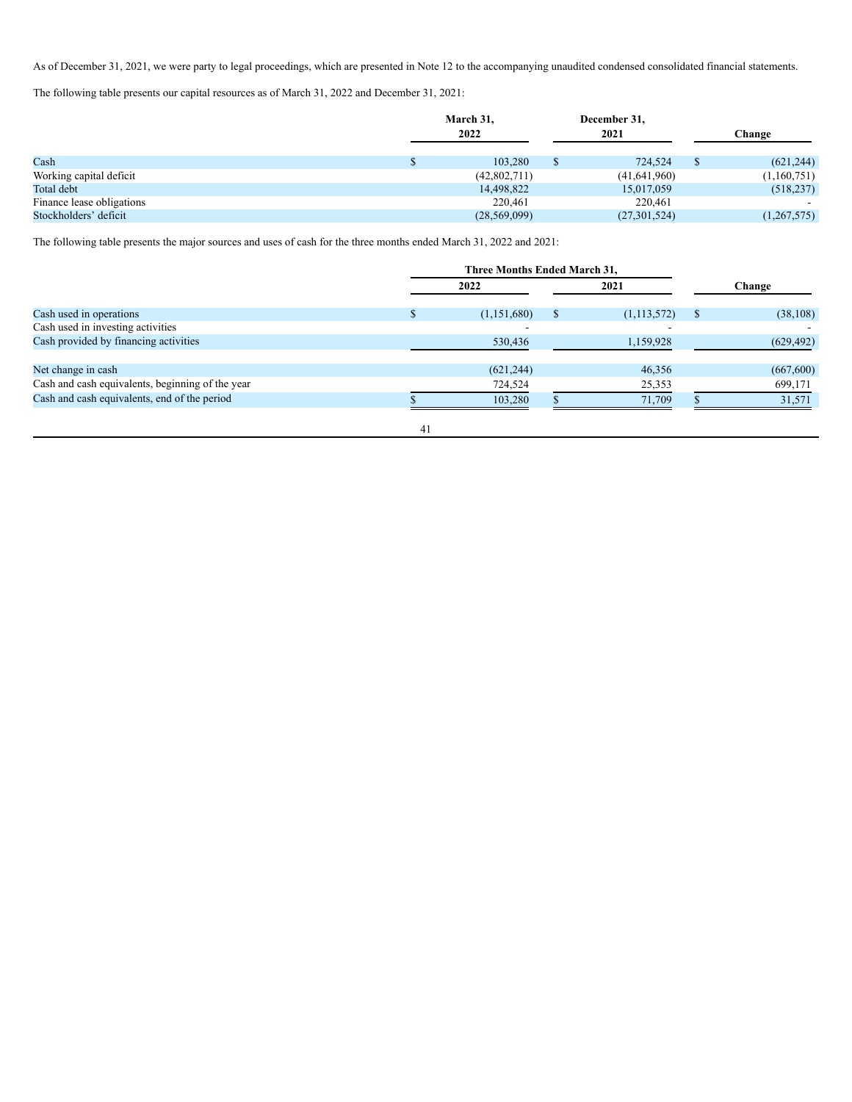As of December 31, 2021, we were party to legal proceedings, which are presented in Note 12 to the accompanying unaudited condensed consolidated financial statements.

The following table presents our capital resources as of March 31, 2022 and December 31, 2021:

|                           | March 31,<br>2022 |                | December 31,<br>2021 |                |        |             |
|---------------------------|-------------------|----------------|----------------------|----------------|--------|-------------|
|                           |                   |                |                      |                | Change |             |
| Cash                      |                   | 103.280        |                      | 724,524        |        | (621, 244)  |
| Working capital deficit   |                   | (42,802,711)   |                      | (41, 641, 960) |        | (1,160,751) |
| Total debt                |                   | 14,498,822     |                      | 15,017,059     |        | (518, 237)  |
| Finance lease obligations |                   | 220,461        |                      | 220,461        |        |             |
| Stockholders' deficit     |                   | (28, 569, 099) |                      | (27,301,524)   |        | (1,267,575) |

The following table presents the major sources and uses of cash for the three months ended March 31, 2022 and 2021:

|                                                  | Three Months Ended March 31, |             |    |               |            |
|--------------------------------------------------|------------------------------|-------------|----|---------------|------------|
|                                                  |                              | 2022        |    | 2021          | Change     |
| Cash used in operations                          |                              | (1,151,680) | \$ | (1, 113, 572) | (38, 108)  |
| Cash used in investing activities                |                              |             |    |               |            |
| Cash provided by financing activities            |                              | 530,436     |    | 1,159,928     | (629, 492) |
| Net change in cash                               |                              | (621, 244)  |    | 46,356        | (667,600)  |
| Cash and cash equivalents, beginning of the year |                              | 724,524     |    | 25,353        | 699,171    |
| Cash and cash equivalents, end of the period     |                              | 103,280     |    | 71,709        | 31,571     |
|                                                  | 41                           |             |    |               |            |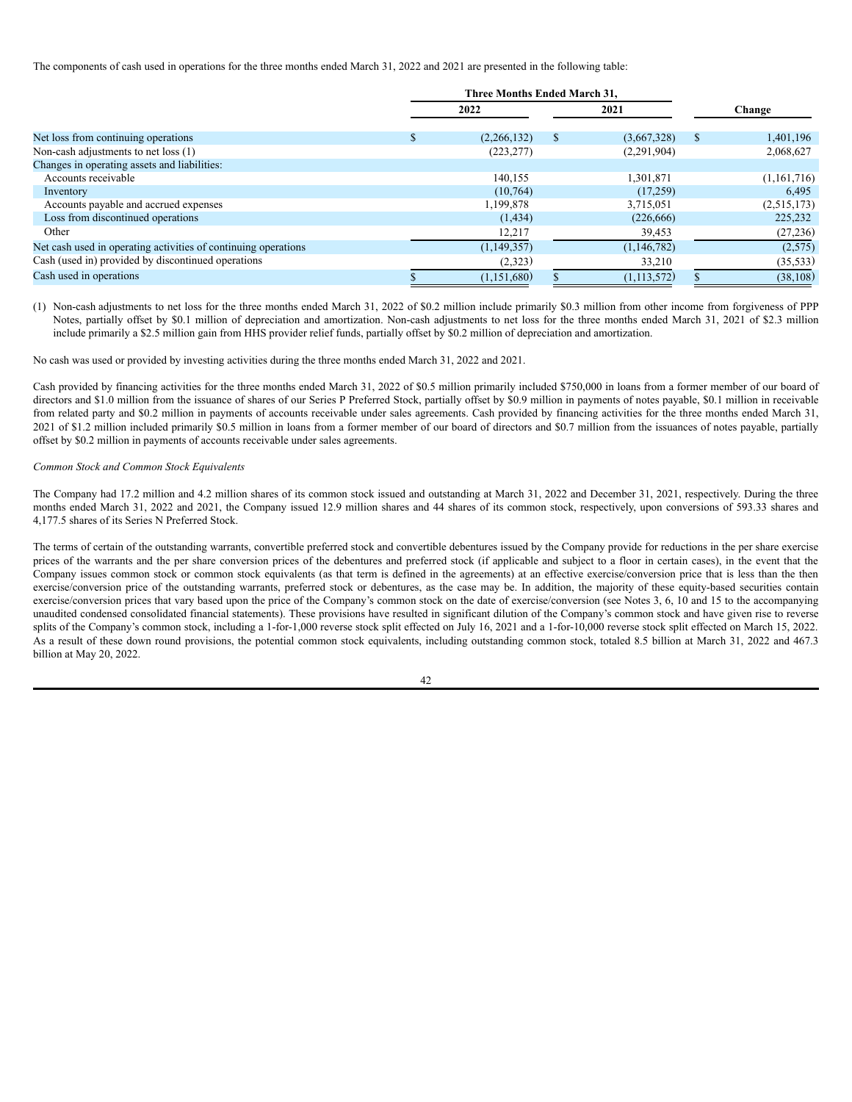The components of cash used in operations for the three months ended March 31, 2022 and 2021 are presented in the following table:

|                                                                | <b>Three Months Ended March 31,</b> |             |      |               |        |             |
|----------------------------------------------------------------|-------------------------------------|-------------|------|---------------|--------|-------------|
|                                                                | 2022                                |             | 2021 |               | Change |             |
|                                                                |                                     |             |      |               |        |             |
| Net loss from continuing operations                            | \$                                  | (2,266,132) | S.   | (3,667,328)   | \$     | 1,401,196   |
| Non-cash adjustments to net loss (1)                           |                                     | (223, 277)  |      | (2,291,904)   |        | 2,068,627   |
| Changes in operating assets and liabilities:                   |                                     |             |      |               |        |             |
| Accounts receivable                                            |                                     | 140.155     |      | 1,301,871     |        | (1,161,716) |
| Inventory                                                      |                                     | (10,764)    |      | (17,259)      |        | 6,495       |
| Accounts payable and accrued expenses                          |                                     | 1,199,878   |      | 3,715,051     |        | (2,515,173) |
| Loss from discontinued operations                              |                                     | (1, 434)    |      | (226, 666)    |        | 225,232     |
| Other                                                          |                                     | 12,217      |      | 39,453        |        | (27, 236)   |
| Net cash used in operating activities of continuing operations |                                     | (1,149,357) |      | (1,146,782)   |        | (2,575)     |
| Cash (used in) provided by discontinued operations             |                                     | (2,323)     |      | 33,210        |        | (35,533)    |
| Cash used in operations                                        |                                     | (1,151,680) |      | (1, 113, 572) |        | (38, 108)   |

(1) Non-cash adjustments to net loss for the three months ended March 31, 2022 of \$0.2 million include primarily \$0.3 million from other income from forgiveness of PPP Notes, partially offset by \$0.1 million of depreciation and amortization. Non-cash adjustments to net loss for the three months ended March 31, 2021 of \$2.3 million include primarily a \$2.5 million gain from HHS provider relief funds, partially offset by \$0.2 million of depreciation and amortization.

No cash was used or provided by investing activities during the three months ended March 31, 2022 and 2021.

Cash provided by financing activities for the three months ended March 31, 2022 of \$0.5 million primarily included \$750,000 in loans from a former member of our board of directors and \$1.0 million from the issuance of shares of our Series P Preferred Stock, partially offset by \$0.9 million in payments of notes payable, \$0.1 million in receivable from related party and \$0.2 million in payments of accounts receivable under sales agreements. Cash provided by financing activities for the three months ended March 31, 2021 of \$1.2 million included primarily \$0.5 million in loans from a former member of our board of directors and \$0.7 million from the issuances of notes payable, partially offset by \$0.2 million in payments of accounts receivable under sales agreements.

# *Common Stock and Common Stock Equivalents*

The Company had 17.2 million and 4.2 million shares of its common stock issued and outstanding at March 31, 2022 and December 31, 2021, respectively. During the three months ended March 31, 2022 and 2021, the Company issued 12.9 million shares and 44 shares of its common stock, respectively, upon conversions of 593.33 shares and 4,177.5 shares of its Series N Preferred Stock.

The terms of certain of the outstanding warrants, convertible preferred stock and convertible debentures issued by the Company provide for reductions in the per share exercise prices of the warrants and the per share conversion prices of the debentures and preferred stock (if applicable and subject to a floor in certain cases), in the event that the Company issues common stock or common stock equivalents (as that term is defined in the agreements) at an effective exercise/conversion price that is less than the then exercise/conversion price of the outstanding warrants, preferred stock or debentures, as the case may be. In addition, the majority of these equity-based securities contain exercise/conversion prices that vary based upon the price of the Company's common stock on the date of exercise/conversion (see Notes 3, 6, 10 and 15 to the accompanying unaudited condensed consolidated financial statements). These provisions have resulted in significant dilution of the Company's common stock and have given rise to reverse splits of the Company's common stock, including a 1-for-1,000 reverse stock split effected on July 16, 2021 and a 1-for-10,000 reverse stock split effected on March 15, 2022. As a result of these down round provisions, the potential common stock equivalents, including outstanding common stock, totaled 8.5 billion at March 31, 2022 and 467.3 billion at May 20, 2022.

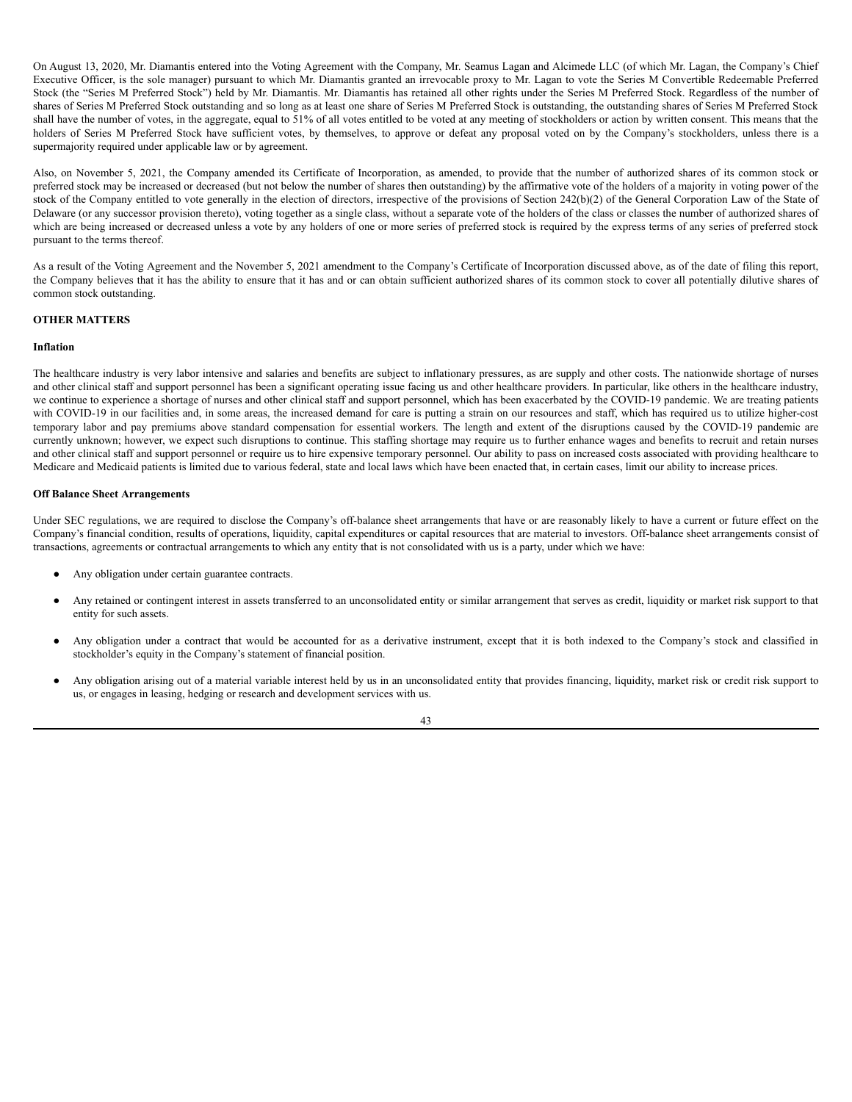On August 13, 2020, Mr. Diamantis entered into the Voting Agreement with the Company, Mr. Seamus Lagan and Alcimede LLC (of which Mr. Lagan, the Company's Chief Executive Officer, is the sole manager) pursuant to which Mr. Diamantis granted an irrevocable proxy to Mr. Lagan to vote the Series M Convertible Redeemable Preferred Stock (the "Series M Preferred Stock") held by Mr. Diamantis. Mr. Diamantis has retained all other rights under the Series M Preferred Stock. Regardless of the number of shares of Series M Preferred Stock outstanding and so long as at least one share of Series M Preferred Stock is outstanding, the outstanding shares of Series M Preferred Stock shall have the number of votes, in the aggregate, equal to 51% of all votes entitled to be voted at any meeting of stockholders or action by written consent. This means that the holders of Series M Preferred Stock have sufficient votes, by themselves, to approve or defeat any proposal voted on by the Company's stockholders, unless there is a supermajority required under applicable law or by agreement.

Also, on November 5, 2021, the Company amended its Certificate of Incorporation, as amended, to provide that the number of authorized shares of its common stock or preferred stock may be increased or decreased (but not below the number of shares then outstanding) by the affirmative vote of the holders of a majority in voting power of the stock of the Company entitled to vote generally in the election of directors, irrespective of the provisions of Section 242(b)(2) of the General Corporation Law of the State of Delaware (or any successor provision thereto), voting together as a single class, without a separate vote of the holders of the class or classes the number of authorized shares of which are being increased or decreased unless a vote by any holders of one or more series of preferred stock is required by the express terms of any series of preferred stock pursuant to the terms thereof.

As a result of the Voting Agreement and the November 5, 2021 amendment to the Company's Certificate of Incorporation discussed above, as of the date of filing this report, the Company believes that it has the ability to ensure that it has and or can obtain sufficient authorized shares of its common stock to cover all potentially dilutive shares of common stock outstanding.

# **OTHER MATTERS**

#### **Inflation**

The healthcare industry is very labor intensive and salaries and benefits are subject to inflationary pressures, as are supply and other costs. The nationwide shortage of nurses and other clinical staff and support personnel has been a significant operating issue facing us and other healthcare providers. In particular, like others in the healthcare industry, we continue to experience a shortage of nurses and other clinical staff and support personnel, which has been exacerbated by the COVID-19 pandemic. We are treating patients with COVID-19 in our facilities and, in some areas, the increased demand for care is putting a strain on our resources and staff, which has required us to utilize higher-cost temporary labor and pay premiums above standard compensation for essential workers. The length and extent of the disruptions caused by the COVID-19 pandemic are currently unknown; however, we expect such disruptions to continue. This staffing shortage may require us to further enhance wages and benefits to recruit and retain nurses and other clinical staff and support personnel or require us to hire expensive temporary personnel. Our ability to pass on increased costs associated with providing healthcare to Medicare and Medicaid patients is limited due to various federal, state and local laws which have been enacted that, in certain cases, limit our ability to increase prices.

#### **Off Balance Sheet Arrangements**

Under SEC regulations, we are required to disclose the Company's off-balance sheet arrangements that have or are reasonably likely to have a current or future effect on the Company's financial condition, results of operations, liquidity, capital expenditures or capital resources that are material to investors. Off-balance sheet arrangements consist of transactions, agreements or contractual arrangements to which any entity that is not consolidated with us is a party, under which we have:

- Any obligation under certain guarantee contracts.
- Any retained or contingent interest in assets transferred to an unconsolidated entity or similar arrangement that serves as credit, liquidity or market risk support to that entity for such assets.
- Any obligation under a contract that would be accounted for as a derivative instrument, except that it is both indexed to the Company's stock and classified in stockholder's equity in the Company's statement of financial position.
- Any obligation arising out of a material variable interest held by us in an unconsolidated entity that provides financing, liquidity, market risk or credit risk support to us, or engages in leasing, hedging or research and development services with us.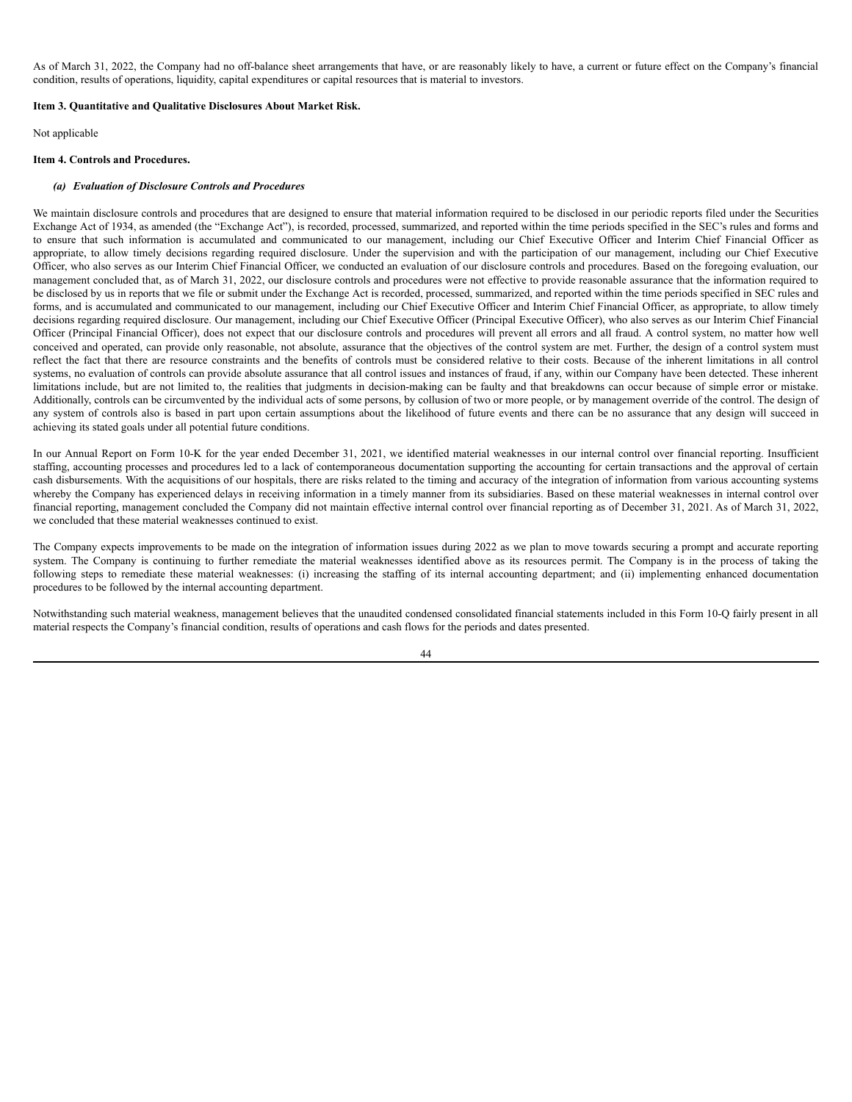As of March 31, 2022, the Company had no off-balance sheet arrangements that have, or are reasonably likely to have, a current or future effect on the Company's financial condition, results of operations, liquidity, capital expenditures or capital resources that is material to investors.

#### <span id="page-43-0"></span>**Item 3. Quantitative and Qualitative Disclosures About Market Risk.**

Not applicable

#### <span id="page-43-1"></span>**Item 4. Controls and Procedures.**

#### *(a) Evaluation of Disclosure Controls and Procedures*

We maintain disclosure controls and procedures that are designed to ensure that material information required to be disclosed in our periodic reports filed under the Securities Exchange Act of 1934, as amended (the "Exchange Act"), is recorded, processed, summarized, and reported within the time periods specified in the SEC's rules and forms and to ensure that such information is accumulated and communicated to our management, including our Chief Executive Officer and Interim Chief Financial Officer as appropriate, to allow timely decisions regarding required disclosure. Under the supervision and with the participation of our management, including our Chief Executive Officer, who also serves as our Interim Chief Financial Officer, we conducted an evaluation of our disclosure controls and procedures. Based on the foregoing evaluation, our management concluded that, as of March 31, 2022, our disclosure controls and procedures were not effective to provide reasonable assurance that the information required to be disclosed by us in reports that we file or submit under the Exchange Act is recorded, processed, summarized, and reported within the time periods specified in SEC rules and forms, and is accumulated and communicated to our management, including our Chief Executive Officer and Interim Chief Financial Officer, as appropriate, to allow timely decisions regarding required disclosure. Our management, including our Chief Executive Officer (Principal Executive Officer), who also serves as our Interim Chief Financial Officer (Principal Financial Officer), does not expect that our disclosure controls and procedures will prevent all errors and all fraud. A control system, no matter how well conceived and operated, can provide only reasonable, not absolute, assurance that the objectives of the control system are met. Further, the design of a control system must reflect the fact that there are resource constraints and the benefits of controls must be considered relative to their costs. Because of the inherent limitations in all control systems, no evaluation of controls can provide absolute assurance that all control issues and instances of fraud, if any, within our Company have been detected. These inherent limitations include, but are not limited to, the realities that judgments in decision-making can be faulty and that breakdowns can occur because of simple error or mistake. Additionally, controls can be circumvented by the individual acts of some persons, by collusion of two or more people, or by management override of the control. The design of any system of controls also is based in part upon certain assumptions about the likelihood of future events and there can be no assurance that any design will succeed in achieving its stated goals under all potential future conditions.

In our Annual Report on Form 10-K for the year ended December 31, 2021, we identified material weaknesses in our internal control over financial reporting. Insufficient staffing, accounting processes and procedures led to a lack of contemporaneous documentation supporting the accounting for certain transactions and the approval of certain cash disbursements. With the acquisitions of our hospitals, there are risks related to the timing and accuracy of the integration of information from various accounting systems whereby the Company has experienced delays in receiving information in a timely manner from its subsidiaries. Based on these material weaknesses in internal control over financial reporting, management concluded the Company did not maintain effective internal control over financial reporting as of December 31, 2021. As of March 31, 2022, we concluded that these material weaknesses continued to exist.

The Company expects improvements to be made on the integration of information issues during 2022 as we plan to move towards securing a prompt and accurate reporting system. The Company is continuing to further remediate the material weaknesses identified above as its resources permit. The Company is in the process of taking the following steps to remediate these material weaknesses: (i) increasing the staffing of its internal accounting department; and (ii) implementing enhanced documentation procedures to be followed by the internal accounting department.

Notwithstanding such material weakness, management believes that the unaudited condensed consolidated financial statements included in this Form 10-Q fairly present in all material respects the Company's financial condition, results of operations and cash flows for the periods and dates presented.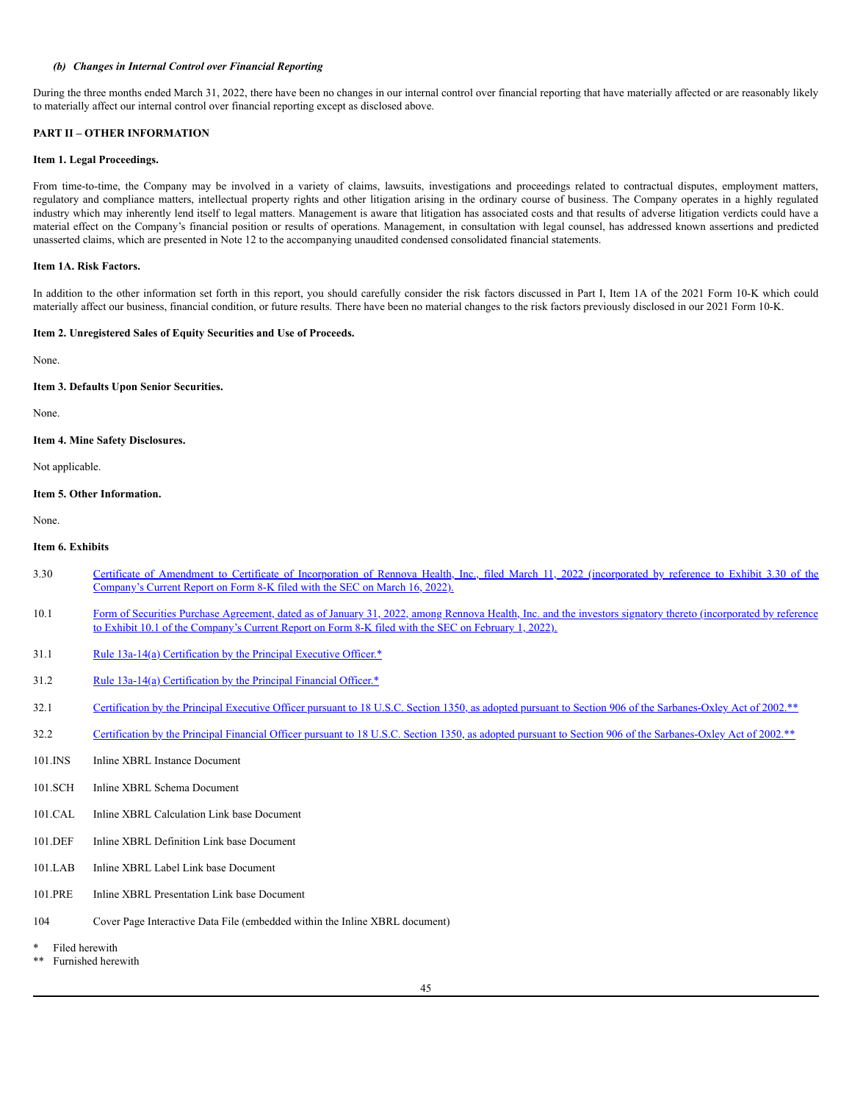# *(b) Changes in Internal Control over Financial Reporting*

During the three months ended March 31, 2022, there have been no changes in our internal control over financial reporting that have materially affected or are reasonably likely to materially affect our internal control over financial reporting except as disclosed above.

# <span id="page-44-0"></span>**PART II – OTHER INFORMATION**

#### <span id="page-44-1"></span>**Item 1. Legal Proceedings.**

From time-to-time, the Company may be involved in a variety of claims, lawsuits, investigations and proceedings related to contractual disputes, employment matters, regulatory and compliance matters, intellectual property rights and other litigation arising in the ordinary course of business. The Company operates in a highly regulated industry which may inherently lend itself to legal matters. Management is aware that litigation has associated costs and that results of adverse litigation verdicts could have a material effect on the Company's financial position or results of operations. Management, in consultation with legal counsel, has addressed known assertions and predicted unasserted claims, which are presented in Note 12 to the accompanying unaudited condensed consolidated financial statements.

#### <span id="page-44-2"></span>**Item 1A. Risk Factors.**

In addition to the other information set forth in this report, you should carefully consider the risk factors discussed in Part I, Item 1A of the 2021 Form 10-K which could materially affect our business, financial condition, or future results. There have been no material changes to the risk factors previously disclosed in our 2021 Form 10-K.

#### <span id="page-44-3"></span>**Item 2. Unregistered Sales of Equity Securities and Use of Proceeds.**

None.

<span id="page-44-4"></span>**Item 3. Defaults Upon Senior Securities.**

None.

#### <span id="page-44-5"></span>**Item 4. Mine Safety Disclosures.**

Not applicable.

#### <span id="page-44-6"></span>**Item 5. Other Information.**

None.

#### <span id="page-44-7"></span>**Item 6. Exhibits**

- 3.30 Certificate of Amendment to Certificate of [Incorporation](https://www.sec.gov/Archives/edgar/data/931059/000149315222006987/ex3-30.htm) of Rennova Health, Inc., filed March 11, 2022 (incorporated by reference to Exhibit 3.30 of the Company's Current Report on Form 8-K filed with the SEC on March 16, 2022).
- 10.1 Form of Securities Purchase Agreement, dated as of January 31, 2022, among Rennova Health, Inc. and the investors signatory thereto [\(incorporated](https://www.sec.gov/Archives/edgar/data/931059/000149315222002832/ex10-1.htm) by reference to Exhibit 10.1 of the Company's Current Report on Form 8-K filed with the SEC on February 1, 2022).
- 31.1 Rule 13a-14(a) [Certification](https://s3.amazonaws.com/content.stockpr.com/rennovahealth/sec/0001493152-22-014780/for_pdf/ex31-1.htm) by the Principal Executive Officer.\*
- 31.2 Rule 13a-14(a) [Certification](https://s3.amazonaws.com/content.stockpr.com/rennovahealth/sec/0001493152-22-014780/for_pdf/ex31-2.htm) by the Principal Financial Officer.\*
- 32.1 Certification by the Principal Executive Officer pursuant to 18 U.S.C. Section 1350, as adopted pursuant to Section 906 of the [Sarbanes-Oxley](https://s3.amazonaws.com/content.stockpr.com/rennovahealth/sec/0001493152-22-014780/for_pdf/ex32-1.htm) Act of 2002.\*\*
- 32.2 Certification by the Principal Financial Officer pursuant to 18 U.S.C. Section 1350, as adopted pursuant to Section 906 of the [Sarbanes-Oxley](https://s3.amazonaws.com/content.stockpr.com/rennovahealth/sec/0001493152-22-014780/for_pdf/ex32-2.htm) Act of 2002.\*\*
- 101.INS Inline XBRL Instance Document
- 101.SCH Inline XBRL Schema Document
- 101.CAL Inline XBRL Calculation Link base Document
- 101.DEF Inline XBRL Definition Link base Document
- 101.LAB Inline XBRL Label Link base Document
- 101.PRE Inline XBRL Presentation Link base Document
- 104 Cover Page Interactive Data File (embedded within the Inline XBRL document)
- **Filed herewith**
- Furnished herewith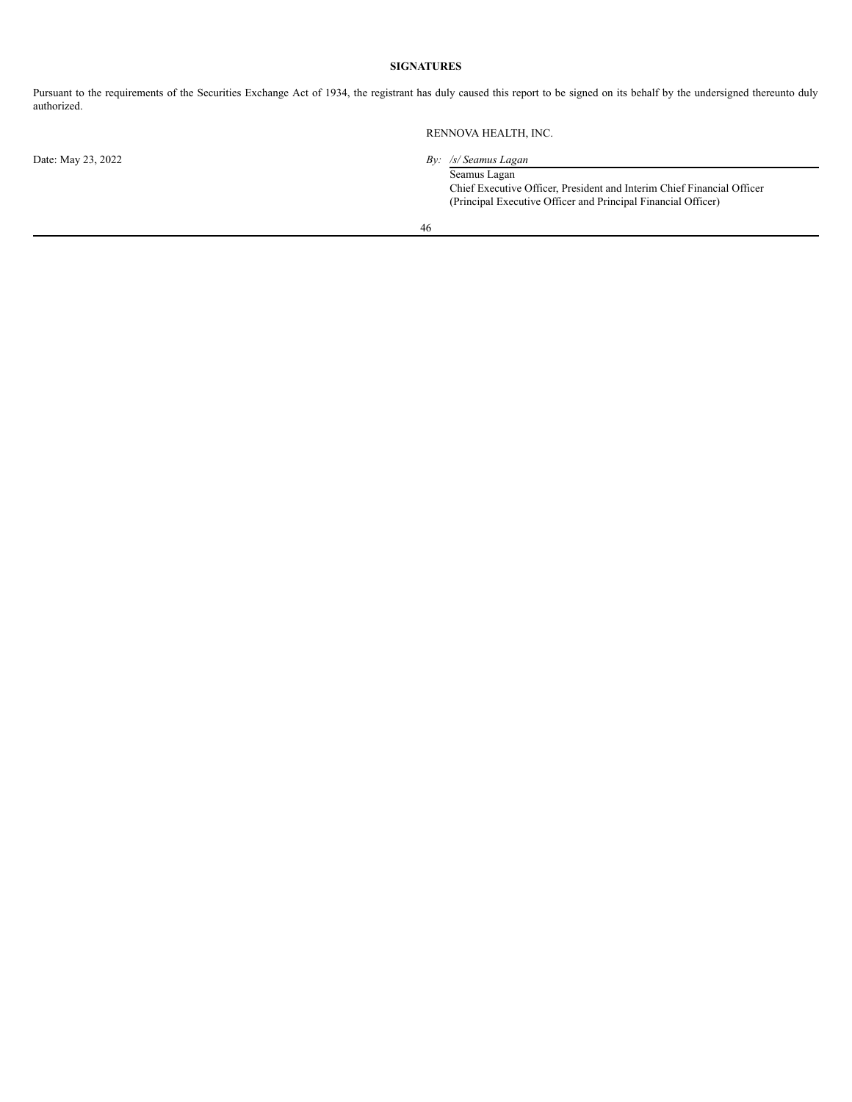# **SIGNATURES**

<span id="page-45-0"></span>Pursuant to the requirements of the Securities Exchange Act of 1934, the registrant has duly caused this report to be signed on its behalf by the undersigned thereunto duly authorized.

RENNOVA HEALTH, INC.

Date: May 23, 2022 *By: /s/ Seamus Lagan* Seamus Lagan Chief Executive Officer, President and Interim Chief Financial Officer (Principal Executive Officer and Principal Financial Officer)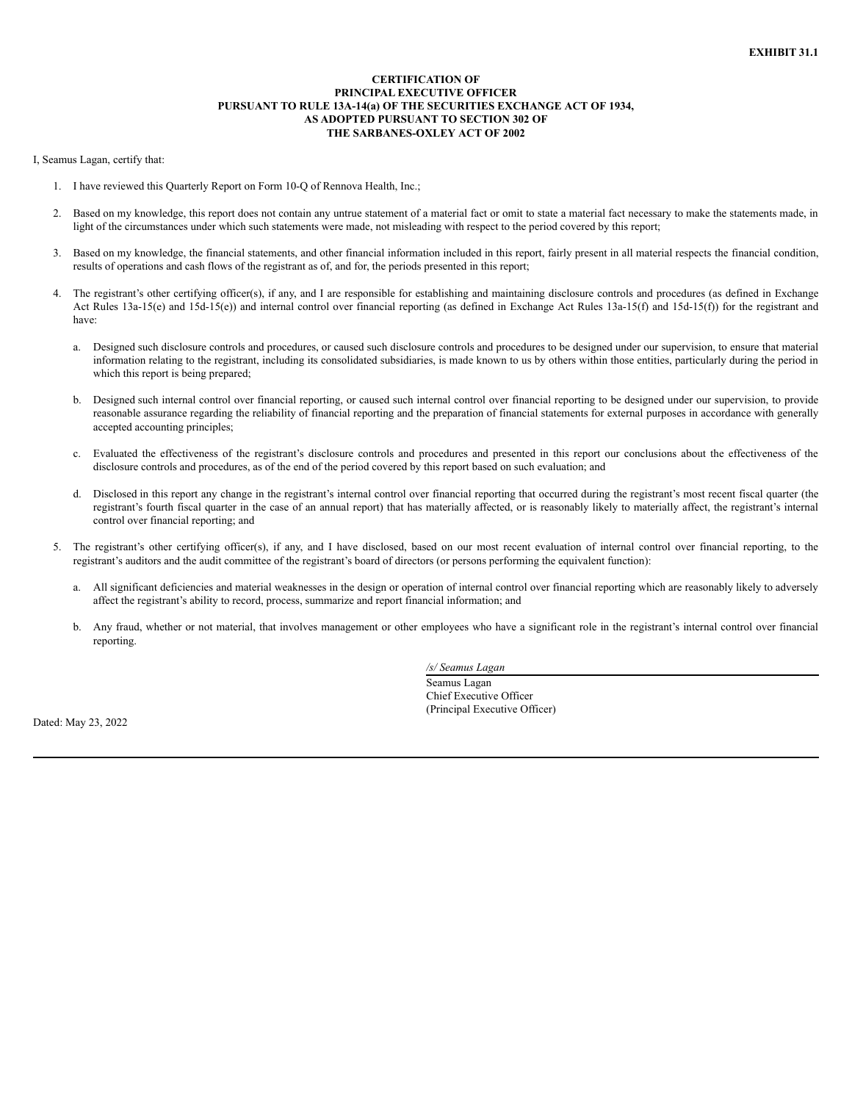## **CERTIFICATION OF PRINCIPAL EXECUTIVE OFFICER PURSUANT TO RULE 13A-14(a) OF THE SECURITIES EXCHANGE ACT OF 1934, AS ADOPTED PURSUANT TO SECTION 302 OF THE SARBANES-OXLEY ACT OF 2002**

#### I, Seamus Lagan, certify that:

- 1. I have reviewed this Quarterly Report on Form 10-Q of Rennova Health, Inc.;
- 2. Based on my knowledge, this report does not contain any untrue statement of a material fact or omit to state a material fact necessary to make the statements made, in light of the circumstances under which such statements were made, not misleading with respect to the period covered by this report;
- 3. Based on my knowledge, the financial statements, and other financial information included in this report, fairly present in all material respects the financial condition, results of operations and cash flows of the registrant as of, and for, the periods presented in this report;
- 4. The registrant's other certifying officer(s), if any, and I are responsible for establishing and maintaining disclosure controls and procedures (as defined in Exchange Act Rules 13a-15(e) and 15d-15(e)) and internal control over financial reporting (as defined in Exchange Act Rules 13a-15(f) and 15d-15(f)) for the registrant and have:
	- a. Designed such disclosure controls and procedures, or caused such disclosure controls and procedures to be designed under our supervision, to ensure that material information relating to the registrant, including its consolidated subsidiaries, is made known to us by others within those entities, particularly during the period in which this report is being prepared;
	- b. Designed such internal control over financial reporting, or caused such internal control over financial reporting to be designed under our supervision, to provide reasonable assurance regarding the reliability of financial reporting and the preparation of financial statements for external purposes in accordance with generally accepted accounting principles;
	- c. Evaluated the effectiveness of the registrant's disclosure controls and procedures and presented in this report our conclusions about the effectiveness of the disclosure controls and procedures, as of the end of the period covered by this report based on such evaluation; and
	- d. Disclosed in this report any change in the registrant's internal control over financial reporting that occurred during the registrant's most recent fiscal quarter (the registrant's fourth fiscal quarter in the case of an annual report) that has materially affected, or is reasonably likely to materially affect, the registrant's internal control over financial reporting; and
- The registrant's other certifying officer(s), if any, and I have disclosed, based on our most recent evaluation of internal control over financial reporting, to the registrant's auditors and the audit committee of the registrant's board of directors (or persons performing the equivalent function):
	- a. All significant deficiencies and material weaknesses in the design or operation of internal control over financial reporting which are reasonably likely to adversely affect the registrant's ability to record, process, summarize and report financial information; and
	- b. Any fraud, whether or not material, that involves management or other employees who have a significant role in the registrant's internal control over financial reporting.

*/s/ Seamus Lagan*

Seamus Lagan Chief Executive Officer (Principal Executive Officer)

Dated: May 23, 2022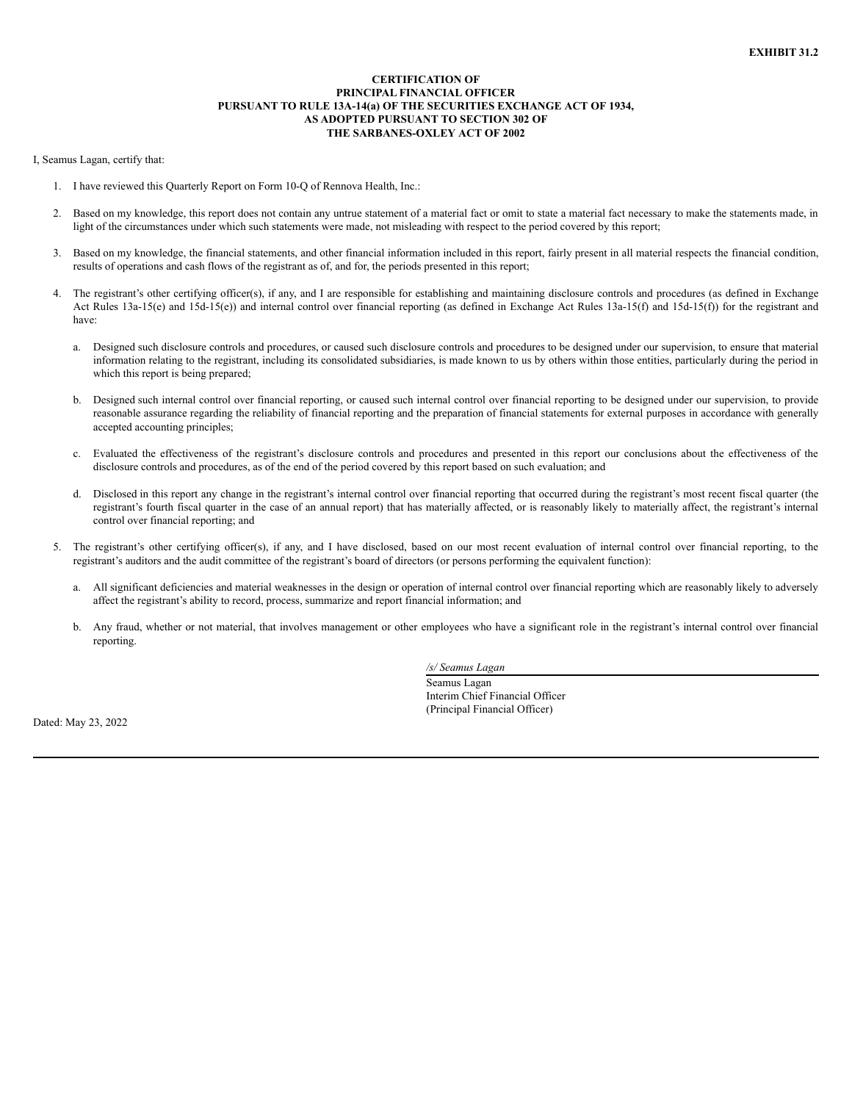## **CERTIFICATION OF PRINCIPAL FINANCIAL OFFICER PURSUANT TO RULE 13A-14(a) OF THE SECURITIES EXCHANGE ACT OF 1934, AS ADOPTED PURSUANT TO SECTION 302 OF THE SARBANES-OXLEY ACT OF 2002**

# I, Seamus Lagan, certify that:

- 1. I have reviewed this Quarterly Report on Form 10-Q of Rennova Health, Inc.:
- 2. Based on my knowledge, this report does not contain any untrue statement of a material fact or omit to state a material fact necessary to make the statements made, in light of the circumstances under which such statements were made, not misleading with respect to the period covered by this report;
- 3. Based on my knowledge, the financial statements, and other financial information included in this report, fairly present in all material respects the financial condition, results of operations and cash flows of the registrant as of, and for, the periods presented in this report;
- 4. The registrant's other certifying officer(s), if any, and I are responsible for establishing and maintaining disclosure controls and procedures (as defined in Exchange Act Rules 13a-15(e) and 15d-15(e)) and internal control over financial reporting (as defined in Exchange Act Rules 13a-15(f) and 15d-15(f)) for the registrant and have:
	- a. Designed such disclosure controls and procedures, or caused such disclosure controls and procedures to be designed under our supervision, to ensure that material information relating to the registrant, including its consolidated subsidiaries, is made known to us by others within those entities, particularly during the period in which this report is being prepared;
	- b. Designed such internal control over financial reporting, or caused such internal control over financial reporting to be designed under our supervision, to provide reasonable assurance regarding the reliability of financial reporting and the preparation of financial statements for external purposes in accordance with generally accepted accounting principles;
	- c. Evaluated the effectiveness of the registrant's disclosure controls and procedures and presented in this report our conclusions about the effectiveness of the disclosure controls and procedures, as of the end of the period covered by this report based on such evaluation; and
	- d. Disclosed in this report any change in the registrant's internal control over financial reporting that occurred during the registrant's most recent fiscal quarter (the registrant's fourth fiscal quarter in the case of an annual report) that has materially affected, or is reasonably likely to materially affect, the registrant's internal control over financial reporting; and
- The registrant's other certifying officer(s), if any, and I have disclosed, based on our most recent evaluation of internal control over financial reporting, to the registrant's auditors and the audit committee of the registrant's board of directors (or persons performing the equivalent function):
	- a. All significant deficiencies and material weaknesses in the design or operation of internal control over financial reporting which are reasonably likely to adversely affect the registrant's ability to record, process, summarize and report financial information; and
	- b. Any fraud, whether or not material, that involves management or other employees who have a significant role in the registrant's internal control over financial reporting.

*/s/ Seamus Lagan*

Seamus Lagan Interim Chief Financial Officer (Principal Financial Officer)

Dated: May 23, 2022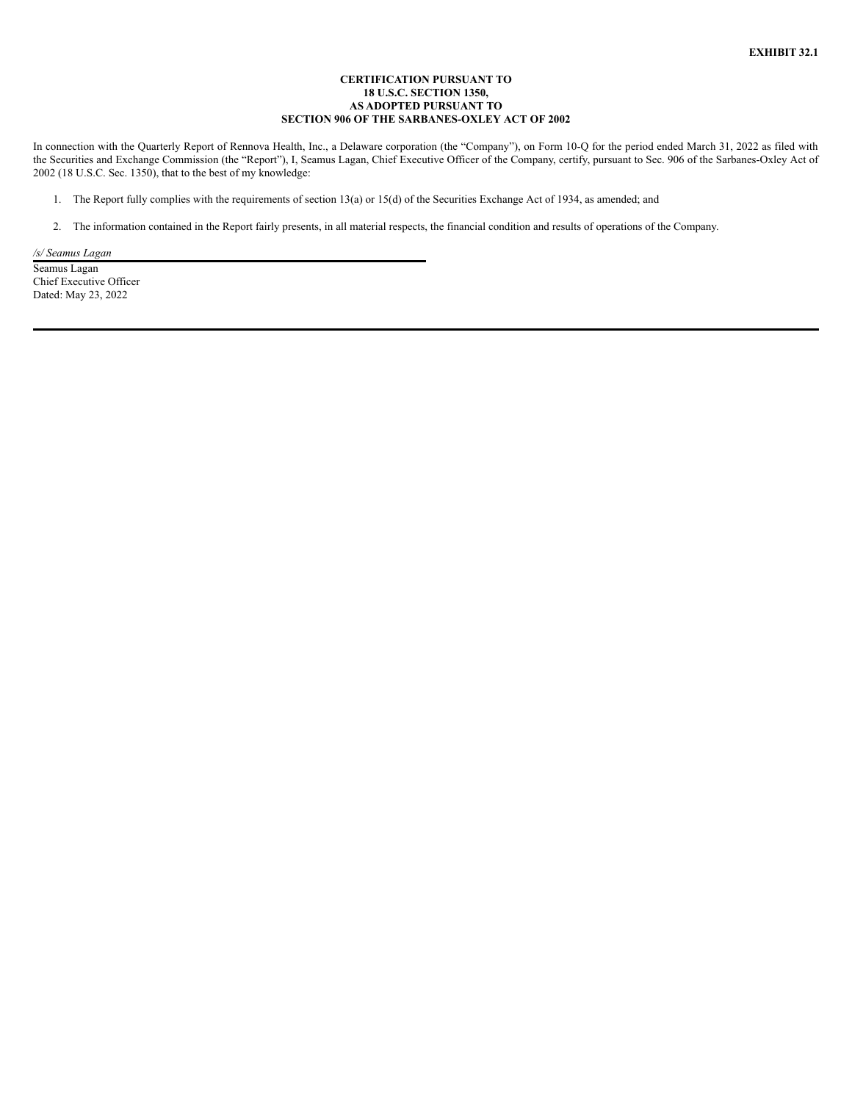## **CERTIFICATION PURSUANT TO 18 U.S.C. SECTION 1350, AS ADOPTED PURSUANT TO SECTION 906 OF THE SARBANES-OXLEY ACT OF 2002**

In connection with the Quarterly Report of Rennova Health, Inc., a Delaware corporation (the "Company"), on Form 10-Q for the period ended March 31, 2022 as filed with the Securities and Exchange Commission (the "Report"), I, Seamus Lagan, Chief Executive Officer of the Company, certify, pursuant to Sec. 906 of the Sarbanes-Oxley Act of 2002 (18 U.S.C. Sec. 1350), that to the best of my knowledge:

1. The Report fully complies with the requirements of section 13(a) or 15(d) of the Securities Exchange Act of 1934, as amended; and

2. The information contained in the Report fairly presents, in all material respects, the financial condition and results of operations of the Company.

*/s/ Seamus Lagan* Seamus Lagan Chief Executive Officer Dated: May 23, 2022